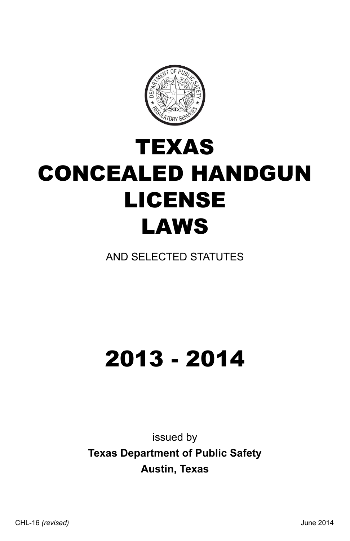

## **TEXAS** CONCEALED HANDGUN LICENSE LAWS

AND SELECTED STATUTES

# 2013 - 2014

issued by **Texas Department of Public Safety Austin, Texas**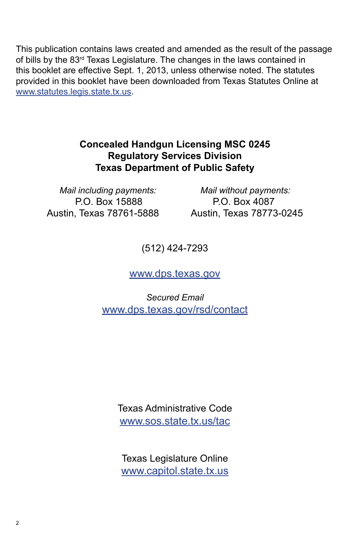This publication contains laws created and amended as the result of the passage of bills by the 83rd Texas Legislature. The changes in the laws contained in this booklet are effective Sept. 1, 2013, unless otherwise noted. The statutes provided in this booklet have been downloaded from Texas Statutes Online at www.statutes.legis.state.tx.us.

#### **Concealed Handgun Licensing MSC 0245 Regulatory Services Division Texas Department of Public Safety**

*Mail including payments: Mail without payments:*  P.O. Box 15888 P.O. Box 4087 Austin, Texas 78761-5888 Austin, Texas 78773-0245

(512) 424-7293

<www.dps.texas.gov>

*Secured Email* <www.dps.texas.gov/rsd/contact>

> Texas Administrative Code www.sos.state.tx.us/tac

Texas Legislature Online www.capitol.state.tx.us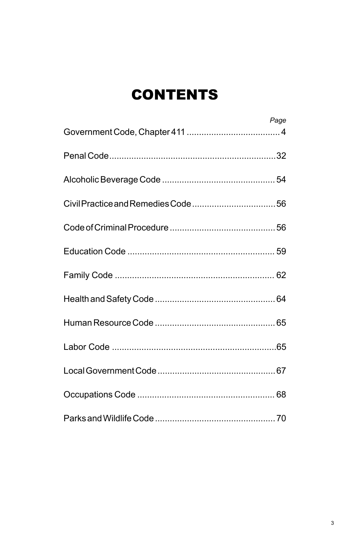### **CONTENTS**

| Page |
|------|
|      |
|      |
|      |
|      |
|      |
|      |
|      |
|      |
|      |
|      |
|      |
|      |
|      |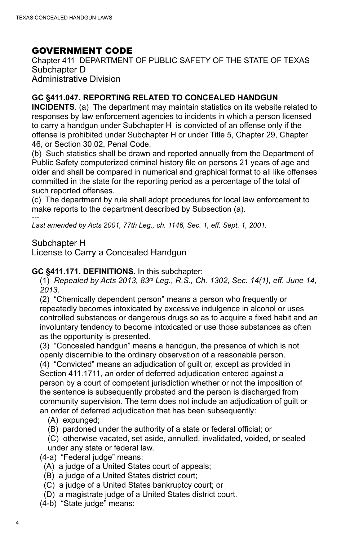#### GOVERNMENT CODE

Chapter 411 DEPARTMENT OF PUBLIC SAFETY OF THE STATE OF TEXAS Subchapter D Administrative Division

#### **GC §411.047. REPORTING RELATED TO CONCEALED HANDGUN**

**INCIDENTS**. (a) The department may maintain statistics on its website related to responses by law enforcement agencies to incidents in which a person licensed to carry a handgun under Subchapter H is convicted of an offense only if the offense is prohibited under Subchapter H or under Title 5, Chapter 29, Chapter 46, or Section 30.02, Penal Code.

(b) Such statistics shall be drawn and reported annually from the Department of Public Safety computerized criminal history file on persons 21 years of age and older and shall be compared in numerical and graphical format to all like offenses committed in the state for the reporting period as a percentage of the total of such reported offenses.

(c) The department by rule shall adopt procedures for local law enforcement to make reports to the department described by Subsection (a).

*---*

*Last amended by Acts 2001, 77th Leg., ch. 1146, Sec. 1, eff. Sept. 1, 2001.*

Subchapter H

License to Carry a Concealed Handgun

#### **GC §411.171. DEFINITIONS.** In this subchapter:

(1) *Repealed by Acts 2013, 83rd Leg., R.S., Ch. 1302, Sec. 14(1), eff. June 14, 2013.*

(2) "Chemically dependent person" means a person who frequently or repeatedly becomes intoxicated by excessive indulgence in alcohol or uses controlled substances or dangerous drugs so as to acquire a fixed habit and an involuntary tendency to become intoxicated or use those substances as often as the opportunity is presented.

(3) "Concealed handgun" means a handgun, the presence of which is not openly discernible to the ordinary observation of a reasonable person.

(4) "Convicted" means an adjudication of guilt or, except as provided in Section 411.1711, an order of deferred adjudication entered against a person by a court of competent jurisdiction whether or not the imposition of the sentence is subsequently probated and the person is discharged from community supervision. The term does not include an adjudication of guilt or an order of deferred adjudication that has been subsequently:

- (A) expunged;
- (B) pardoned under the authority of a state or federal official; or
- (C) otherwise vacated, set aside, annulled, invalidated, voided, or sealed under any state or federal law.

(4-a) "Federal judge" means:

- (A) a judge of a United States court of appeals;
- (B) a judge of a United States district court;
- (C) a judge of a United States bankruptcy court; or
- (D) a magistrate judge of a United States district court.
- (4-b) "State judge" means: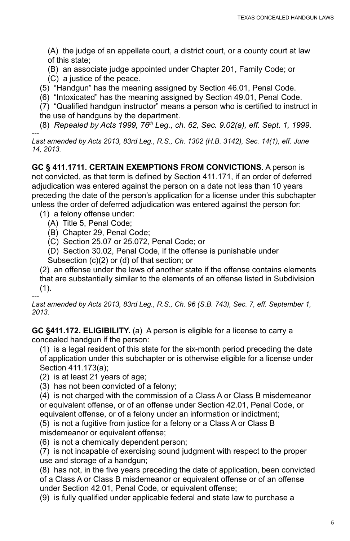(A) the judge of an appellate court, a district court, or a county court at law of this state;

(B) an associate judge appointed under Chapter 201, Family Code; or (C) a justice of the peace.

(5) "Handgun" has the meaning assigned by Section 46.01, Penal Code.

(6) "Intoxicated" has the meaning assigned by Section 49.01, Penal Code.

(7) "Qualified handgun instructor" means a person who is certified to instruct in the use of handguns by the department.

(8) *Repealed by Acts 1999, 76th Leg., ch. 62, Sec. 9.02(a), eff. Sept. 1, 1999.*

*--- Last amended by Acts 2013, 83rd Leg., R.S., Ch. 1302 (H.B. 3142), Sec. 14(1), eff. June 14, 2013.*

**GC § 411.1711. CERTAIN EXEMPTIONS FROM CONVICTIONS**. A person is not convicted, as that term is defined by Section 411.171, if an order of deferred adjudication was entered against the person on a date not less than 10 years preceding the date of the person's application for a license under this subchapter unless the order of deferred adjudication was entered against the person for:

- (1) a felony offense under:
	- (A) Title 5, Penal Code;
	- (B) Chapter 29, Penal Code;
	- (C) Section 25.07 or 25.072, Penal Code; or
	- (D) Section 30.02, Penal Code, if the offense is punishable under
	- Subsection (c)(2) or (d) of that section; or

(2) an offense under the laws of another state if the offense contains elements that are substantially similar to the elements of an offense listed in Subdivision  $(1)$ .

*--- Last amended by Acts 2013, 83rd Leg., R.S., Ch. 96 (S.B. 743), Sec. 7, eff. September 1, 2013.*

**GC §411.172. ELIGIBILITY.** (a) A person is eligible for a license to carry a concealed handgun if the person:

(1) is a legal resident of this state for the six-month period preceding the date of application under this subchapter or is otherwise eligible for a license under Section 411.173(a);

(2) is at least 21 years of age;

(3) has not been convicted of a felony;

(4) is not charged with the commission of a Class A or Class B misdemeanor or equivalent offense, or of an offense under Section 42.01, Penal Code, or equivalent offense, or of a felony under an information or indictment;

(5) is not a fugitive from justice for a felony or a Class A or Class B misdemeanor or equivalent offense;

(6) is not a chemically dependent person;

(7) is not incapable of exercising sound judgment with respect to the proper use and storage of a handgun;

(8) has not, in the five years preceding the date of application, been convicted of a Class A or Class B misdemeanor or equivalent offense or of an offense under Section 42.01, Penal Code, or equivalent offense;

(9) is fully qualified under applicable federal and state law to purchase a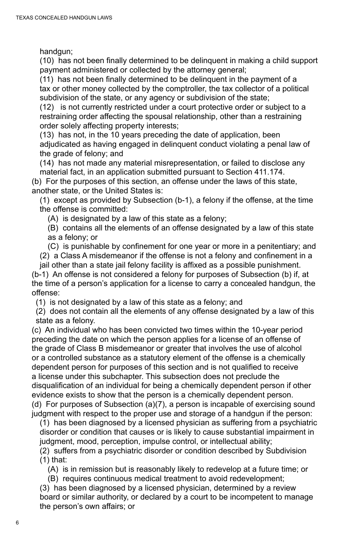handgun;

(10) has not been finally determined to be delinquent in making a child support payment administered or collected by the attorney general;

(11) has not been finally determined to be delinquent in the payment of a tax or other money collected by the comptroller, the tax collector of a political subdivision of the state, or any agency or subdivision of the state;

(12) is not currently restricted under a court protective order or subject to a restraining order affecting the spousal relationship, other than a restraining order solely affecting property interests;

(13) has not, in the 10 years preceding the date of application, been adjudicated as having engaged in delinquent conduct violating a penal law of the grade of felony; and

(14) has not made any material misrepresentation, or failed to disclose any material fact, in an application submitted pursuant to Section 411.174.

(b) For the purposes of this section, an offense under the laws of this state, another state, or the United States is:

(1) except as provided by Subsection (b-1), a felony if the offense, at the time the offense is committed:

(A) is designated by a law of this state as a felony;

(B) contains all the elements of an offense designated by a law of this state as a felony; or

(C) is punishable by confinement for one year or more in a penitentiary; and

(2) a Class A misdemeanor if the offense is not a felony and confinement in a jail other than a state jail felony facility is affixed as a possible punishment.

(b-1) An offense is not considered a felony for purposes of Subsection (b) if, at the time of a person's application for a license to carry a concealed handgun, the offense:

(1) is not designated by a law of this state as a felony; and

(2) does not contain all the elements of any offense designated by a law of this state as a felony.

(c) An individual who has been convicted two times within the 10-year period preceding the date on which the person applies for a license of an offense of the grade of Class B misdemeanor or greater that involves the use of alcohol or a controlled substance as a statutory element of the offense is a chemically dependent person for purposes of this section and is not qualified to receive a license under this subchapter. This subsection does not preclude the disqualification of an individual for being a chemically dependent person if other evidence exists to show that the person is a chemically dependent person. (d) For purposes of Subsection (a)(7), a person is incapable of exercising sound judgment with respect to the proper use and storage of a handgun if the person:

(1) has been diagnosed by a licensed physician as suffering from a psychiatric disorder or condition that causes or is likely to cause substantial impairment in judgment, mood, perception, impulse control, or intellectual ability; (2) suffers from a psychiatric disorder or condition described by Subdivision

 $(1)$  that:

(A) is in remission but is reasonably likely to redevelop at a future time; or

(B) requires continuous medical treatment to avoid redevelopment;

(3) has been diagnosed by a licensed physician, determined by a review board or similar authority, or declared by a court to be incompetent to manage the person's own affairs; or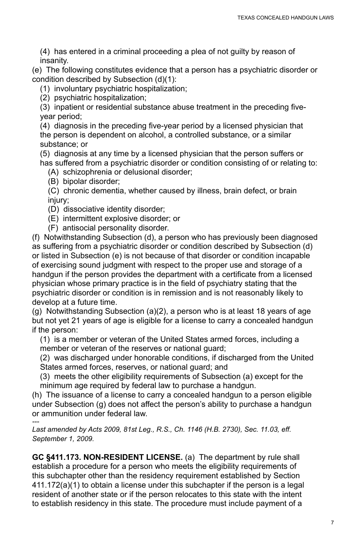(4) has entered in a criminal proceeding a plea of not guilty by reason of insanity.

(e) The following constitutes evidence that a person has a psychiatric disorder or condition described by Subsection (d)(1):

(1) involuntary psychiatric hospitalization;

(2) psychiatric hospitalization;

(3) inpatient or residential substance abuse treatment in the preceding fiveyear period;

(4) diagnosis in the preceding five-year period by a licensed physician that the person is dependent on alcohol, a controlled substance, or a similar substance; or

(5) diagnosis at any time by a licensed physician that the person suffers or has suffered from a psychiatric disorder or condition consisting of or relating to:

(A) schizophrenia or delusional disorder;

(B) bipolar disorder;

(C) chronic dementia, whether caused by illness, brain defect, or brain injury;

(D) dissociative identity disorder;

(E) intermittent explosive disorder; or

(F) antisocial personality disorder.

(f) Notwithstanding Subsection (d), a person who has previously been diagnosed as suffering from a psychiatric disorder or condition described by Subsection (d) or listed in Subsection (e) is not because of that disorder or condition incapable of exercising sound judgment with respect to the proper use and storage of a handgun if the person provides the department with a certificate from a licensed physician whose primary practice is in the field of psychiatry stating that the psychiatric disorder or condition is in remission and is not reasonably likely to develop at a future time.

(g) Notwithstanding Subsection (a)(2), a person who is at least 18 years of age but not yet 21 years of age is eligible for a license to carry a concealed handgun if the person:

(1) is a member or veteran of the United States armed forces, including a member or veteran of the reserves or national guard;

(2) was discharged under honorable conditions, if discharged from the United States armed forces, reserves, or national guard; and

(3) meets the other eligibility requirements of Subsection (a) except for the minimum age required by federal law to purchase a handgun.

(h) The issuance of a license to carry a concealed handgun to a person eligible under Subsection (g) does not affect the person's ability to purchase a handgun or ammunition under federal law.

*--- Last amended by Acts 2009, 81st Leg., R.S., Ch. 1146 (H.B. 2730), Sec. 11.03, eff. September 1, 2009.*

**GC §411.173. NON-RESIDENT LICENSE.** (a) The department by rule shall establish a procedure for a person who meets the eligibility requirements of this subchapter other than the residency requirement established by Section 411.172(a)(1) to obtain a license under this subchapter if the person is a legal resident of another state or if the person relocates to this state with the intent to establish residency in this state. The procedure must include payment of a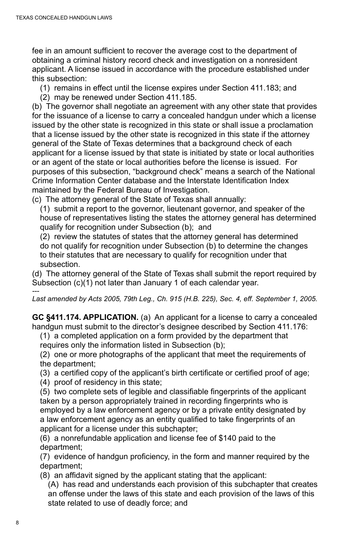fee in an amount sufficient to recover the average cost to the department of obtaining a criminal history record check and investigation on a nonresident applicant. A license issued in accordance with the procedure established under this subsection:

(1) remains in effect until the license expires under Section 411.183; and

(2) may be renewed under Section 411.185.

(b) The governor shall negotiate an agreement with any other state that provides for the issuance of a license to carry a concealed handgun under which a license issued by the other state is recognized in this state or shall issue a proclamation that a license issued by the other state is recognized in this state if the attorney general of the State of Texas determines that a background check of each applicant for a license issued by that state is initiated by state or local authorities or an agent of the state or local authorities before the license is issued. For purposes of this subsection, "background check" means a search of the National Crime Information Center database and the Interstate Identification Index maintained by the Federal Bureau of Investigation.

(c) The attorney general of the State of Texas shall annually:

(1) submit a report to the governor, lieutenant governor, and speaker of the house of representatives listing the states the attorney general has determined qualify for recognition under Subsection (b); and

(2) review the statutes of states that the attorney general has determined do not qualify for recognition under Subsection (b) to determine the changes to their statutes that are necessary to qualify for recognition under that subsection.

(d) The attorney general of the State of Texas shall submit the report required by Subsection (c)(1) not later than January 1 of each calendar year.

*--- Last amended by Acts 2005, 79th Leg., Ch. 915 (H.B. 225), Sec. 4, eff. September 1, 2005.*

**GC §411.174. APPLICATION.** (a) An applicant for a license to carry a concealed handgun must submit to the director's designee described by Section 411.176:

(1) a completed application on a form provided by the department that requires only the information listed in Subsection (b);

(2) one or more photographs of the applicant that meet the requirements of the department;

(3) a certified copy of the applicant's birth certificate or certified proof of age;

(4) proof of residency in this state;

(5) two complete sets of legible and classifiable fingerprints of the applicant taken by a person appropriately trained in recording fingerprints who is employed by a law enforcement agency or by a private entity designated by a law enforcement agency as an entity qualified to take fingerprints of an applicant for a license under this subchapter;

(6) a nonrefundable application and license fee of \$140 paid to the department;

(7) evidence of handgun proficiency, in the form and manner required by the department;

(8) an affidavit signed by the applicant stating that the applicant:

(A) has read and understands each provision of this subchapter that creates an offense under the laws of this state and each provision of the laws of this state related to use of deadly force; and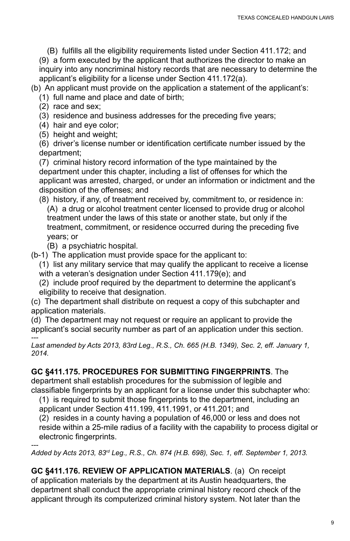(B) fulfills all the eligibility requirements listed under Section 411.172; and

(9) a form executed by the applicant that authorizes the director to make an inquiry into any noncriminal history records that are necessary to determine the applicant's eligibility for a license under Section 411.172(a).

(b) An applicant must provide on the application a statement of the applicant's:

- (1) full name and place and date of birth;
- (2) race and sex;
- (3) residence and business addresses for the preceding five years;
- (4) hair and eye color;
- (5) height and weight;

(6) driver's license number or identification certificate number issued by the department;

(7) criminal history record information of the type maintained by the department under this chapter, including a list of offenses for which the applicant was arrested, charged, or under an information or indictment and the disposition of the offenses; and

(8) history, if any, of treatment received by, commitment to, or residence in: (A) a drug or alcohol treatment center licensed to provide drug or alcohol treatment under the laws of this state or another state, but only if the treatment, commitment, or residence occurred during the preceding five years; or

(B) a psychiatric hospital.

- (b-1) The application must provide space for the applicant to:
	- (1) list any military service that may qualify the applicant to receive a license with a veteran's designation under Section 411.179(e); and
	- (2) include proof required by the department to determine the applicant's eligibility to receive that designation.

(c) The department shall distribute on request a copy of this subchapter and application materials.

(d) The department may not request or require an applicant to provide the applicant's social security number as part of an application under this section. *---*

*Last amended by Acts 2013, 83rd Leg., R.S., Ch. 665 (H.B. 1349), Sec. 2, eff. January 1, 2014.*

#### **GC §411.175. PROCEDURES FOR SUBMITTING FINGERPRINTS**. The

department shall establish procedures for the submission of legible and classifiable fingerprints by an applicant for a license under this subchapter who:

(1) is required to submit those fingerprints to the department, including an

applicant under Section 411.199, 411.1991, or 411.201; and

(2) resides in a county having a population of 46,000 or less and does not reside within a 25-mile radius of a facility with the capability to process digital or electronic fingerprints.

*---*

*Added by Acts 2013, 83rd Leg., R.S., Ch. 874 (H.B. 698), Sec. 1, eff. September 1, 2013.*

**GC §411.176. REVIEW OF APPLICATION MATERIALS**. (a) On receipt of application materials by the department at its Austin headquarters, the department shall conduct the appropriate criminal history record check of the applicant through its computerized criminal history system. Not later than the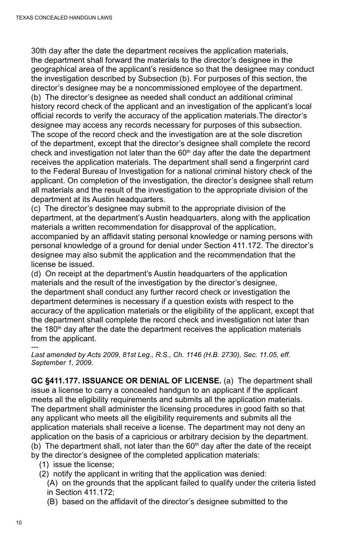30th day after the date the department receives the application materials, the department shall forward the materials to the director's designee in the geographical area of the applicant's residence so that the designee may conduct the investigation described by Subsection (b). For purposes of this section, the director's designee may be a noncommissioned employee of the department. (b) The director's designee as needed shall conduct an additional criminal history record check of the applicant and an investigation of the applicant's local official records to verify the accuracy of the application materials.The director's designee may access any records necessary for purposes of this subsection. The scope of the record check and the investigation are at the sole discretion of the department, except that the director's designee shall complete the record check and investigation not later than the  $60<sup>th</sup>$  day after the date the department receives the application materials. The department shall send a fingerprint card to the Federal Bureau of Investigation for a national criminal history check of the applicant. On completion of the investigation, the director's designee shall return all materials and the result of the investigation to the appropriate division of the department at its Austin headquarters.

(c) The director's designee may submit to the appropriate division of the department, at the department's Austin headquarters, along with the application materials a written recommendation for disapproval of the application, accompanied by an affidavit stating personal knowledge or naming persons with personal knowledge of a ground for denial under Section 411.172. The director's designee may also submit the application and the recommendation that the license be issued.

(d) On receipt at the department's Austin headquarters of the application materials and the result of the investigation by the director's designee, the department shall conduct any further record check or investigation the department determines is necessary if a question exists with respect to the accuracy of the application materials or the eligibility of the applicant, except that the department shall complete the record check and investigation not later than the 180 $th$  day after the date the department receives the application materials from the applicant.

#### *---*

Last amended by Acts 2009, 81st Leg., R.S., Ch. 1146 (H.B. 2730), Sec. 11.05, eff. *September 1, 2009.*

**GC §411.177. ISSUANCE OR DENIAL OF LICENSE.** (a) The department shall issue a license to carry a concealed handgun to an applicant if the applicant meets all the eligibility requirements and submits all the application materials. The department shall administer the licensing procedures in good faith so that any applicant who meets all the eligibility requirements and submits all the application materials shall receive a license. The department may not deny an application on the basis of a capricious or arbitrary decision by the department. (b) The department shall, not later than the  $60<sup>th</sup>$  day after the date of the receipt by the director's designee of the completed application materials:

- (1) issue the license;
- (2) notify the applicant in writing that the application was denied:
	- (A) on the grounds that the applicant failed to qualify under the criteria listed in Section 411.172;
	- (B) based on the affidavit of the director's designee submitted to the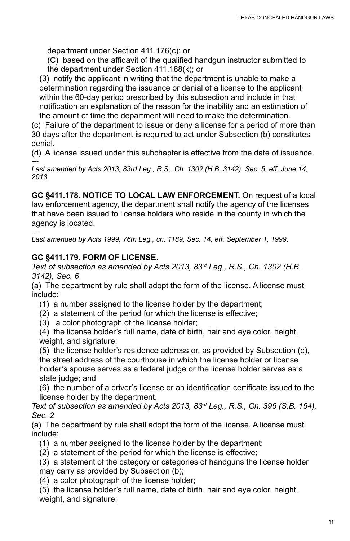department under Section 411.176(c); or

(C) based on the affidavit of the qualified handgun instructor submitted to the department under Section 411.188(k); or

(3) notify the applicant in writing that the department is unable to make a determination regarding the issuance or denial of a license to the applicant within the 60-day period prescribed by this subsection and include in that notification an explanation of the reason for the inability and an estimation of the amount of time the department will need to make the determination.

(c) Failure of the department to issue or deny a license for a period of more than 30 days after the department is required to act under Subsection (b) constitutes denial.

(d) A license issued under this subchapter is effective from the date of issuance. *---*

*Last amended by Acts 2013, 83rd Leg., R.S., Ch. 1302 (H.B. 3142), Sec. 5, eff. June 14, 2013.*

**GC §411.178. NOTICE TO LOCAL LAW ENFORCEMENT.** On request of a local law enforcement agency, the department shall notify the agency of the licenses that have been issued to license holders who reside in the county in which the agency is located.

*--- Last amended by Acts 1999, 76th Leg., ch. 1189, Sec. 14, eff. September 1, 1999.*

#### **GC §411.179. FORM OF LICENSE**.

*Text of subsection as amended by Acts 2013, 83rd Leg., R.S., Ch. 1302 (H.B. 3142), Sec. 6*

(a) The department by rule shall adopt the form of the license. A license must include:

- (1) a number assigned to the license holder by the department;
- (2) a statement of the period for which the license is effective;
- (3) a color photograph of the license holder;

(4) the license holder's full name, date of birth, hair and eye color, height, weight, and signature;

(5) the license holder's residence address or, as provided by Subsection (d), the street address of the courthouse in which the license holder or license holder's spouse serves as a federal judge or the license holder serves as a state judge; and

(6) the number of a driver's license or an identification certificate issued to the license holder by the department.

*Text of subsection as amended by Acts 2013, 83rd Leg., R.S., Ch. 396 (S.B. 164), Sec. 2*

(a) The department by rule shall adopt the form of the license. A license must include:

- (1) a number assigned to the license holder by the department;
- (2) a statement of the period for which the license is effective;

(3) a statement of the category or categories of handguns the license holder may carry as provided by Subsection (b);

(4) a color photograph of the license holder;

(5) the license holder's full name, date of birth, hair and eye color, height, weight, and signature;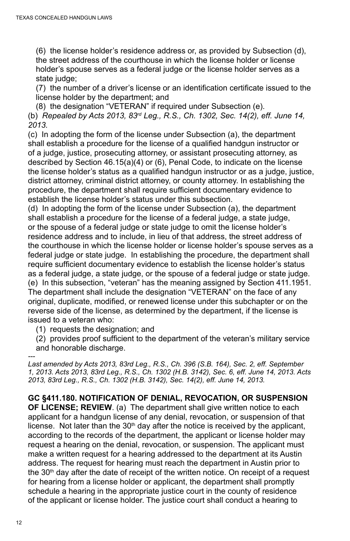(6) the license holder's residence address or, as provided by Subsection (d), the street address of the courthouse in which the license holder or license holder's spouse serves as a federal judge or the license holder serves as a state judge;

(7) the number of a driver's license or an identification certificate issued to the license holder by the department; and

(8) the designation "VETERAN" if required under Subsection (e).

(b) *Repealed by Acts 2013, 83rd Leg., R.S., Ch. 1302, Sec. 14(2), eff. June 14, 2013.*

(c) In adopting the form of the license under Subsection (a), the department shall establish a procedure for the license of a qualified handgun instructor or of a judge, justice, prosecuting attorney, or assistant prosecuting attorney, as described by Section 46.15(a)(4) or (6), Penal Code, to indicate on the license the license holder's status as a qualified handgun instructor or as a judge, justice, district attorney, criminal district attorney, or county attorney. In establishing the procedure, the department shall require sufficient documentary evidence to establish the license holder's status under this subsection.

(d) In adopting the form of the license under Subsection (a), the department shall establish a procedure for the license of a federal judge, a state judge, or the spouse of a federal judge or state judge to omit the license holder's residence address and to include, in lieu of that address, the street address of the courthouse in which the license holder or license holder's spouse serves as a federal judge or state judge. In establishing the procedure, the department shall require sufficient documentary evidence to establish the license holder's status as a federal judge, a state judge, or the spouse of a federal judge or state judge. (e) In this subsection, "veteran" has the meaning assigned by Section 411.1951. The department shall include the designation "VETERAN" on the face of any original, duplicate, modified, or renewed license under this subchapter or on the reverse side of the license, as determined by the department, if the license is issued to a veteran who:

(1) requests the designation; and

(2) provides proof sufficient to the department of the veteran's military service and honorable discharge.

*--- Last amended by Acts 2013, 83rd Leg., R.S., Ch. 396 (S.B. 164), Sec. 2, eff. September 1, 2013. Acts 2013, 83rd Leg., R.S., Ch. 1302 (H.B. 3142), Sec. 6, eff. June 14, 2013. Acts 2013, 83rd Leg., R.S., Ch. 1302 (H.B. 3142), Sec. 14(2), eff. June 14, 2013.*

**GC §411.180. NOTIFICATION OF DENIAL, REVOCATION, OR SUSPENSION OF LICENSE; REVIEW**. (a) The department shall give written notice to each applicant for a handgun license of any denial, revocation, or suspension of that license. Not later than the  $30<sup>th</sup>$  day after the notice is received by the applicant, according to the records of the department, the applicant or license holder may request a hearing on the denial, revocation, or suspension. The applicant must make a written request for a hearing addressed to the department at its Austin address. The request for hearing must reach the department in Austin prior to the 30<sup>th</sup> day after the date of receipt of the written notice. On receipt of a request for hearing from a license holder or applicant, the department shall promptly schedule a hearing in the appropriate justice court in the county of residence of the applicant or license holder. The justice court shall conduct a hearing to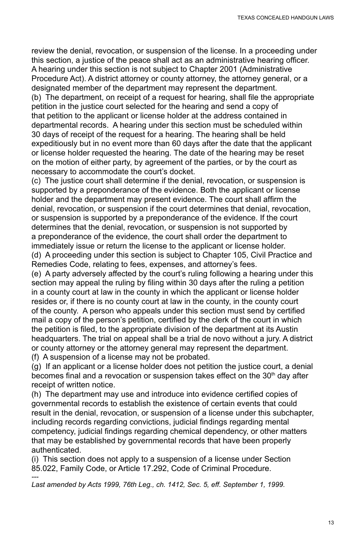review the denial, revocation, or suspension of the license. In a proceeding under this section, a justice of the peace shall act as an administrative hearing officer. A hearing under this section is not subject to Chapter 2001 (Administrative Procedure Act). A district attorney or county attorney, the attorney general, or a designated member of the department may represent the department. (b) The department, on receipt of a request for hearing, shall file the appropriate petition in the justice court selected for the hearing and send a copy of that petition to the applicant or license holder at the address contained in departmental records. A hearing under this section must be scheduled within 30 days of receipt of the request for a hearing. The hearing shall be held expeditiously but in no event more than 60 days after the date that the applicant or license holder requested the hearing. The date of the hearing may be reset on the motion of either party, by agreement of the parties, or by the court as necessary to accommodate the court's docket.

(c) The justice court shall determine if the denial, revocation, or suspension is supported by a preponderance of the evidence. Both the applicant or license holder and the department may present evidence. The court shall affirm the denial, revocation, or suspension if the court determines that denial, revocation, or suspension is supported by a preponderance of the evidence. If the court determines that the denial, revocation, or suspension is not supported by a preponderance of the evidence, the court shall order the department to immediately issue or return the license to the applicant or license holder. (d) A proceeding under this section is subject to Chapter 105, Civil Practice and Remedies Code, relating to fees, expenses, and attorney's fees.

(e) A party adversely affected by the court's ruling following a hearing under this section may appeal the ruling by filing within 30 days after the ruling a petition in a county court at law in the county in which the applicant or license holder resides or, if there is no county court at law in the county, in the county court of the county. A person who appeals under this section must send by certified mail a copy of the person's petition, certified by the clerk of the court in which the petition is filed, to the appropriate division of the department at its Austin headquarters. The trial on appeal shall be a trial de novo without a jury. A district or county attorney or the attorney general may represent the department. (f) A suspension of a license may not be probated.

(g) If an applicant or a license holder does not petition the justice court, a denial becomes final and a revocation or suspension takes effect on the 30<sup>th</sup> day after receipt of written notice.

(h) The department may use and introduce into evidence certified copies of governmental records to establish the existence of certain events that could result in the denial, revocation, or suspension of a license under this subchapter, including records regarding convictions, judicial findings regarding mental competency, judicial findings regarding chemical dependency, or other matters that may be established by governmental records that have been properly authenticated.

(i) This section does not apply to a suspension of a license under Section 85.022, Family Code, or Article 17.292, Code of Criminal Procedure. *---*

*Last amended by Acts 1999, 76th Leg., ch. 1412, Sec. 5, eff. September 1, 1999.*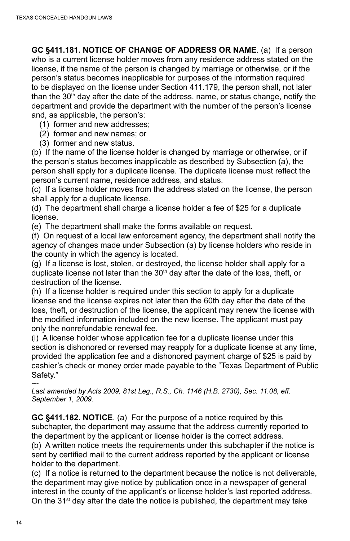**GC §411.181. NOTICE OF CHANGE OF ADDRESS OR NAME**. (a) If a person who is a current license holder moves from any residence address stated on the license, if the name of the person is changed by marriage or otherwise, or if the person's status becomes inapplicable for purposes of the information required to be displayed on the license under Section 411.179, the person shall, not later than the 30<sup>th</sup> day after the date of the address, name, or status change, notify the department and provide the department with the number of the person's license and, as applicable, the person's:

- (1) former and new addresses;
- (2) former and new names; or
- (3) former and new status.

(b) If the name of the license holder is changed by marriage or otherwise, or if the person's status becomes inapplicable as described by Subsection (a), the person shall apply for a duplicate license. The duplicate license must reflect the person's current name, residence address, and status.

(c) If a license holder moves from the address stated on the license, the person shall apply for a duplicate license.

(d) The department shall charge a license holder a fee of \$25 for a duplicate license.

(e) The department shall make the forms available on request.

(f) On request of a local law enforcement agency, the department shall notify the agency of changes made under Subsection (a) by license holders who reside in the county in which the agency is located.

(g) If a license is lost, stolen, or destroyed, the license holder shall apply for a duplicate license not later than the  $30<sup>th</sup>$  day after the date of the loss, theft, or destruction of the license.

(h) If a license holder is required under this section to apply for a duplicate license and the license expires not later than the 60th day after the date of the loss, theft, or destruction of the license, the applicant may renew the license with the modified information included on the new license. The applicant must pay only the nonrefundable renewal fee.

(i) A license holder whose application fee for a duplicate license under this section is dishonored or reversed may reapply for a duplicate license at any time, provided the application fee and a dishonored payment charge of \$25 is paid by cashier's check or money order made payable to the "Texas Department of Public Safety."

*---* Last amended by Acts 2009, 81st Leg., R.S., Ch. 1146 (H.B. 2730), Sec. 11.08, eff. *September 1, 2009.*

**GC §411.182. NOTICE**. (a) For the purpose of a notice required by this subchapter, the department may assume that the address currently reported to the department by the applicant or license holder is the correct address.

(b) A written notice meets the requirements under this subchapter if the notice is sent by certified mail to the current address reported by the applicant or license holder to the department.

(c) If a notice is returned to the department because the notice is not deliverable, the department may give notice by publication once in a newspaper of general interest in the county of the applicant's or license holder's last reported address. On the 31<sup>st</sup> day after the date the notice is published, the department may take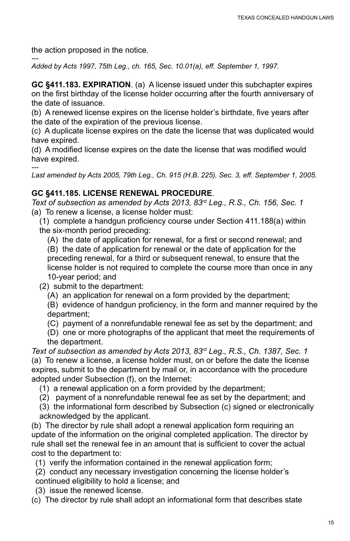the action proposed in the notice.

*--- Added by Acts 1997, 75th Leg., ch. 165, Sec. 10.01(a), eff. September 1, 1997.*

**GC §411.183. EXPIRATION**. (a) A license issued under this subchapter expires on the first birthday of the license holder occurring after the fourth anniversary of the date of issuance.

(b) A renewed license expires on the license holder's birthdate, five years after the date of the expiration of the previous license.

(c) A duplicate license expires on the date the license that was duplicated would have expired.

(d) A modified license expires on the date the license that was modified would have expired.

*--- Last amended by Acts 2005, 79th Leg., Ch. 915 (H.B. 225), Sec. 3, eff. September 1, 2005.*

#### **GC §411.185. LICENSE RENEWAL PROCEDURE**.

*Text of subsection as amended by Acts 2013, 83rd Leg., R.S., Ch. 156, Sec. 1* (a) To renew a license, a license holder must:

(1) complete a handgun proficiency course under Section 411.188(a) within the six-month period preceding:

(A) the date of application for renewal, for a first or second renewal; and

(B) the date of application for renewal or the date of application for the preceding renewal, for a third or subsequent renewal, to ensure that the license holder is not required to complete the course more than once in any 10-year period; and

(2) submit to the department:

- (A) an application for renewal on a form provided by the department;
- (B) evidence of handgun proficiency, in the form and manner required by the department;
- (C) payment of a nonrefundable renewal fee as set by the department; and
- (D) one or more photographs of the applicant that meet the requirements of the department.

*Text of subsection as amended by Acts 2013, 83rd Leg., R.S., Ch. 1387, Sec. 1* (a) To renew a license, a license holder must, on or before the date the license expires, submit to the department by mail or, in accordance with the procedure adopted under Subsection (f), on the Internet:

- (1) a renewal application on a form provided by the department;
- (2) payment of a nonrefundable renewal fee as set by the department; and
- (3) the informational form described by Subsection (c) signed or electronically acknowledged by the applicant.

(b) The director by rule shall adopt a renewal application form requiring an update of the information on the original completed application. The director by rule shall set the renewal fee in an amount that is sufficient to cover the actual cost to the department to:

- (1) verify the information contained in the renewal application form;
- (2) conduct any necessary investigation concerning the license holder's continued eligibility to hold a license; and
- (3) issue the renewed license.

(c) The director by rule shall adopt an informational form that describes state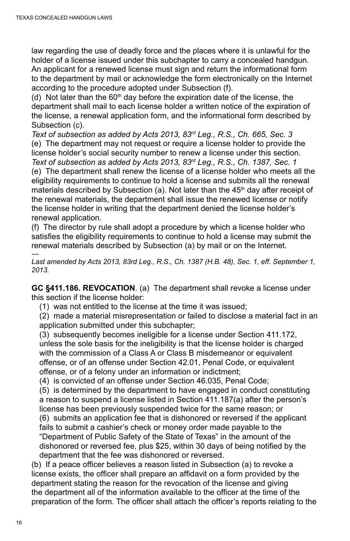law regarding the use of deadly force and the places where it is unlawful for the holder of a license issued under this subchapter to carry a concealed handgun. An applicant for a renewed license must sign and return the informational form to the department by mail or acknowledge the form electronically on the Internet according to the procedure adopted under Subsection (f).

(d) Not later than the  $60<sup>th</sup>$  day before the expiration date of the license, the department shall mail to each license holder a written notice of the expiration of the license, a renewal application form, and the informational form described by Subsection (c).

*Text of subsection as added by Acts 2013, 83rd Leg., R.S., Ch. 665, Sec. 3* (e) The department may not request or require a license holder to provide the license holder's social security number to renew a license under this section. *Text of subsection as added by Acts 2013, 83rd Leg., R.S., Ch. 1387, Sec. 1*

(e) The department shall renew the license of a license holder who meets all the eligibility requirements to continue to hold a license and submits all the renewal materials described by Subsection (a). Not later than the 45<sup>th</sup> day after receipt of the renewal materials, the department shall issue the renewed license or notify the license holder in writing that the department denied the license holder's renewal application.

(f) The director by rule shall adopt a procedure by which a license holder who satisfies the eligibility requirements to continue to hold a license may submit the renewal materials described by Subsection (a) by mail or on the Internet. *---*

*Last amended by Acts 2013, 83rd Leg., R.S., Ch. 1387 (H.B. 48), Sec. 1, eff. September 1, 2013.*

**GC §411.186. REVOCATION**. (a) The department shall revoke a license under this section if the license holder:

(1) was not entitled to the license at the time it was issued;

(2) made a material misrepresentation or failed to disclose a material fact in an application submitted under this subchapter;

(3) subsequently becomes ineligible for a license under Section 411.172, unless the sole basis for the ineligibility is that the license holder is charged with the commission of a Class A or Class B misdemeanor or equivalent offense, or of an offense under Section 42.01, Penal Code, or equivalent offense, or of a felony under an information or indictment;

(4) is convicted of an offense under Section 46.035, Penal Code;

(5) is determined by the department to have engaged in conduct constituting a reason to suspend a license listed in Section 411.187(a) after the person's license has been previously suspended twice for the same reason; or (6) submits an application fee that is dishonored or reversed if the applicant

fails to submit a cashier's check or money order made payable to the "Department of Public Safety of the State of Texas" in the amount of the dishonored or reversed fee, plus \$25, within 30 days of being notified by the department that the fee was dishonored or reversed.

(b) If a peace officer believes a reason listed in Subsection (a) to revoke a license exists, the officer shall prepare an affidavit on a form provided by the department stating the reason for the revocation of the license and giving the department all of the information available to the officer at the time of the preparation of the form. The officer shall attach the officer's reports relating to the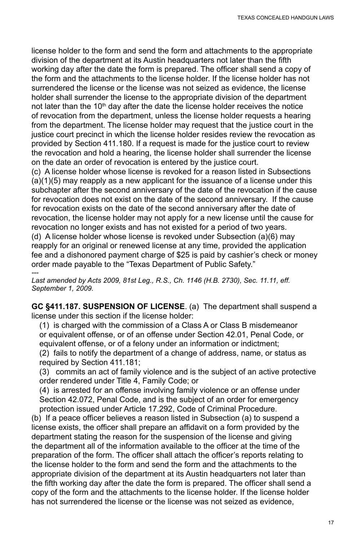license holder to the form and send the form and attachments to the appropriate division of the department at its Austin headquarters not later than the fifth working day after the date the form is prepared. The officer shall send a copy of the form and the attachments to the license holder. If the license holder has not surrendered the license or the license was not seized as evidence, the license holder shall surrender the license to the appropriate division of the department not later than the 10<sup>th</sup> day after the date the license holder receives the notice of revocation from the department, unless the license holder requests a hearing from the department. The license holder may request that the justice court in the justice court precinct in which the license holder resides review the revocation as provided by Section 411.180. If a request is made for the justice court to review the revocation and hold a hearing, the license holder shall surrender the license on the date an order of revocation is entered by the justice court.

(c) A license holder whose license is revoked for a reason listed in Subsections (a)(1)(5) may reapply as a new applicant for the issuance of a license under this subchapter after the second anniversary of the date of the revocation if the cause for revocation does not exist on the date of the second anniversary. If the cause for revocation exists on the date of the second anniversary after the date of revocation, the license holder may not apply for a new license until the cause for revocation no longer exists and has not existed for a period of two years.

(d) A license holder whose license is revoked under Subsection (a)(6) may reapply for an original or renewed license at any time, provided the application fee and a dishonored payment charge of \$25 is paid by cashier's check or money order made payable to the "Texas Department of Public Safety." *---*

*Last amended by Acts 2009, 81st Leg., R.S., Ch. 1146 (H.B. 2730), Sec. 11.11, eff. September 1, 2009.*

**GC §411.187. SUSPENSION OF LICENSE**. (a) The department shall suspend a license under this section if the license holder:

(1) is charged with the commission of a Class A or Class B misdemeanor or equivalent offense, or of an offense under Section 42.01, Penal Code, or equivalent offense, or of a felony under an information or indictment;

(2) fails to notify the department of a change of address, name, or status as required by Section 411.181;

(3) commits an act of family violence and is the subject of an active protective order rendered under Title 4, Family Code; or

(4) is arrested for an offense involving family violence or an offense under Section 42.072, Penal Code, and is the subject of an order for emergency protection issued under Article 17.292, Code of Criminal Procedure.

(b) If a peace officer believes a reason listed in Subsection (a) to suspend a license exists, the officer shall prepare an affidavit on a form provided by the department stating the reason for the suspension of the license and giving the department all of the information available to the officer at the time of the preparation of the form. The officer shall attach the officer's reports relating to the license holder to the form and send the form and the attachments to the appropriate division of the department at its Austin headquarters not later than the fifth working day after the date the form is prepared. The officer shall send a copy of the form and the attachments to the license holder. If the license holder has not surrendered the license or the license was not seized as evidence,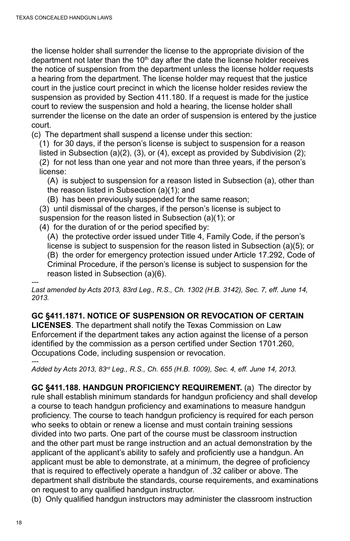the license holder shall surrender the license to the appropriate division of the department not later than the  $10<sup>th</sup>$  day after the date the license holder receives the notice of suspension from the department unless the license holder requests a hearing from the department. The license holder may request that the justice court in the justice court precinct in which the license holder resides review the suspension as provided by Section 411.180. If a request is made for the justice court to review the suspension and hold a hearing, the license holder shall surrender the license on the date an order of suspension is entered by the justice court.

(c) The department shall suspend a license under this section:

(1) for 30 days, if the person's license is subject to suspension for a reason listed in Subsection (a)(2), (3), or (4), except as provided by Subdivision (2); (2) for not less than one year and not more than three years, if the person's license:

(A) is subject to suspension for a reason listed in Subsection (a), other than the reason listed in Subsection (a)(1); and

(B) has been previously suspended for the same reason;

(3) until dismissal of the charges, if the person's license is subject to suspension for the reason listed in Subsection (a)(1); or

(4) for the duration of or the period specified by:

(A) the protective order issued under Title 4, Family Code, if the person's license is subject to suspension for the reason listed in Subsection (a)(5); or (B) the order for emergency protection issued under Article 17.292, Code of Criminal Procedure, if the person's license is subject to suspension for the reason listed in Subsection (a)(6).

*--- Last amended by Acts 2013, 83rd Leg., R.S., Ch. 1302 (H.B. 3142), Sec. 7, eff. June 14, 2013.*

#### **GC §411.1871. NOTICE OF SUSPENSION OR REVOCATION OF CERTAIN**

**LICENSES**. The department shall notify the Texas Commission on Law Enforcement if the department takes any action against the license of a person identified by the commission as a person certified under Section 1701.260, Occupations Code, including suspension or revocation.

*--- Added by Acts 2013, 83rd Leg., R.S., Ch. 655 (H.B. 1009), Sec. 4, eff. June 14, 2013.*

**GC §411.188. HANDGUN PROFICIENCY REQUIREMENT.** (a) The director by rule shall establish minimum standards for handgun proficiency and shall develop a course to teach handgun proficiency and examinations to measure handgun proficiency. The course to teach handgun proficiency is required for each person who seeks to obtain or renew a license and must contain training sessions divided into two parts. One part of the course must be classroom instruction and the other part must be range instruction and an actual demonstration by the applicant of the applicant's ability to safely and proficiently use a handgun. An applicant must be able to demonstrate, at a minimum, the degree of proficiency that is required to effectively operate a handgun of .32 caliber or above. The department shall distribute the standards, course requirements, and examinations on request to any qualified handgun instructor.

(b) Only qualified handgun instructors may administer the classroom instruction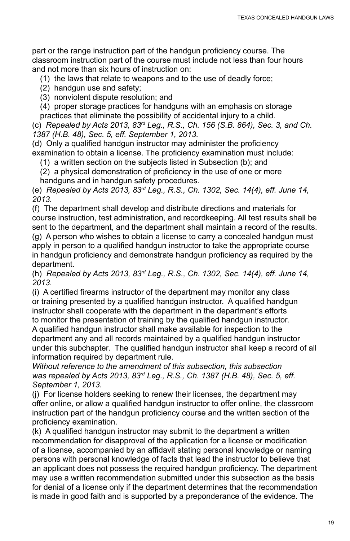part or the range instruction part of the handgun proficiency course. The classroom instruction part of the course must include not less than four hours and not more than six hours of instruction on:

(1) the laws that relate to weapons and to the use of deadly force;

(2) handgun use and safety;

(3) nonviolent dispute resolution; and

(4) proper storage practices for handguns with an emphasis on storage practices that eliminate the possibility of accidental injury to a child.

(c) *Repealed by Acts 2013, 83rd Leg., R.S., Ch. 156 (S.B. 864), Sec. 3, and Ch. 1387 (H.B. 48), Sec. 5, eff. September 1, 2013.*

(d) Only a qualified handgun instructor may administer the proficiency examination to obtain a license. The proficiency examination must include:

(1) a written section on the subjects listed in Subsection (b); and

(2) a physical demonstration of proficiency in the use of one or more

handguns and in handgun safety procedures.

(e) *Repealed by Acts 2013, 83rd Leg., R.S., Ch. 1302, Sec. 14(4), eff. June 14, 2013.*

(f) The department shall develop and distribute directions and materials for course instruction, test administration, and recordkeeping. All test results shall be sent to the department, and the department shall maintain a record of the results. (g) A person who wishes to obtain a license to carry a concealed handgun must apply in person to a qualified handgun instructor to take the appropriate course in handgun proficiency and demonstrate handgun proficiency as required by the department.

(h) *Repealed by Acts 2013, 83rd Leg., R.S., Ch. 1302, Sec. 14(4), eff. June 14, 2013.*

(i) A certified firearms instructor of the department may monitor any class or training presented by a qualified handgun instructor. A qualified handgun instructor shall cooperate with the department in the department's efforts to monitor the presentation of training by the qualified handgun instructor.

A qualified handgun instructor shall make available for inspection to the department any and all records maintained by a qualified handgun instructor under this subchapter. The qualified handgun instructor shall keep a record of all information required by department rule.

*Without reference to the amendment of this subsection, this subsection was repealed by Acts 2013, 83rd Leg., R.S., Ch. 1387 (H.B. 48), Sec. 5, eff. September 1, 2013.*

(j) For license holders seeking to renew their licenses, the department may offer online, or allow a qualified handgun instructor to offer online, the classroom instruction part of the handgun proficiency course and the written section of the proficiency examination.

(k) A qualified handgun instructor may submit to the department a written recommendation for disapproval of the application for a license or modification of a license, accompanied by an affidavit stating personal knowledge or naming persons with personal knowledge of facts that lead the instructor to believe that an applicant does not possess the required handgun proficiency. The department may use a written recommendation submitted under this subsection as the basis for denial of a license only if the department determines that the recommendation is made in good faith and is supported by a preponderance of the evidence. The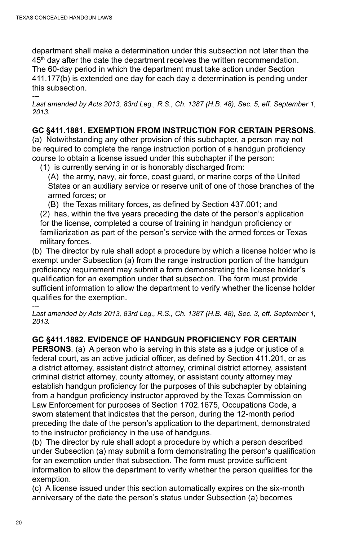department shall make a determination under this subsection not later than the 45<sup>th</sup> day after the date the department receives the written recommendation. The 60-day period in which the department must take action under Section 411.177(b) is extended one day for each day a determination is pending under this subsection.

*--- Last amended by Acts 2013, 83rd Leg., R.S., Ch. 1387 (H.B. 48), Sec. 5, eff. September 1, 2013.*

#### **GC §411.1881. EXEMPTION FROM INSTRUCTION FOR CERTAIN PERSONS**.

(a) Notwithstanding any other provision of this subchapter, a person may not be required to complete the range instruction portion of a handgun proficiency course to obtain a license issued under this subchapter if the person:

(1) is currently serving in or is honorably discharged from:

(A) the army, navy, air force, coast guard, or marine corps of the United States or an auxiliary service or reserve unit of one of those branches of the armed forces; or

(B) the Texas military forces, as defined by Section 437.001; and (2) has, within the five years preceding the date of the person's application for the license, completed a course of training in handgun proficiency or familiarization as part of the person's service with the armed forces or Texas military forces.

(b) The director by rule shall adopt a procedure by which a license holder who is exempt under Subsection (a) from the range instruction portion of the handgun proficiency requirement may submit a form demonstrating the license holder's qualification for an exemption under that subsection. The form must provide sufficient information to allow the department to verify whether the license holder qualifies for the exemption.

*--- Last amended by Acts 2013, 83rd Leg., R.S., Ch. 1387 (H.B. 48), Sec. 3, eff. September 1, 2013.*

#### **GC §411.1882. EVIDENCE OF HANDGUN PROFICIENCY FOR CERTAIN**

**PERSONS**. (a) A person who is serving in this state as a judge or justice of a federal court, as an active judicial officer, as defined by Section 411.201, or as a district attorney, assistant district attorney, criminal district attorney, assistant criminal district attorney, county attorney, or assistant county attorney may establish handgun proficiency for the purposes of this subchapter by obtaining from a handgun proficiency instructor approved by the Texas Commission on Law Enforcement for purposes of Section 1702.1675, Occupations Code, a sworn statement that indicates that the person, during the 12-month period preceding the date of the person's application to the department, demonstrated to the instructor proficiency in the use of handguns.

(b) The director by rule shall adopt a procedure by which a person described under Subsection (a) may submit a form demonstrating the person's qualification for an exemption under that subsection. The form must provide sufficient information to allow the department to verify whether the person qualifies for the exemption.

(c) A license issued under this section automatically expires on the six-month anniversary of the date the person's status under Subsection (a) becomes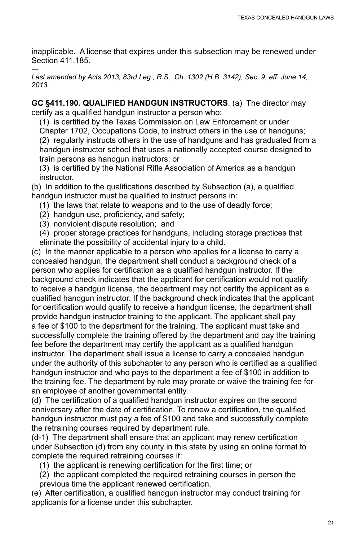inapplicable. A license that expires under this subsection may be renewed under Section 411.185.

*--- Last amended by Acts 2013, 83rd Leg., R.S., Ch. 1302 (H.B. 3142), Sec. 9, eff. June 14, 2013.*

**GC §411.190. QUALIFIED HANDGUN INSTRUCTORS**. (a) The director may certify as a qualified handgun instructor a person who:

(1) is certified by the Texas Commission on Law Enforcement or under

Chapter 1702, Occupations Code, to instruct others in the use of handguns;

(2) regularly instructs others in the use of handguns and has graduated from a handgun instructor school that uses a nationally accepted course designed to train persons as handgun instructors; or

(3) is certified by the National Rifle Association of America as a handgun instructor.

(b) In addition to the qualifications described by Subsection (a), a qualified handgun instructor must be qualified to instruct persons in:

- (1) the laws that relate to weapons and to the use of deadly force;
- (2) handgun use, proficiency, and safety;
- (3) nonviolent dispute resolution; and
- (4) proper storage practices for handguns, including storage practices that eliminate the possibility of accidental injury to a child.

(c) In the manner applicable to a person who applies for a license to carry a concealed handgun, the department shall conduct a background check of a person who applies for certification as a qualified handgun instructor. If the background check indicates that the applicant for certification would not qualify to receive a handgun license, the department may not certify the applicant as a qualified handgun instructor. If the background check indicates that the applicant for certification would qualify to receive a handgun license, the department shall provide handgun instructor training to the applicant. The applicant shall pay a fee of \$100 to the department for the training. The applicant must take and successfully complete the training offered by the department and pay the training fee before the department may certify the applicant as a qualified handgun instructor. The department shall issue a license to carry a concealed handgun under the authority of this subchapter to any person who is certified as a qualified handgun instructor and who pays to the department a fee of \$100 in addition to the training fee. The department by rule may prorate or waive the training fee for an employee of another governmental entity.

(d) The certification of a qualified handgun instructor expires on the second anniversary after the date of certification. To renew a certification, the qualified handgun instructor must pay a fee of \$100 and take and successfully complete the retraining courses required by department rule.

(d-1) The department shall ensure that an applicant may renew certification under Subsection (d) from any county in this state by using an online format to complete the required retraining courses if:

- (1) the applicant is renewing certification for the first time; or
- (2) the applicant completed the required retraining courses in person the previous time the applicant renewed certification.

(e) After certification, a qualified handgun instructor may conduct training for applicants for a license under this subchapter.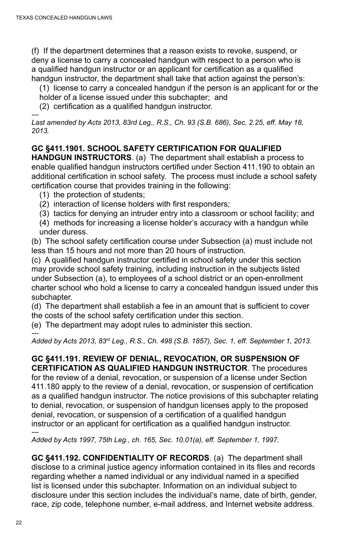(f) If the department determines that a reason exists to revoke, suspend, or deny a license to carry a concealed handgun with respect to a person who is a qualified handgun instructor or an applicant for certification as a qualified handgun instructor, the department shall take that action against the person's:

(1) license to carry a concealed handgun if the person is an applicant for or the holder of a license issued under this subchapter; and

(2) certification as a qualified handgun instructor.

*---*

*Last amended by Acts 2013, 83rd Leg., R.S., Ch. 93 (S.B. 686), Sec. 2.25, eff. May 18, 2013.*

#### **GC §411.1901. SCHOOL SAFETY CERTIFICATION FOR QUALIFIED**

**HANDGUN INSTRUCTORS**. (a) The department shall establish a process to enable qualified handgun instructors certified under Section 411.190 to obtain an additional certification in school safety. The process must include a school safety certification course that provides training in the following:

- (1) the protection of students;
- (2) interaction of license holders with first responders;
- (3) tactics for denying an intruder entry into a classroom or school facility; and
- (4) methods for increasing a license holder's accuracy with a handgun while under duress.

(b) The school safety certification course under Subsection (a) must include not less than 15 hours and not more than 20 hours of instruction.

(c) A qualified handgun instructor certified in school safety under this section may provide school safety training, including instruction in the subjects listed under Subsection (a), to employees of a school district or an open-enrollment charter school who hold a license to carry a concealed handgun issued under this subchapter.

(d) The department shall establish a fee in an amount that is sufficient to cover the costs of the school safety certification under this section.

(e) The department may adopt rules to administer this section.

*---*

*Added by Acts 2013, 83rd Leg., R.S., Ch. 498 (S.B. 1857), Sec. 1, eff. September 1, 2013.*

**GC §411.191. REVIEW OF DENIAL, REVOCATION, OR SUSPENSION OF CERTIFICATION AS QUALIFIED HANDGUN INSTRUCTOR**. The procedures for the review of a denial, revocation, or suspension of a license under Section 411.180 apply to the review of a denial, revocation, or suspension of certification as a qualified handgun instructor. The notice provisions of this subchapter relating to denial, revocation, or suspension of handgun licenses apply to the proposed denial, revocation, or suspension of a certification of a qualified handgun instructor or an applicant for certification as a qualified handgun instructor. *---*

*Added by Acts 1997, 75th Leg., ch. 165, Sec. 10.01(a), eff. September 1, 1997.*

**GC §411.192. CONFIDENTIALITY OF RECORDS**. (a) The department shall disclose to a criminal justice agency information contained in its files and records regarding whether a named individual or any individual named in a specified list is licensed under this subchapter. Information on an individual subject to disclosure under this section includes the individual's name, date of birth, gender, race, zip code, telephone number, e-mail address, and Internet website address.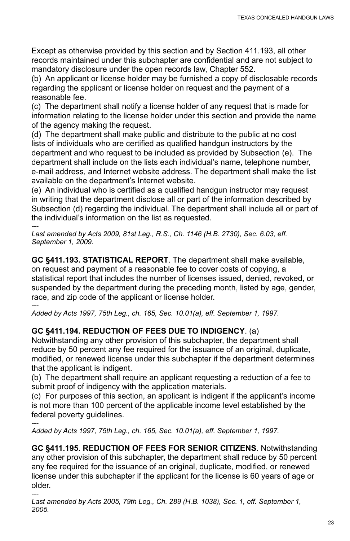Except as otherwise provided by this section and by Section 411.193, all other records maintained under this subchapter are confidential and are not subject to mandatory disclosure under the open records law, Chapter 552.

(b) An applicant or license holder may be furnished a copy of disclosable records regarding the applicant or license holder on request and the payment of a reasonable fee.

(c) The department shall notify a license holder of any request that is made for information relating to the license holder under this section and provide the name of the agency making the request.

(d) The department shall make public and distribute to the public at no cost lists of individuals who are certified as qualified handgun instructors by the department and who request to be included as provided by Subsection (e). The department shall include on the lists each individual's name, telephone number, e-mail address, and Internet website address. The department shall make the list available on the department's Internet website.

(e) An individual who is certified as a qualified handgun instructor may request in writing that the department disclose all or part of the information described by Subsection (d) regarding the individual. The department shall include all or part of the individual's information on the list as requested.

*---* Last amended by Acts 2009, 81st Leg., R.S., Ch. 1146 (H.B. 2730), Sec. 6.03, eff. *September 1, 2009.*

**GC §411.193. STATISTICAL REPORT**. The department shall make available, on request and payment of a reasonable fee to cover costs of copying, a statistical report that includes the number of licenses issued, denied, revoked, or suspended by the department during the preceding month, listed by age, gender, race, and zip code of the applicant or license holder. *---*

*Added by Acts 1997, 75th Leg., ch. 165, Sec. 10.01(a), eff. September 1, 1997.*

#### **GC §411.194. REDUCTION OF FEES DUE TO INDIGENCY**. (a)

Notwithstanding any other provision of this subchapter, the department shall reduce by 50 percent any fee required for the issuance of an original, duplicate, modified, or renewed license under this subchapter if the department determines that the applicant is indigent.

(b) The department shall require an applicant requesting a reduction of a fee to submit proof of indigency with the application materials.

(c) For purposes of this section, an applicant is indigent if the applicant's income is not more than 100 percent of the applicable income level established by the federal poverty guidelines.

*--- Added by Acts 1997, 75th Leg., ch. 165, Sec. 10.01(a), eff. September 1, 1997.*

**GC §411.195. REDUCTION OF FEES FOR SENIOR CITIZENS**. Notwithstanding any other provision of this subchapter, the department shall reduce by 50 percent any fee required for the issuance of an original, duplicate, modified, or renewed license under this subchapter if the applicant for the license is 60 years of age or older.

*--- Last amended by Acts 2005, 79th Leg., Ch. 289 (H.B. 1038), Sec. 1, eff. September 1, 2005.*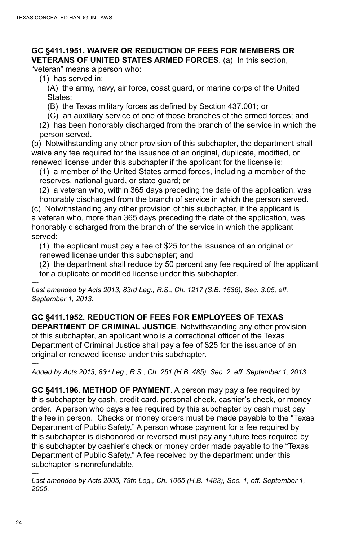#### **GC §411.1951. WAIVER OR REDUCTION OF FEES FOR MEMBERS OR VETERANS OF UNITED STATES ARMED FORCES**. (a) In this section,

"veteran" means a person who:

(1) has served in:

(A) the army, navy, air force, coast guard, or marine corps of the United States:

(B) the Texas military forces as defined by Section 437.001; or

(C) an auxiliary service of one of those branches of the armed forces; and

(2) has been honorably discharged from the branch of the service in which the person served.

(b) Notwithstanding any other provision of this subchapter, the department shall waive any fee required for the issuance of an original, duplicate, modified, or renewed license under this subchapter if the applicant for the license is:

(1) a member of the United States armed forces, including a member of the reserves, national guard, or state guard; or

(2) a veteran who, within 365 days preceding the date of the application, was honorably discharged from the branch of service in which the person served.

(c) Notwithstanding any other provision of this subchapter, if the applicant is a veteran who, more than 365 days preceding the date of the application, was honorably discharged from the branch of the service in which the applicant served:

(1) the applicant must pay a fee of \$25 for the issuance of an original or renewed license under this subchapter; and

(2) the department shall reduce by 50 percent any fee required of the applicant for a duplicate or modified license under this subchapter.

*--- Last amended by Acts 2013, 83rd Leg., R.S., Ch. 1217 (S.B. 1536), Sec. 3.05, eff. September 1, 2013.*

**GC §411.1952. REDUCTION OF FEES FOR EMPLOYEES OF TEXAS DEPARTMENT OF CRIMINAL JUSTICE**. Notwithstanding any other provision of this subchapter, an applicant who is a correctional officer of the Texas Department of Criminal Justice shall pay a fee of \$25 for the issuance of an original or renewed license under this subchapter.

*---*

*Added by Acts 2013, 83rd Leg., R.S., Ch. 251 (H.B. 485), Sec. 2, eff. September 1, 2013.*

**GC §411.196. METHOD OF PAYMENT**. A person may pay a fee required by this subchapter by cash, credit card, personal check, cashier's check, or money order. A person who pays a fee required by this subchapter by cash must pay the fee in person. Checks or money orders must be made payable to the "Texas Department of Public Safety." A person whose payment for a fee required by this subchapter is dishonored or reversed must pay any future fees required by this subchapter by cashier's check or money order made payable to the "Texas Department of Public Safety." A fee received by the department under this subchapter is nonrefundable.

*--- Last amended by Acts 2005, 79th Leg., Ch. 1065 (H.B. 1483), Sec. 1, eff. September 1, 2005.*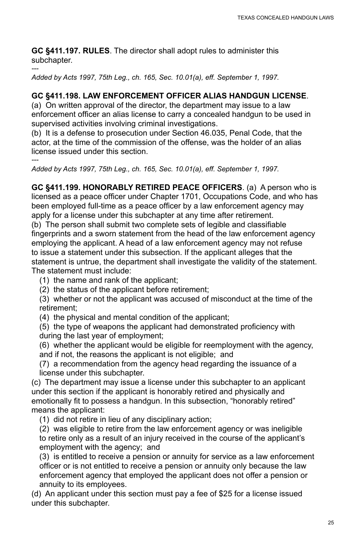**GC §411.197. RULES**. The director shall adopt rules to administer this subchapter.

*---*

*Added by Acts 1997, 75th Leg., ch. 165, Sec. 10.01(a), eff. September 1, 1997.*

#### **GC §411.198. LAW ENFORCEMENT OFFICER ALIAS HANDGUN LICENSE**.

(a) On written approval of the director, the department may issue to a law enforcement officer an alias license to carry a concealed handgun to be used in supervised activities involving criminal investigations.

(b) It is a defense to prosecution under Section 46.035, Penal Code, that the actor, at the time of the commission of the offense, was the holder of an alias license issued under this section.

*---*

*Added by Acts 1997, 75th Leg., ch. 165, Sec. 10.01(a), eff. September 1, 1997.*

**GC §411.199. HONORABLY RETIRED PEACE OFFICERS**. (a) A person who is licensed as a peace officer under Chapter 1701, Occupations Code, and who has been employed full-time as a peace officer by a law enforcement agency may apply for a license under this subchapter at any time after retirement.

(b) The person shall submit two complete sets of legible and classifiable fingerprints and a sworn statement from the head of the law enforcement agency employing the applicant. A head of a law enforcement agency may not refuse to issue a statement under this subsection. If the applicant alleges that the statement is untrue, the department shall investigate the validity of the statement. The statement must include:

(1) the name and rank of the applicant;

(2) the status of the applicant before retirement;

(3) whether or not the applicant was accused of misconduct at the time of the retirement;

(4) the physical and mental condition of the applicant;

(5) the type of weapons the applicant had demonstrated proficiency with during the last year of employment;

(6) whether the applicant would be eligible for reemployment with the agency, and if not, the reasons the applicant is not eligible; and

(7) a recommendation from the agency head regarding the issuance of a license under this subchapter.

(c) The department may issue a license under this subchapter to an applicant under this section if the applicant is honorably retired and physically and emotionally fit to possess a handgun. In this subsection, "honorably retired" means the applicant:

(1) did not retire in lieu of any disciplinary action;

(2) was eligible to retire from the law enforcement agency or was ineligible to retire only as a result of an injury received in the course of the applicant's employment with the agency; and

(3) is entitled to receive a pension or annuity for service as a law enforcement officer or is not entitled to receive a pension or annuity only because the law enforcement agency that employed the applicant does not offer a pension or annuity to its employees.

(d) An applicant under this section must pay a fee of \$25 for a license issued under this subchapter.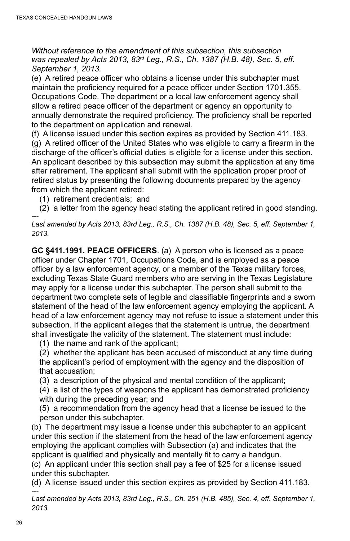*Without reference to the amendment of this subsection, this subsection was repealed by Acts 2013, 83rd Leg., R.S., Ch. 1387 (H.B. 48), Sec. 5, eff. September 1, 2013.*

(e) A retired peace officer who obtains a license under this subchapter must maintain the proficiency required for a peace officer under Section 1701.355, Occupations Code. The department or a local law enforcement agency shall allow a retired peace officer of the department or agency an opportunity to annually demonstrate the required proficiency. The proficiency shall be reported to the department on application and renewal.

(f) A license issued under this section expires as provided by Section 411.183. (g) A retired officer of the United States who was eligible to carry a firearm in the discharge of the officer's official duties is eligible for a license under this section. An applicant described by this subsection may submit the application at any time after retirement. The applicant shall submit with the application proper proof of retired status by presenting the following documents prepared by the agency from which the applicant retired:

(1) retirement credentials; and

(2) a letter from the agency head stating the applicant retired in good standing. *---*

*Last amended by Acts 2013, 83rd Leg., R.S., Ch. 1387 (H.B. 48), Sec. 5, eff. September 1, 2013.*

**GC §411.1991. PEACE OFFICERS**. (a) A person who is licensed as a peace officer under Chapter 1701, Occupations Code, and is employed as a peace officer by a law enforcement agency, or a member of the Texas military forces, excluding Texas State Guard members who are serving in the Texas Legislature may apply for a license under this subchapter. The person shall submit to the department two complete sets of legible and classifiable fingerprints and a sworn statement of the head of the law enforcement agency employing the applicant. A head of a law enforcement agency may not refuse to issue a statement under this subsection. If the applicant alleges that the statement is untrue, the department shall investigate the validity of the statement. The statement must include:

(1) the name and rank of the applicant;

(2) whether the applicant has been accused of misconduct at any time during the applicant's period of employment with the agency and the disposition of that accusation;

(3) a description of the physical and mental condition of the applicant;

(4) a list of the types of weapons the applicant has demonstrated proficiency with during the preceding year; and

(5) a recommendation from the agency head that a license be issued to the person under this subchapter.

(b) The department may issue a license under this subchapter to an applicant under this section if the statement from the head of the law enforcement agency employing the applicant complies with Subsection (a) and indicates that the applicant is qualified and physically and mentally fit to carry a handgun.

(c) An applicant under this section shall pay a fee of \$25 for a license issued under this subchapter.

(d) A license issued under this section expires as provided by Section 411.183. *---*

*Last amended by Acts 2013, 83rd Leg., R.S., Ch. 251 (H.B. 485), Sec. 4, eff. September 1, 2013.*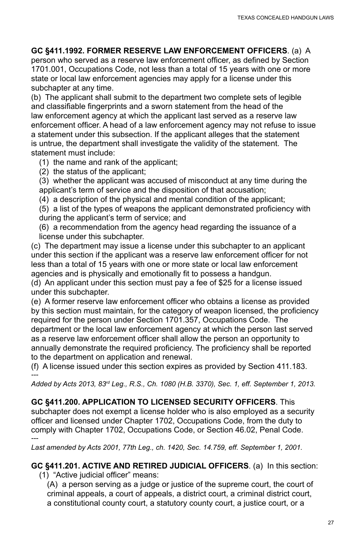#### **GC §411.1992. FORMER RESERVE LAW ENFORCEMENT OFFICERS**. (a) A

person who served as a reserve law enforcement officer, as defined by Section 1701.001, Occupations Code, not less than a total of 15 years with one or more state or local law enforcement agencies may apply for a license under this subchapter at any time.

(b) The applicant shall submit to the department two complete sets of legible and classifiable fingerprints and a sworn statement from the head of the law enforcement agency at which the applicant last served as a reserve law enforcement officer. A head of a law enforcement agency may not refuse to issue a statement under this subsection. If the applicant alleges that the statement is untrue, the department shall investigate the validity of the statement. The statement must include:

(1) the name and rank of the applicant;

(2) the status of the applicant;

(3) whether the applicant was accused of misconduct at any time during the applicant's term of service and the disposition of that accusation;

(4) a description of the physical and mental condition of the applicant;

(5) a list of the types of weapons the applicant demonstrated proficiency with during the applicant's term of service; and

(6) a recommendation from the agency head regarding the issuance of a license under this subchapter.

(c) The department may issue a license under this subchapter to an applicant under this section if the applicant was a reserve law enforcement officer for not less than a total of 15 years with one or more state or local law enforcement agencies and is physically and emotionally fit to possess a handgun.

(d) An applicant under this section must pay a fee of \$25 for a license issued under this subchapter.

(e) A former reserve law enforcement officer who obtains a license as provided by this section must maintain, for the category of weapon licensed, the proficiency required for the person under Section 1701.357, Occupations Code. The department or the local law enforcement agency at which the person last served as a reserve law enforcement officer shall allow the person an opportunity to annually demonstrate the required proficiency. The proficiency shall be reported to the department on application and renewal.

(f) A license issued under this section expires as provided by Section 411.183. *---*

*Added by Acts 2013, 83rd Leg., R.S., Ch. 1080 (H.B. 3370), Sec. 1, eff. September 1, 2013.*

#### **GC §411.200. APPLICATION TO LICENSED SECURITY OFFICERS**. This subchapter does not exempt a license holder who is also employed as a security officer and licensed under Chapter 1702, Occupations Code, from the duty to comply with Chapter 1702, Occupations Code, or Section 46.02, Penal Code.

*Last amended by Acts 2001, 77th Leg., ch. 1420, Sec. 14.759, eff. September 1, 2001.*

### **GC §411.201. ACTIVE AND RETIRED JUDICIAL OFFICERS**. (a) In this section:

(1) "Active judicial officer" means:

*---*

(A) a person serving as a judge or justice of the supreme court, the court of criminal appeals, a court of appeals, a district court, a criminal district court, a constitutional county court, a statutory county court, a justice court, or a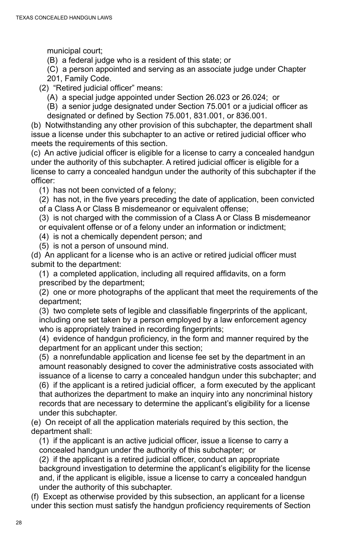municipal court;

(B) a federal judge who is a resident of this state; or

(C) a person appointed and serving as an associate judge under Chapter 201, Family Code.

(2) "Retired judicial officer" means:

(A) a special judge appointed under Section 26.023 or 26.024; or

(B) a senior judge designated under Section 75.001 or a judicial officer as designated or defined by Section 75.001, 831.001, or 836.001.

(b) Notwithstanding any other provision of this subchapter, the department shall issue a license under this subchapter to an active or retired judicial officer who meets the requirements of this section.

(c) An active judicial officer is eligible for a license to carry a concealed handgun under the authority of this subchapter. A retired judicial officer is eligible for a license to carry a concealed handgun under the authority of this subchapter if the officer:

(1) has not been convicted of a felony;

(2) has not, in the five years preceding the date of application, been convicted of a Class A or Class B misdemeanor or equivalent offense;

(3) is not charged with the commission of a Class A or Class B misdemeanor or equivalent offense or of a felony under an information or indictment;

(4) is not a chemically dependent person; and

(5) is not a person of unsound mind.

(d) An applicant for a license who is an active or retired judicial officer must submit to the department:

(1) a completed application, including all required affidavits, on a form prescribed by the department;

(2) one or more photographs of the applicant that meet the requirements of the department;

(3) two complete sets of legible and classifiable fingerprints of the applicant, including one set taken by a person employed by a law enforcement agency who is appropriately trained in recording fingerprints;

(4) evidence of handgun proficiency, in the form and manner required by the department for an applicant under this section;

(5) a nonrefundable application and license fee set by the department in an amount reasonably designed to cover the administrative costs associated with issuance of a license to carry a concealed handgun under this subchapter; and (6) if the applicant is a retired judicial officer, a form executed by the applicant that authorizes the department to make an inquiry into any noncriminal history records that are necessary to determine the applicant's eligibility for a license under this subchapter.

(e) On receipt of all the application materials required by this section, the department shall:

(1) if the applicant is an active judicial officer, issue a license to carry a concealed handgun under the authority of this subchapter; or

(2) if the applicant is a retired judicial officer, conduct an appropriate background investigation to determine the applicant's eligibility for the license and, if the applicant is eligible, issue a license to carry a concealed handgun under the authority of this subchapter.

(f) Except as otherwise provided by this subsection, an applicant for a license under this section must satisfy the handgun proficiency requirements of Section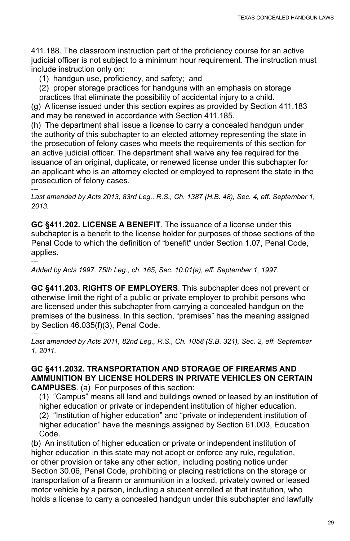411.188. The classroom instruction part of the proficiency course for an active judicial officer is not subject to a minimum hour requirement. The instruction must include instruction only on:

(1) handgun use, proficiency, and safety; and

(2) proper storage practices for handguns with an emphasis on storage practices that eliminate the possibility of accidental injury to a child.

(g) A license issued under this section expires as provided by Section 411.183 and may be renewed in accordance with Section 411.185.

(h) The department shall issue a license to carry a concealed handgun under the authority of this subchapter to an elected attorney representing the state in the prosecution of felony cases who meets the requirements of this section for an active judicial officer. The department shall waive any fee required for the issuance of an original, duplicate, or renewed license under this subchapter for an applicant who is an attorney elected or employed to represent the state in the prosecution of felony cases.

*---*

*Last amended by Acts 2013, 83rd Leg., R.S., Ch. 1387 (H.B. 48), Sec. 4, eff. September 1, 2013.*

**GC §411.202. LICENSE A BENEFIT**. The issuance of a license under this subchapter is a benefit to the license holder for purposes of those sections of the Penal Code to which the definition of "benefit" under Section 1.07, Penal Code, applies.

*---*

*Added by Acts 1997, 75th Leg., ch. 165, Sec. 10.01(a), eff. September 1, 1997.*

**GC §411.203. RIGHTS OF EMPLOYERS**. This subchapter does not prevent or otherwise limit the right of a public or private employer to prohibit persons who are licensed under this subchapter from carrying a concealed handgun on the premises of the business. In this section, "premises" has the meaning assigned by Section 46.035(f)(3), Penal Code.

*--- Last amended by Acts 2011, 82nd Leg., R.S., Ch. 1058 (S.B. 321), Sec. 2, eff. September 1, 2011.*

#### **GC §411.2032. TRANSPORTATION AND STORAGE OF FIREARMS AND AMMUNITION BY LICENSE HOLDERS IN PRIVATE VEHICLES ON CERTAIN CAMPUSES**. (a) For purposes of this section:

(1) "Campus" means all land and buildings owned or leased by an institution of higher education or private or independent institution of higher education. (2) "Institution of higher education" and "private or independent institution of higher education" have the meanings assigned by Section 61.003, Education Code.

(b) An institution of higher education or private or independent institution of higher education in this state may not adopt or enforce any rule, regulation, or other provision or take any other action, including posting notice under Section 30.06, Penal Code, prohibiting or placing restrictions on the storage or transportation of a firearm or ammunition in a locked, privately owned or leased motor vehicle by a person, including a student enrolled at that institution, who holds a license to carry a concealed handgun under this subchapter and lawfully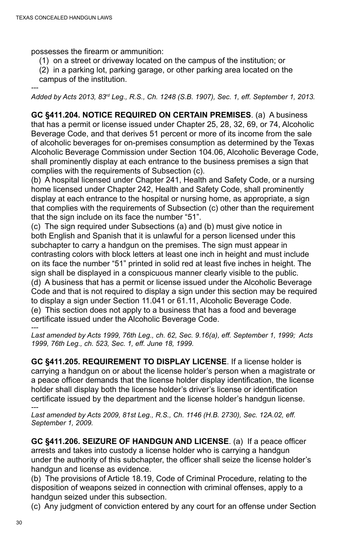possesses the firearm or ammunition:

(1) on a street or driveway located on the campus of the institution; or

(2) in a parking lot, parking garage, or other parking area located on the

campus of the institution. *---*

*Added by Acts 2013, 83rd Leg., R.S., Ch. 1248 (S.B. 1907), Sec. 1, eff. September 1, 2013.*

**GC §411.204. NOTICE REQUIRED ON CERTAIN PREMISES**. (a) A business that has a permit or license issued under Chapter 25, 28, 32, 69, or 74, Alcoholic Beverage Code, and that derives 51 percent or more of its income from the sale of alcoholic beverages for on-premises consumption as determined by the Texas Alcoholic Beverage Commission under Section 104.06, Alcoholic Beverage Code, shall prominently display at each entrance to the business premises a sign that complies with the requirements of Subsection (c).

(b) A hospital licensed under Chapter 241, Health and Safety Code, or a nursing home licensed under Chapter 242, Health and Safety Code, shall prominently display at each entrance to the hospital or nursing home, as appropriate, a sign that complies with the requirements of Subsection (c) other than the requirement that the sign include on its face the number "51".

(c) The sign required under Subsections (a) and (b) must give notice in both English and Spanish that it is unlawful for a person licensed under this subchapter to carry a handgun on the premises. The sign must appear in contrasting colors with block letters at least one inch in height and must include on its face the number "51" printed in solid red at least five inches in height. The sign shall be displayed in a conspicuous manner clearly visible to the public. (d) A business that has a permit or license issued under the Alcoholic Beverage Code and that is not required to display a sign under this section may be required to display a sign under Section 11.041 or 61.11, Alcoholic Beverage Code. (e) This section does not apply to a business that has a food and beverage certificate issued under the Alcoholic Beverage Code.

*--- Last amended by Acts 1999, 76th Leg., ch. 62, Sec. 9.16(a), eff. September 1, 1999; Acts 1999, 76th Leg., ch. 523, Sec. 1, eff. June 18, 1999.*

**GC §411.205. REQUIREMENT TO DISPLAY LICENSE**. If a license holder is carrying a handgun on or about the license holder's person when a magistrate or a peace officer demands that the license holder display identification, the license holder shall display both the license holder's driver's license or identification certificate issued by the department and the license holder's handgun license. *---*

*Last amended by Acts 2009, 81st Leg., R.S., Ch. 1146 (H.B. 2730), Sec. 12A.02, eff. September 1, 2009.*

**GC §411.206. SEIZURE OF HANDGUN AND LICENSE**. (a) If a peace officer arrests and takes into custody a license holder who is carrying a handgun under the authority of this subchapter, the officer shall seize the license holder's handgun and license as evidence.

(b) The provisions of Article 18.19, Code of Criminal Procedure, relating to the disposition of weapons seized in connection with criminal offenses, apply to a handgun seized under this subsection.

(c) Any judgment of conviction entered by any court for an offense under Section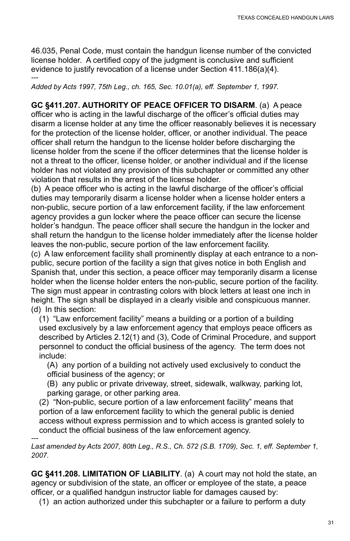46.035, Penal Code, must contain the handgun license number of the convicted license holder. A certified copy of the judgment is conclusive and sufficient evidence to justify revocation of a license under Section 411.186(a)(4).

*Added by Acts 1997, 75th Leg., ch. 165, Sec. 10.01(a), eff. September 1, 1997.*

*---*

**GC §411.207. AUTHORITY OF PEACE OFFICER TO DISARM**. (a) A peace officer who is acting in the lawful discharge of the officer's official duties may disarm a license holder at any time the officer reasonably believes it is necessary for the protection of the license holder, officer, or another individual. The peace officer shall return the handgun to the license holder before discharging the license holder from the scene if the officer determines that the license holder is not a threat to the officer, license holder, or another individual and if the license holder has not violated any provision of this subchapter or committed any other violation that results in the arrest of the license holder.

(b) A peace officer who is acting in the lawful discharge of the officer's official duties may temporarily disarm a license holder when a license holder enters a non-public, secure portion of a law enforcement facility, if the law enforcement agency provides a gun locker where the peace officer can secure the license holder's handgun. The peace officer shall secure the handgun in the locker and shall return the handgun to the license holder immediately after the license holder leaves the non-public, secure portion of the law enforcement facility.

(c) A law enforcement facility shall prominently display at each entrance to a nonpublic, secure portion of the facility a sign that gives notice in both English and Spanish that, under this section, a peace officer may temporarily disarm a license holder when the license holder enters the non-public, secure portion of the facility. The sign must appear in contrasting colors with block letters at least one inch in height. The sign shall be displayed in a clearly visible and conspicuous manner. (d) In this section:

(1) "Law enforcement facility" means a building or a portion of a building used exclusively by a law enforcement agency that employs peace officers as described by Articles 2.12(1) and (3), Code of Criminal Procedure, and support personnel to conduct the official business of the agency. The term does not include:

(A) any portion of a building not actively used exclusively to conduct the official business of the agency; or

(B) any public or private driveway, street, sidewalk, walkway, parking lot, parking garage, or other parking area.

(2) "Non-public, secure portion of a law enforcement facility" means that portion of a law enforcement facility to which the general public is denied access without express permission and to which access is granted solely to conduct the official business of the law enforcement agency.

*--- Last amended by Acts 2007, 80th Leg., R.S., Ch. 572 (S.B. 1709), Sec. 1, eff. September 1, 2007.*

**GC §411.208. LIMITATION OF LIABILITY**. (a) A court may not hold the state, an agency or subdivision of the state, an officer or employee of the state, a peace officer, or a qualified handgun instructor liable for damages caused by:

(1) an action authorized under this subchapter or a failure to perform a duty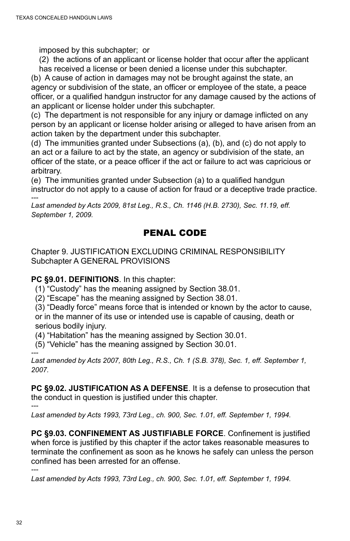imposed by this subchapter; or

(2) the actions of an applicant or license holder that occur after the applicant has received a license or been denied a license under this subchapter.

(b) A cause of action in damages may not be brought against the state, an agency or subdivision of the state, an officer or employee of the state, a peace officer, or a qualified handgun instructor for any damage caused by the actions of an applicant or license holder under this subchapter.

(c) The department is not responsible for any injury or damage inflicted on any person by an applicant or license holder arising or alleged to have arisen from an action taken by the department under this subchapter.

(d) The immunities granted under Subsections (a), (b), and (c) do not apply to an act or a failure to act by the state, an agency or subdivision of the state, an officer of the state, or a peace officer if the act or failure to act was capricious or arbitrary.

(e) The immunities granted under Subsection (a) to a qualified handgun instructor do not apply to a cause of action for fraud or a deceptive trade practice. *---*

Last amended by Acts 2009, 81st Leg., R.S., Ch. 1146 (H.B. 2730), Sec. 11.19, eff. *September 1, 2009.*

#### PENAL CODE

Chapter 9. JUSTIFICATION EXCLUDING CRIMINAL RESPONSIBILITY Subchapter A GENERAL PROVISIONS

#### **PC §9.01. DEFINITIONS**. In this chapter:

(1) "Custody" has the meaning assigned by Section 38.01.

(2) "Escape" has the meaning assigned by Section 38.01.

(3) "Deadly force" means force that is intended or known by the actor to cause, or in the manner of its use or intended use is capable of causing, death or serious bodily injury.

(4) "Habitation" has the meaning assigned by Section 30.01.

(5) "Vehicle" has the meaning assigned by Section 30.01.

*---*

*Last amended by Acts 2007, 80th Leg., R.S., Ch. 1 (S.B. 378), Sec. 1, eff. September 1, 2007.*

**PC §9.02. JUSTIFICATION AS A DEFENSE**. It is a defense to prosecution that the conduct in question is justified under this chapter.

*---*

*---*

*Last amended by Acts 1993, 73rd Leg., ch. 900, Sec. 1.01, eff. September 1, 1994.*

**PC §9.03. CONFINEMENT AS JUSTIFIABLE FORCE**. Confinement is justified when force is justified by this chapter if the actor takes reasonable measures to terminate the confinement as soon as he knows he safely can unless the person confined has been arrested for an offense.

*Last amended by Acts 1993, 73rd Leg., ch. 900, Sec. 1.01, eff. September 1, 1994.*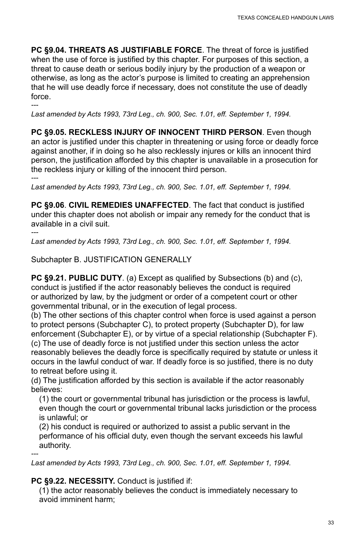**PC §9.04. THREATS AS JUSTIFIABLE FORCE**. The threat of force is justified when the use of force is justified by this chapter. For purposes of this section, a threat to cause death or serious bodily injury by the production of a weapon or otherwise, as long as the actor's purpose is limited to creating an apprehension that he will use deadly force if necessary, does not constitute the use of deadly force.

*---*

*Last amended by Acts 1993, 73rd Leg., ch. 900, Sec. 1.01, eff. September 1, 1994.*

**PC §9.05. RECKLESS INJURY OF INNOCENT THIRD PERSON**. Even though an actor is justified under this chapter in threatening or using force or deadly force against another, if in doing so he also recklessly injures or kills an innocent third person, the justification afforded by this chapter is unavailable in a prosecution for the reckless injury or killing of the innocent third person.

*---*

*Last amended by Acts 1993, 73rd Leg., ch. 900, Sec. 1.01, eff. September 1, 1994.*

**PC §9.06**. **CIVIL REMEDIES UNAFFECTED**. The fact that conduct is justified under this chapter does not abolish or impair any remedy for the conduct that is available in a civil suit.

*---*

*Last amended by Acts 1993, 73rd Leg., ch. 900, Sec. 1.01, eff. September 1, 1994.*

Subchapter B. JUSTIFICATION GENERALLY

**PC §9.21. PUBLIC DUTY**. (a) Except as qualified by Subsections (b) and (c), conduct is justified if the actor reasonably believes the conduct is required or authorized by law, by the judgment or order of a competent court or other governmental tribunal, or in the execution of legal process.

(b) The other sections of this chapter control when force is used against a person to protect persons (Subchapter C), to protect property (Subchapter D), for law enforcement (Subchapter E), or by virtue of a special relationship (Subchapter F). (c) The use of deadly force is not justified under this section unless the actor reasonably believes the deadly force is specifically required by statute or unless it occurs in the lawful conduct of war. If deadly force is so justified, there is no duty to retreat before using it.

(d) The justification afforded by this section is available if the actor reasonably believes:

(1) the court or governmental tribunal has jurisdiction or the process is lawful, even though the court or governmental tribunal lacks jurisdiction or the process is unlawful; or

(2) his conduct is required or authorized to assist a public servant in the performance of his official duty, even though the servant exceeds his lawful authority. *---*

*Last amended by Acts 1993, 73rd Leg., ch. 900, Sec. 1.01, eff. September 1, 1994.*

#### **PC §9.22. NECESSITY.** Conduct is justified if:

(1) the actor reasonably believes the conduct is immediately necessary to avoid imminent harm;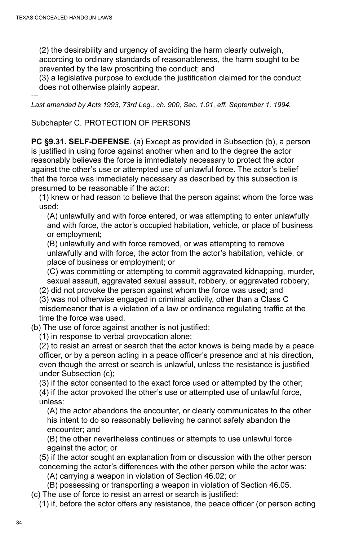*---*

(2) the desirability and urgency of avoiding the harm clearly outweigh, according to ordinary standards of reasonableness, the harm sought to be prevented by the law proscribing the conduct; and

(3) a legislative purpose to exclude the justification claimed for the conduct does not otherwise plainly appear.

*Last amended by Acts 1993, 73rd Leg., ch. 900, Sec. 1.01, eff. September 1, 1994.*

Subchapter C. PROTECTION OF PERSONS

**PC §9.31. SELF-DEFENSE**. (a) Except as provided in Subsection (b), a person is justified in using force against another when and to the degree the actor reasonably believes the force is immediately necessary to protect the actor against the other's use or attempted use of unlawful force. The actor's belief that the force was immediately necessary as described by this subsection is presumed to be reasonable if the actor:

(1) knew or had reason to believe that the person against whom the force was used:

(A) unlawfully and with force entered, or was attempting to enter unlawfully and with force, the actor's occupied habitation, vehicle, or place of business or employment;

(B) unlawfully and with force removed, or was attempting to remove unlawfully and with force, the actor from the actor's habitation, vehicle, or place of business or employment; or

(C) was committing or attempting to commit aggravated kidnapping, murder, sexual assault, aggravated sexual assault, robbery, or aggravated robbery;

(2) did not provoke the person against whom the force was used; and (3) was not otherwise engaged in criminal activity, other than a Class C misdemeanor that is a violation of a law or ordinance regulating traffic at the

time the force was used.

(b) The use of force against another is not justified:

(1) in response to verbal provocation alone;

(2) to resist an arrest or search that the actor knows is being made by a peace officer, or by a person acting in a peace officer's presence and at his direction, even though the arrest or search is unlawful, unless the resistance is justified under Subsection (c);

(3) if the actor consented to the exact force used or attempted by the other;

(4) if the actor provoked the other's use or attempted use of unlawful force, unless:

(A) the actor abandons the encounter, or clearly communicates to the other his intent to do so reasonably believing he cannot safely abandon the encounter; and

(B) the other nevertheless continues or attempts to use unlawful force against the actor; or

(5) if the actor sought an explanation from or discussion with the other person concerning the actor's differences with the other person while the actor was:

(A) carrying a weapon in violation of Section 46.02; or

(B) possessing or transporting a weapon in violation of Section 46.05.

(c) The use of force to resist an arrest or search is justified:

(1) if, before the actor offers any resistance, the peace officer (or person acting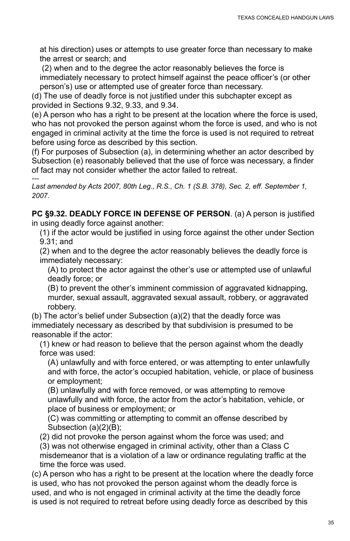at his direction) uses or attempts to use greater force than necessary to make the arrest or search; and

 (2) when and to the degree the actor reasonably believes the force is immediately necessary to protect himself against the peace officer's (or other person's) use or attempted use of greater force than necessary.

(d) The use of deadly force is not justified under this subchapter except as provided in Sections 9.32, 9.33, and 9.34.

(e) A person who has a right to be present at the location where the force is used, who has not provoked the person against whom the force is used, and who is not engaged in criminal activity at the time the force is used is not required to retreat before using force as described by this section.

(f) For purposes of Subsection (a), in determining whether an actor described by Subsection (e) reasonably believed that the use of force was necessary, a finder of fact may not consider whether the actor failed to retreat.

*--- Last amended by Acts 2007, 80th Leg., R.S., Ch. 1 (S.B. 378), Sec. 2, eff. September 1, 2007.*

**PC §9.32. DEADLY FORCE IN DEFENSE OF PERSON**. (a) A person is justified in using deadly force against another:

(1) if the actor would be justified in using force against the other under Section 9.31; and

(2) when and to the degree the actor reasonably believes the deadly force is immediately necessary:

(A) to protect the actor against the other's use or attempted use of unlawful deadly force; or

(B) to prevent the other's imminent commission of aggravated kidnapping, murder, sexual assault, aggravated sexual assault, robbery, or aggravated robbery.

(b) The actor's belief under Subsection (a)(2) that the deadly force was immediately necessary as described by that subdivision is presumed to be reasonable if the actor:

(1) knew or had reason to believe that the person against whom the deadly force was used:

(A) unlawfully and with force entered, or was attempting to enter unlawfully and with force, the actor's occupied habitation, vehicle, or place of business or employment;

(B) unlawfully and with force removed, or was attempting to remove unlawfully and with force, the actor from the actor's habitation, vehicle, or place of business or employment; or

(C) was committing or attempting to commit an offense described by Subsection (a)(2)(B);

(2) did not provoke the person against whom the force was used; and

(3) was not otherwise engaged in criminal activity, other than a Class C misdemeanor that is a violation of a law or ordinance regulating traffic at the time the force was used.

(c) A person who has a right to be present at the location where the deadly force is used, who has not provoked the person against whom the deadly force is used, and who is not engaged in criminal activity at the time the deadly force is used is not required to retreat before using deadly force as described by this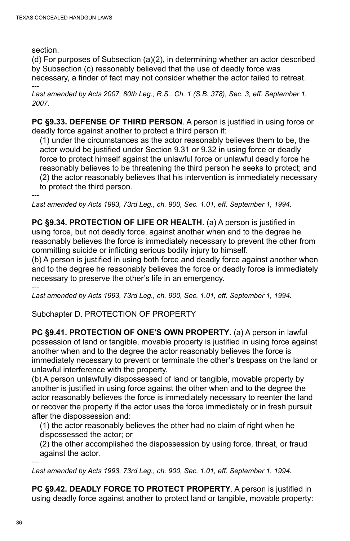section.

(d) For purposes of Subsection (a)(2), in determining whether an actor described by Subsection (c) reasonably believed that the use of deadly force was necessary, a finder of fact may not consider whether the actor failed to retreat. *---*

*Last amended by Acts 2007, 80th Leg., R.S., Ch. 1 (S.B. 378), Sec. 3, eff. September 1, 2007.*

**PC §9.33. DEFENSE OF THIRD PERSON**. A person is justified in using force or deadly force against another to protect a third person if:

(1) under the circumstances as the actor reasonably believes them to be, the actor would be justified under Section 9.31 or 9.32 in using force or deadly force to protect himself against the unlawful force or unlawful deadly force he reasonably believes to be threatening the third person he seeks to protect; and (2) the actor reasonably believes that his intervention is immediately necessary to protect the third person.

*---*

*Last amended by Acts 1993, 73rd Leg., ch. 900, Sec. 1.01, eff. September 1, 1994.*

**PC §9.34. PROTECTION OF LIFE OR HEALTH**. (a) A person is justified in using force, but not deadly force, against another when and to the degree he reasonably believes the force is immediately necessary to prevent the other from committing suicide or inflicting serious bodily injury to himself.

(b) A person is justified in using both force and deadly force against another when and to the degree he reasonably believes the force or deadly force is immediately necessary to preserve the other's life in an emergency.

*---*

*Last amended by Acts 1993, 73rd Leg., ch. 900, Sec. 1.01, eff. September 1, 1994.*

Subchapter D. PROTECTION OF PROPERTY

**PC §9.41. PROTECTION OF ONE'S OWN PROPERTY**. (a) A person in lawful possession of land or tangible, movable property is justified in using force against another when and to the degree the actor reasonably believes the force is immediately necessary to prevent or terminate the other's trespass on the land or unlawful interference with the property.

(b) A person unlawfully dispossessed of land or tangible, movable property by another is justified in using force against the other when and to the degree the actor reasonably believes the force is immediately necessary to reenter the land or recover the property if the actor uses the force immediately or in fresh pursuit after the dispossession and:

(1) the actor reasonably believes the other had no claim of right when he dispossessed the actor; or

(2) the other accomplished the dispossession by using force, threat, or fraud against the actor.

*Last amended by Acts 1993, 73rd Leg., ch. 900, Sec. 1.01, eff. September 1, 1994.*

**PC §9.42. DEADLY FORCE TO PROTECT PROPERTY**. A person is justified in using deadly force against another to protect land or tangible, movable property:

*---*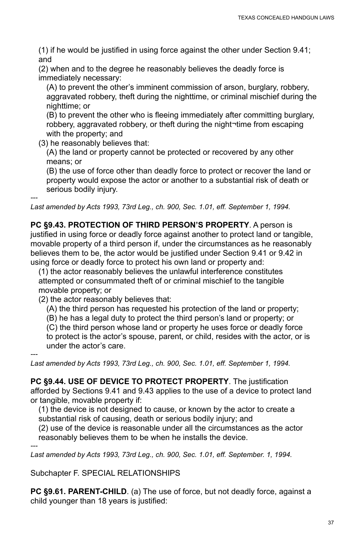(1) if he would be justified in using force against the other under Section 9.41; and

(2) when and to the degree he reasonably believes the deadly force is immediately necessary:

(A) to prevent the other's imminent commission of arson, burglary, robbery, aggravated robbery, theft during the nighttime, or criminal mischief during the nighttime; or

(B) to prevent the other who is fleeing immediately after committing burglary, robbery, aggravated robbery, or theft during the night¬time from escaping with the property; and

(3) he reasonably believes that:

(A) the land or property cannot be protected or recovered by any other means; or

(B) the use of force other than deadly force to protect or recover the land or property would expose the actor or another to a substantial risk of death or serious bodily injury.

*---*

*Last amended by Acts 1993, 73rd Leg., ch. 900, Sec. 1.01, eff. September 1, 1994.*

**PC §9.43. PROTECTION OF THIRD PERSON'S PROPERTY**. A person is justified in using force or deadly force against another to protect land or tangible, movable property of a third person if, under the circumstances as he reasonably believes them to be, the actor would be justified under Section 9.41 or 9.42 in using force or deadly force to protect his own land or property and:

(1) the actor reasonably believes the unlawful interference constitutes attempted or consummated theft of or criminal mischief to the tangible movable property; or

(2) the actor reasonably believes that:

(A) the third person has requested his protection of the land or property;

(B) he has a legal duty to protect the third person's land or property; or

(C) the third person whose land or property he uses force or deadly force to protect is the actor's spouse, parent, or child, resides with the actor, or is under the actor's care.

*---*

*---*

*Last amended by Acts 1993, 73rd Leg., ch. 900, Sec. 1.01, eff. September 1, 1994.*

**PC §9.44. USE OF DEVICE TO PROTECT PROPERTY**. The justification afforded by Sections 9.41 and 9.43 applies to the use of a device to protect land or tangible, movable property if:

(1) the device is not designed to cause, or known by the actor to create a substantial risk of causing, death or serious bodily injury; and

(2) use of the device is reasonable under all the circumstances as the actor reasonably believes them to be when he installs the device.

*Last amended by Acts 1993, 73rd Leg., ch. 900, Sec. 1.01, eff. September. 1, 1994.*

Subchapter F. SPECIAL RELATIONSHIPS

**PC §9.61. PARENT-CHILD**. (a) The use of force, but not deadly force, against a child younger than 18 years is justified: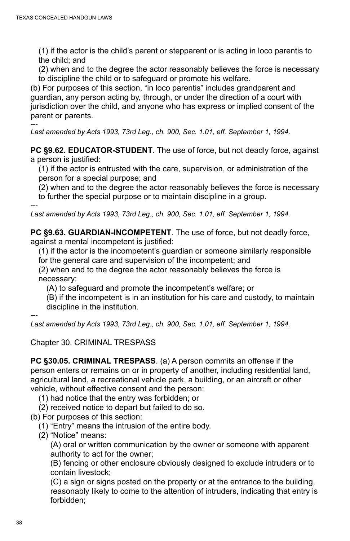(1) if the actor is the child's parent or stepparent or is acting in loco parentis to the child; and

(2) when and to the degree the actor reasonably believes the force is necessary to discipline the child or to safeguard or promote his welfare.

(b) For purposes of this section, "in loco parentis" includes grandparent and guardian, any person acting by, through, or under the direction of a court with jurisdiction over the child, and anyone who has express or implied consent of the parent or parents.

*---*

*Last amended by Acts 1993, 73rd Leg., ch. 900, Sec. 1.01, eff. September 1, 1994.*

**PC §9.62. EDUCATOR-STUDENT**. The use of force, but not deadly force, against a person is justified:

(1) if the actor is entrusted with the care, supervision, or administration of the person for a special purpose; and

(2) when and to the degree the actor reasonably believes the force is necessary to further the special purpose or to maintain discipline in a group.

*---*

*Last amended by Acts 1993, 73rd Leg., ch. 900, Sec. 1.01, eff. September 1, 1994.*

**PC §9.63. GUARDIAN-INCOMPETENT**. The use of force, but not deadly force, against a mental incompetent is justified:

(1) if the actor is the incompetent's guardian or someone similarly responsible for the general care and supervision of the incompetent; and

(2) when and to the degree the actor reasonably believes the force is necessary:

(A) to safeguard and promote the incompetent's welfare; or

(B) if the incompetent is in an institution for his care and custody, to maintain discipline in the institution.

*---*

*Last amended by Acts 1993, 73rd Leg., ch. 900, Sec. 1.01, eff. September 1, 1994.*

Chapter 30. CRIMINAL TRESPASS

**PC §30.05. CRIMINAL TRESPASS**. (a) A person commits an offense if the person enters or remains on or in property of another, including residential land, agricultural land, a recreational vehicle park, a building, or an aircraft or other vehicle, without effective consent and the person:

(1) had notice that the entry was forbidden; or

(2) received notice to depart but failed to do so.

(b) For purposes of this section:

(1) "Entry" means the intrusion of the entire body.

(2) "Notice" means:

(A) oral or written communication by the owner or someone with apparent authority to act for the owner;

(B) fencing or other enclosure obviously designed to exclude intruders or to contain livestock;

(C) a sign or signs posted on the property or at the entrance to the building, reasonably likely to come to the attention of intruders, indicating that entry is forbidden;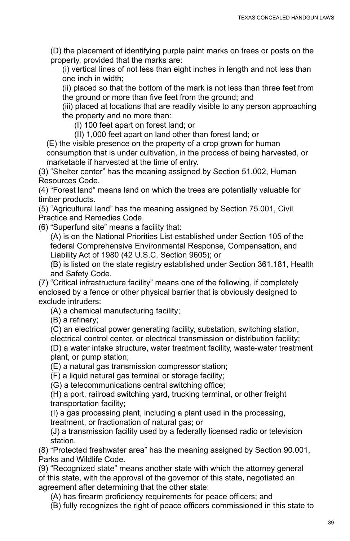(D) the placement of identifying purple paint marks on trees or posts on the property, provided that the marks are:

(i) vertical lines of not less than eight inches in length and not less than one inch in width;

(ii) placed so that the bottom of the mark is not less than three feet from the ground or more than five feet from the ground; and

(iii) placed at locations that are readily visible to any person approaching the property and no more than:

(I) 100 feet apart on forest land; or

(II) 1,000 feet apart on land other than forest land; or

(E) the visible presence on the property of a crop grown for human consumption that is under cultivation, in the process of being harvested, or marketable if harvested at the time of entry.

(3) "Shelter center" has the meaning assigned by Section 51.002, Human Resources Code.

(4) "Forest land" means land on which the trees are potentially valuable for timber products.

(5) "Agricultural land" has the meaning assigned by Section 75.001, Civil Practice and Remedies Code.

(6) "Superfund site" means a facility that:

(A) is on the National Priorities List established under Section 105 of the federal Comprehensive Environmental Response, Compensation, and Liability Act of 1980 (42 U.S.C. Section 9605); or

(B) is listed on the state registry established under Section 361.181, Health and Safety Code.

(7) "Critical infrastructure facility" means one of the following, if completely enclosed by a fence or other physical barrier that is obviously designed to exclude intruders:

(A) a chemical manufacturing facility;

(B) a refinery;

(C) an electrical power generating facility, substation, switching station, electrical control center, or electrical transmission or distribution facility; (D) a water intake structure, water treatment facility, waste-water treatment plant, or pump station;

(E) a natural gas transmission compressor station;

(F) a liquid natural gas terminal or storage facility;

(G) a telecommunications central switching office;

(H) a port, railroad switching yard, trucking terminal, or other freight transportation facility;

(I) a gas processing plant, including a plant used in the processing, treatment, or fractionation of natural gas; or

(J) a transmission facility used by a federally licensed radio or television station.

(8) "Protected freshwater area" has the meaning assigned by Section 90.001, Parks and Wildlife Code.

(9) "Recognized state" means another state with which the attorney general of this state, with the approval of the governor of this state, negotiated an agreement after determining that the other state:

(A) has firearm proficiency requirements for peace officers; and

(B) fully recognizes the right of peace officers commissioned in this state to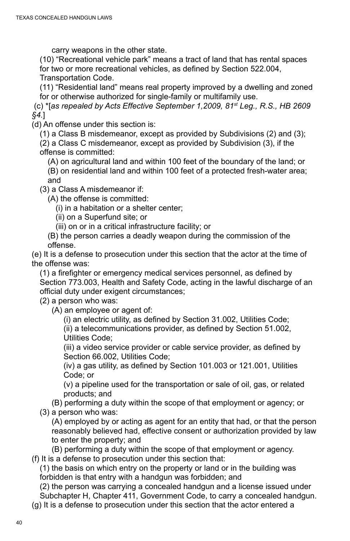carry weapons in the other state.

(10) "Recreational vehicle park" means a tract of land that has rental spaces for two or more recreational vehicles, as defined by Section 522.004, Transportation Code.

(11) "Residential land" means real property improved by a dwelling and zoned for or otherwise authorized for single-family or multifamily use.

 (c) \*[*as repealed by Acts Effective September 1,2009, 81st Leg., R.S., HB 2609 §4.*]

(d) An offense under this section is:

- (1) a Class B misdemeanor, except as provided by Subdivisions (2) and (3);
- (2) a Class C misdemeanor, except as provided by Subdivision (3), if the offense is committed:
	- (A) on agricultural land and within 100 feet of the boundary of the land; or

(B) on residential land and within 100 feet of a protected fresh-water area; and

(3) a Class A misdemeanor if:

(A) the offense is committed:

(i) in a habitation or a shelter center;

(ii) on a Superfund site; or

(iii) on or in a critical infrastructure facility; or

(B) the person carries a deadly weapon during the commission of the offense.

(e) It is a defense to prosecution under this section that the actor at the time of the offense was:

(1) a firefighter or emergency medical services personnel, as defined by Section 773.003, Health and Safety Code, acting in the lawful discharge of an official duty under exigent circumstances;

(2) a person who was:

(A) an employee or agent of:

(i) an electric utility, as defined by Section 31.002, Utilities Code;

(ii) a telecommunications provider, as defined by Section 51.002, Utilities Code;

(iii) a video service provider or cable service provider, as defined by Section 66.002, Utilities Code:

(iv) a gas utility, as defined by Section 101.003 or 121.001, Utilities Code; or

(v) a pipeline used for the transportation or sale of oil, gas, or related products; and

(B) performing a duty within the scope of that employment or agency; or (3) a person who was:

(A) employed by or acting as agent for an entity that had, or that the person reasonably believed had, effective consent or authorization provided by law to enter the property; and

(B) performing a duty within the scope of that employment or agency.

(f) It is a defense to prosecution under this section that:

(1) the basis on which entry on the property or land or in the building was forbidden is that entry with a handgun was forbidden; and

(2) the person was carrying a concealed handgun and a license issued under Subchapter H, Chapter 411, Government Code, to carry a concealed handgun. (g) It is a defense to prosecution under this section that the actor entered a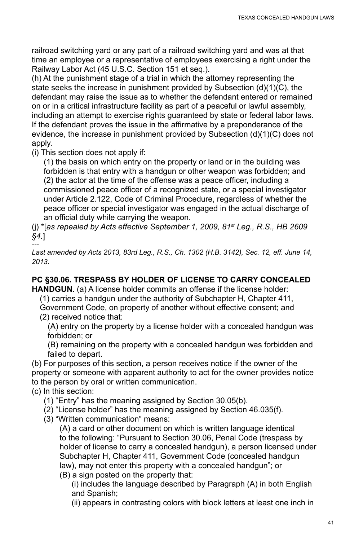railroad switching yard or any part of a railroad switching yard and was at that time an employee or a representative of employees exercising a right under the Railway Labor Act (45 U.S.C. Section 151 et seq.).

(h) At the punishment stage of a trial in which the attorney representing the state seeks the increase in punishment provided by Subsection (d)(1)(C), the defendant may raise the issue as to whether the defendant entered or remained on or in a critical infrastructure facility as part of a peaceful or lawful assembly, including an attempt to exercise rights guaranteed by state or federal labor laws. If the defendant proves the issue in the affirmative by a preponderance of the evidence, the increase in punishment provided by Subsection (d)(1)(C) does not apply.

(i) This section does not apply if:

(1) the basis on which entry on the property or land or in the building was forbidden is that entry with a handgun or other weapon was forbidden; and (2) the actor at the time of the offense was a peace officer, including a commissioned peace officer of a recognized state, or a special investigator under Article 2.122, Code of Criminal Procedure, regardless of whether the peace officer or special investigator was engaged in the actual discharge of an official duty while carrying the weapon.

(j) \*[*as repealed by Acts effective September 1, 2009, 81st Leg., R.S., HB 2609 §4.*]

*--- Last amended by Acts 2013, 83rd Leg., R.S., Ch. 1302 (H.B. 3142), Sec. 12, eff. June 14, 2013.*

### **PC §30.06. TRESPASS BY HOLDER OF LICENSE TO CARRY CONCEALED**

**HANDGUN**. (a) A license holder commits an offense if the license holder:

(1) carries a handgun under the authority of Subchapter H, Chapter 411, Government Code, on property of another without effective consent; and (2) received notice that:

(A) entry on the property by a license holder with a concealed handgun was forbidden; or

(B) remaining on the property with a concealed handgun was forbidden and failed to depart.

(b) For purposes of this section, a person receives notice if the owner of the property or someone with apparent authority to act for the owner provides notice to the person by oral or written communication.

(c) In this section:

- (1) "Entry" has the meaning assigned by Section 30.05(b).
- (2) "License holder" has the meaning assigned by Section 46.035(f).
- (3) "Written communication" means:

(A) a card or other document on which is written language identical to the following: "Pursuant to Section 30.06, Penal Code (trespass by holder of license to carry a concealed handgun), a person licensed under Subchapter H, Chapter 411, Government Code (concealed handgun law), may not enter this property with a concealed handgun"; or (B) a sign posted on the property that:

(i) includes the language described by Paragraph (A) in both English and Spanish;

(ii) appears in contrasting colors with block letters at least one inch in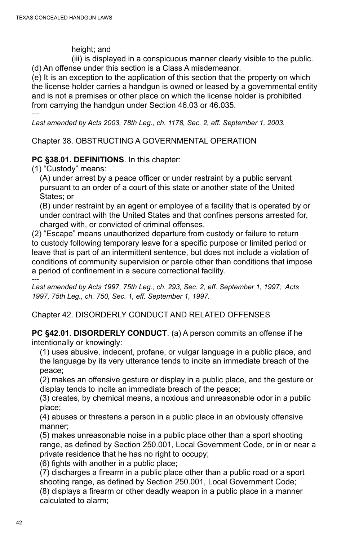### height; and

(iii) is displayed in a conspicuous manner clearly visible to the public. (d) An offense under this section is a Class A misdemeanor.

(e) It is an exception to the application of this section that the property on which the license holder carries a handgun is owned or leased by a governmental entity and is not a premises or other place on which the license holder is prohibited from carrying the handgun under Section 46.03 or 46.035.

*---*

*Last amended by Acts 2003, 78th Leg., ch. 1178, Sec. 2, eff. September 1, 2003.*

Chapter 38. OBSTRUCTING A GOVERNMENTAL OPERATION

#### **PC §38.01. DEFINITIONS**. In this chapter:

(1) "Custody" means:

(A) under arrest by a peace officer or under restraint by a public servant pursuant to an order of a court of this state or another state of the United States; or

(B) under restraint by an agent or employee of a facility that is operated by or under contract with the United States and that confines persons arrested for, charged with, or convicted of criminal offenses.

(2) "Escape" means unauthorized departure from custody or failure to return to custody following temporary leave for a specific purpose or limited period or leave that is part of an intermittent sentence, but does not include a violation of conditions of community supervision or parole other than conditions that impose a period of confinement in a secure correctional facility. *---*

*Last amended by Acts 1997, 75th Leg., ch. 293, Sec. 2, eff. September 1, 1997; Acts 1997, 75th Leg., ch. 750, Sec. 1, eff. September 1, 1997.*

Chapter 42. DISORDERLY CONDUCT AND RELATED OFFENSES

**PC §42.01. DISORDERLY CONDUCT**. (a) A person commits an offense if he intentionally or knowingly:

(1) uses abusive, indecent, profane, or vulgar language in a public place, and the language by its very utterance tends to incite an immediate breach of the peace;

(2) makes an offensive gesture or display in a public place, and the gesture or display tends to incite an immediate breach of the peace;

(3) creates, by chemical means, a noxious and unreasonable odor in a public place;

(4) abuses or threatens a person in a public place in an obviously offensive manner;

(5) makes unreasonable noise in a public place other than a sport shooting range, as defined by Section 250.001, Local Government Code, or in or near a private residence that he has no right to occupy;

(6) fights with another in a public place;

(7) discharges a firearm in a public place other than a public road or a sport shooting range, as defined by Section 250.001, Local Government Code; (8) displays a firearm or other deadly weapon in a public place in a manner calculated to alarm;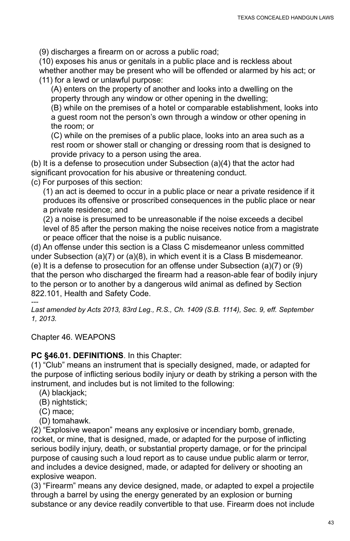(9) discharges a firearm on or across a public road;

(10) exposes his anus or genitals in a public place and is reckless about whether another may be present who will be offended or alarmed by his act; or (11) for a lewd or unlawful purpose:

(A) enters on the property of another and looks into a dwelling on the property through any window or other opening in the dwelling;

(B) while on the premises of a hotel or comparable establishment, looks into a guest room not the person's own through a window or other opening in the room; or

(C) while on the premises of a public place, looks into an area such as a rest room or shower stall or changing or dressing room that is designed to provide privacy to a person using the area.

(b) It is a defense to prosecution under Subsection (a)(4) that the actor had significant provocation for his abusive or threatening conduct.

(c) For purposes of this section:

(1) an act is deemed to occur in a public place or near a private residence if it produces its offensive or proscribed consequences in the public place or near a private residence; and

(2) a noise is presumed to be unreasonable if the noise exceeds a decibel level of 85 after the person making the noise receives notice from a magistrate or peace officer that the noise is a public nuisance.

(d) An offense under this section is a Class C misdemeanor unless committed under Subsection (a)(7) or (a)(8), in which event it is a Class B misdemeanor. (e) It is a defense to prosecution for an offense under Subsection (a)(7) or (9) that the person who discharged the firearm had a reason-able fear of bodily injury to the person or to another by a dangerous wild animal as defined by Section 822.101, Health and Safety Code.

*---*

*Last amended by Acts 2013, 83rd Leg., R.S., Ch. 1409 (S.B. 1114), Sec. 9, eff. September 1, 2013.*

Chapter 46. WEAPONS

### **PC §46.01. DEFINITIONS**. In this Chapter:

(1) "Club" means an instrument that is specially designed, made, or adapted for the purpose of inflicting serious bodily injury or death by striking a person with the instrument, and includes but is not limited to the following:

- (A) blackjack;
- (B) nightstick;
- (C) mace;
- (D) tomahawk.

(2) "Explosive weapon" means any explosive or incendiary bomb, grenade, rocket, or mine, that is designed, made, or adapted for the purpose of inflicting serious bodily injury, death, or substantial property damage, or for the principal purpose of causing such a loud report as to cause undue public alarm or terror, and includes a device designed, made, or adapted for delivery or shooting an explosive weapon.

(3) "Firearm" means any device designed, made, or adapted to expel a projectile through a barrel by using the energy generated by an explosion or burning substance or any device readily convertible to that use. Firearm does not include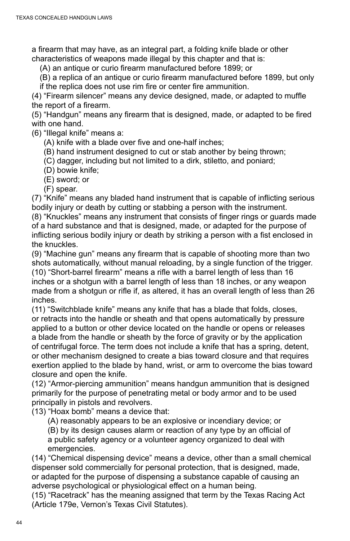a firearm that may have, as an integral part, a folding knife blade or other characteristics of weapons made illegal by this chapter and that is:

(A) an antique or curio firearm manufactured before 1899; or

(B) a replica of an antique or curio firearm manufactured before 1899, but only if the replica does not use rim fire or center fire ammunition.

(4) "Firearm silencer" means any device designed, made, or adapted to muffle the report of a firearm.

(5) "Handgun" means any firearm that is designed, made, or adapted to be fired with one hand.

(6) "Illegal knife" means a:

(A) knife with a blade over five and one-half inches;

(B) hand instrument designed to cut or stab another by being thrown;

(C) dagger, including but not limited to a dirk, stiletto, and poniard;

- (D) bowie knife;
- (E) sword; or
- (F) spear.

(7) "Knife" means any bladed hand instrument that is capable of inflicting serious bodily injury or death by cutting or stabbing a person with the instrument.

(8) "Knuckles" means any instrument that consists of finger rings or guards made of a hard substance and that is designed, made, or adapted for the purpose of inflicting serious bodily injury or death by striking a person with a fist enclosed in the knuckles.

(9) "Machine gun" means any firearm that is capable of shooting more than two shots automatically, without manual reloading, by a single function of the trigger. (10) "Short-barrel firearm" means a rifle with a barrel length of less than 16 inches or a shotgun with a barrel length of less than 18 inches, or any weapon made from a shotgun or rifle if, as altered, it has an overall length of less than 26 inches.

(11) "Switchblade knife" means any knife that has a blade that folds, closes, or retracts into the handle or sheath and that opens automatically by pressure applied to a button or other device located on the handle or opens or releases a blade from the handle or sheath by the force of gravity or by the application of centrifugal force. The term does not include a knife that has a spring, detent, or other mechanism designed to create a bias toward closure and that requires exertion applied to the blade by hand, wrist, or arm to overcome the bias toward closure and open the knife.

(12) "Armor-piercing ammunition" means handgun ammunition that is designed primarily for the purpose of penetrating metal or body armor and to be used principally in pistols and revolvers.

(13) "Hoax bomb" means a device that:

(A) reasonably appears to be an explosive or incendiary device; or (B) by its design causes alarm or reaction of any type by an official of a public safety agency or a volunteer agency organized to deal with emergencies.

(14) "Chemical dispensing device" means a device, other than a small chemical dispenser sold commercially for personal protection, that is designed, made, or adapted for the purpose of dispensing a substance capable of causing an adverse psychological or physiological effect on a human being.

(15) "Racetrack" has the meaning assigned that term by the Texas Racing Act (Article 179e, Vernon's Texas Civil Statutes).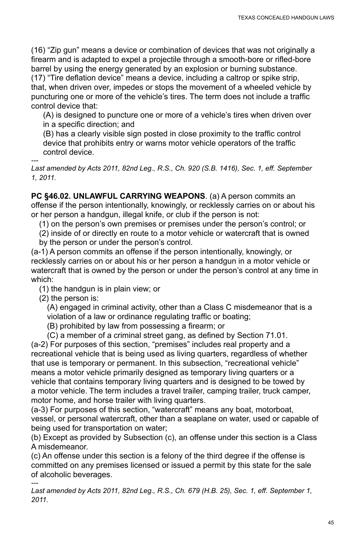(16) "Zip gun" means a device or combination of devices that was not originally a firearm and is adapted to expel a projectile through a smooth-bore or rifled-bore barrel by using the energy generated by an explosion or burning substance. (17) "Tire deflation device" means a device, including a caltrop or spike strip,

that, when driven over, impedes or stops the movement of a wheeled vehicle by puncturing one or more of the vehicle's tires. The term does not include a traffic control device that:

(A) is designed to puncture one or more of a vehicle's tires when driven over in a specific direction; and

(B) has a clearly visible sign posted in close proximity to the traffic control device that prohibits entry or warns motor vehicle operators of the traffic control device.

*---*

*Last amended by Acts 2011, 82nd Leg., R.S., Ch. 920 (S.B. 1416), Sec. 1, eff. September 1, 2011.*

**PC §46.02. UNLAWFUL CARRYING WEAPONS**. (a) A person commits an offense if the person intentionally, knowingly, or recklessly carries on or about his or her person a handgun, illegal knife, or club if the person is not:

(1) on the person's own premises or premises under the person's control; or

(2) inside of or directly en route to a motor vehicle or watercraft that is owned by the person or under the person's control.

(a-1) A person commits an offense if the person intentionally, knowingly, or recklessly carries on or about his or her person a handgun in a motor vehicle or watercraft that is owned by the person or under the person's control at any time in which:

(1) the handgun is in plain view; or

(2) the person is:

(A) engaged in criminal activity, other than a Class C misdemeanor that is a violation of a law or ordinance regulating traffic or boating;

(B) prohibited by law from possessing a firearm; or

(C) a member of a criminal street gang, as defined by Section 71.01.

(a-2) For purposes of this section, "premises" includes real property and a recreational vehicle that is being used as living quarters, regardless of whether that use is temporary or permanent. In this subsection, "recreational vehicle" means a motor vehicle primarily designed as temporary living quarters or a vehicle that contains temporary living quarters and is designed to be towed by a motor vehicle. The term includes a travel trailer, camping trailer, truck camper, motor home, and horse trailer with living quarters.

(a-3) For purposes of this section, "watercraft" means any boat, motorboat, vessel, or personal watercraft, other than a seaplane on water, used or capable of being used for transportation on water;

(b) Except as provided by Subsection (c), an offense under this section is a Class A misdemeanor.

(c) An offense under this section is a felony of the third degree if the offense is committed on any premises licensed or issued a permit by this state for the sale of alcoholic beverages.

*--- Last amended by Acts 2011, 82nd Leg., R.S., Ch. 679 (H.B. 25), Sec. 1, eff. September 1, 2011.*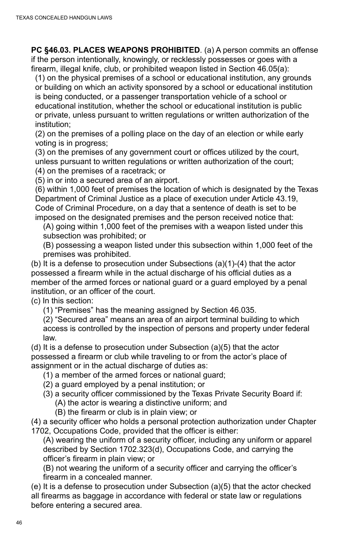**PC §46.03. PLACES WEAPONS PROHIBITED**. (a) A person commits an offense if the person intentionally, knowingly, or recklessly possesses or goes with a firearm, illegal knife, club, or prohibited weapon listed in Section 46.05(a):

(1) on the physical premises of a school or educational institution, any grounds or building on which an activity sponsored by a school or educational institution is being conducted, or a passenger transportation vehicle of a school or educational institution, whether the school or educational institution is public or private, unless pursuant to written regulations or written authorization of the institution;

(2) on the premises of a polling place on the day of an election or while early voting is in progress;

(3) on the premises of any government court or offices utilized by the court, unless pursuant to written regulations or written authorization of the court;

(4) on the premises of a racetrack; or

(5) in or into a secured area of an airport.

(6) within 1,000 feet of premises the location of which is designated by the Texas Department of Criminal Justice as a place of execution under Article 43.19, Code of Criminal Procedure, on a day that a sentence of death is set to be imposed on the designated premises and the person received notice that:

(A) going within 1,000 feet of the premises with a weapon listed under this subsection was prohibited; or

(B) possessing a weapon listed under this subsection within 1,000 feet of the premises was prohibited.

(b) It is a defense to prosecution under Subsections (a)(1)-(4) that the actor possessed a firearm while in the actual discharge of his official duties as a member of the armed forces or national guard or a guard employed by a penal institution, or an officer of the court.

(c) In this section:

(1) "Premises" has the meaning assigned by Section 46.035.

(2) "Secured area" means an area of an airport terminal building to which access is controlled by the inspection of persons and property under federal law.

(d) It is a defense to prosecution under Subsection (a)(5) that the actor possessed a firearm or club while traveling to or from the actor's place of assignment or in the actual discharge of duties as:

- (1) a member of the armed forces or national guard;
- (2) a guard employed by a penal institution; or

(3) a security officer commissioned by the Texas Private Security Board if:

- (A) the actor is wearing a distinctive uniform; and
	- (B) the firearm or club is in plain view; or

(4) a security officer who holds a personal protection authorization under Chapter 1702, Occupations Code, provided that the officer is either:

(A) wearing the uniform of a security officer, including any uniform or apparel described by Section 1702.323(d), Occupations Code, and carrying the officer's firearm in plain view; or

(B) not wearing the uniform of a security officer and carrying the officer's firearm in a concealed manner.

(e) It is a defense to prosecution under Subsection (a)(5) that the actor checked all firearms as baggage in accordance with federal or state law or regulations before entering a secured area.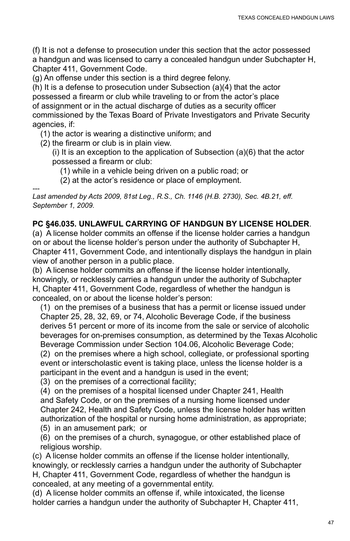(f) It is not a defense to prosecution under this section that the actor possessed a handgun and was licensed to carry a concealed handgun under Subchapter H, Chapter 411, Government Code.

(g) An offense under this section is a third degree felony.

 $(h)$  It is a defense to prosecution under Subsection  $(a)(4)$  that the actor possessed a firearm or club while traveling to or from the actor's place of assignment or in the actual discharge of duties as a security officer commissioned by the Texas Board of Private Investigators and Private Security agencies, if:

(1) the actor is wearing a distinctive uniform; and

(2) the firearm or club is in plain view.

(i) It is an exception to the application of Subsection (a)(6) that the actor possessed a firearm or club:

(1) while in a vehicle being driven on a public road; or

(2) at the actor's residence or place of employment.

*---* Last amended by Acts 2009, 81st Leg., R.S., Ch. 1146 (H.B. 2730), Sec. 4B.21, eff. *September 1, 2009.*

### **PC §46.035. UNLAWFUL CARRYING OF HANDGUN BY LICENSE HOLDER**.

(a) A license holder commits an offense if the license holder carries a handgun on or about the license holder's person under the authority of Subchapter H, Chapter 411, Government Code, and intentionally displays the handgun in plain view of another person in a public place.

(b) A license holder commits an offense if the license holder intentionally, knowingly, or recklessly carries a handgun under the authority of Subchapter H, Chapter 411, Government Code, regardless of whether the handgun is concealed, on or about the license holder's person:

(1) on the premises of a business that has a permit or license issued under Chapter 25, 28, 32, 69, or 74, Alcoholic Beverage Code, if the business derives 51 percent or more of its income from the sale or service of alcoholic beverages for on-premises consumption, as determined by the Texas Alcoholic Beverage Commission under Section 104.06, Alcoholic Beverage Code;

(2) on the premises where a high school, collegiate, or professional sporting event or interscholastic event is taking place, unless the license holder is a participant in the event and a handgun is used in the event;

(3) on the premises of a correctional facility;

(4) on the premises of a hospital licensed under Chapter 241, Health and Safety Code, or on the premises of a nursing home licensed under Chapter 242, Health and Safety Code, unless the license holder has written authorization of the hospital or nursing home administration, as appropriate;

(5) in an amusement park; or

(6) on the premises of a church, synagogue, or other established place of religious worship.

(c) A license holder commits an offense if the license holder intentionally, knowingly, or recklessly carries a handgun under the authority of Subchapter H, Chapter 411, Government Code, regardless of whether the handgun is concealed, at any meeting of a governmental entity.

(d) A license holder commits an offense if, while intoxicated, the license holder carries a handgun under the authority of Subchapter H, Chapter 411,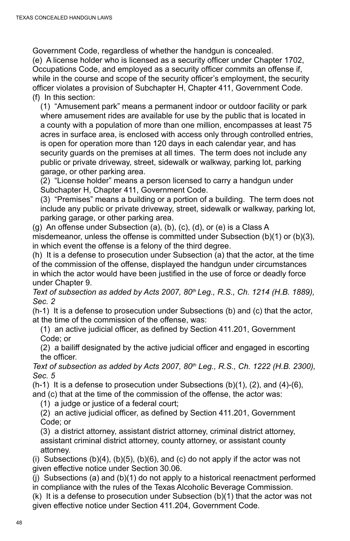Government Code, regardless of whether the handgun is concealed. (e) A license holder who is licensed as a security officer under Chapter 1702, Occupations Code, and employed as a security officer commits an offense if, while in the course and scope of the security officer's employment, the security officer violates a provision of Subchapter H, Chapter 411, Government Code. (f) In this section:

(1) "Amusement park" means a permanent indoor or outdoor facility or park where amusement rides are available for use by the public that is located in a county with a population of more than one million, encompasses at least 75 acres in surface area, is enclosed with access only through controlled entries, is open for operation more than 120 days in each calendar year, and has security guards on the premises at all times. The term does not include any public or private driveway, street, sidewalk or walkway, parking lot, parking garage, or other parking area.

(2) "License holder" means a person licensed to carry a handgun under Subchapter H, Chapter 411, Government Code.

(3) "Premises" means a building or a portion of a building. The term does not include any public or private driveway, street, sidewalk or walkway, parking lot, parking garage, or other parking area.

(g) An offense under Subsection (a), (b), (c), (d), or (e) is a Class A misdemeanor, unless the offense is committed under Subsection (b)(1) or (b)(3), in which event the offense is a felony of the third degree.

(h) It is a defense to prosecution under Subsection (a) that the actor, at the time of the commission of the offense, displayed the handgun under circumstances in which the actor would have been justified in the use of force or deadly force under Chapter 9.

Text of subsection as added by Acts 2007, 80<sup>th</sup> Leg., R.S., Ch. 1214 (H.B. 1889), *Sec. 2*

(h-1) It is a defense to prosecution under Subsections (b) and (c) that the actor, at the time of the commission of the offense, was:

(1) an active judicial officer, as defined by Section 411.201, Government Code; or

(2) a bailiff designated by the active judicial officer and engaged in escorting the officer.

*Text of subsection as added by Acts 2007, 80th Leg., R.S., Ch. 1222 (H.B. 2300), Sec. 5*

(h-1) It is a defense to prosecution under Subsections (b)(1), (2), and (4)-(6), and (c) that at the time of the commission of the offense, the actor was:

(1) a judge or justice of a federal court;

(2) an active judicial officer, as defined by Section 411.201, Government Code; or

(3) a district attorney, assistant district attorney, criminal district attorney, assistant criminal district attorney, county attorney, or assistant county attorney.

(i) Subsections  $(b)(4)$ ,  $(b)(5)$ ,  $(b)(6)$ , and  $(c)$  do not apply if the actor was not given effective notice under Section 30.06.

(i) Subsections (a) and (b)(1) do not apply to a historical reenactment performed in compliance with the rules of the Texas Alcoholic Beverage Commission.

(k) It is a defense to prosecution under Subsection (b)(1) that the actor was not given effective notice under Section 411.204, Government Code.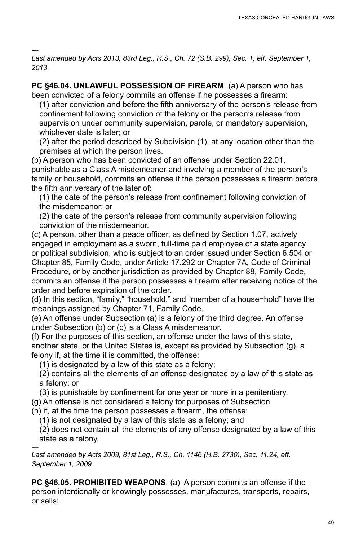*---*

*Last amended by Acts 2013, 83rd Leg., R.S., Ch. 72 (S.B. 299), Sec. 1, eff. September 1, 2013.*

**PC §46.04. UNLAWFUL POSSESSION OF FIREARM**. (a) A person who has been convicted of a felony commits an offense if he possesses a firearm:

(1) after conviction and before the fifth anniversary of the person's release from confinement following conviction of the felony or the person's release from supervision under community supervision, parole, or mandatory supervision, whichever date is later; or

(2) after the period described by Subdivision (1), at any location other than the premises at which the person lives.

(b) A person who has been convicted of an offense under Section 22.01, punishable as a Class A misdemeanor and involving a member of the person's family or household, commits an offense if the person possesses a firearm before the fifth anniversary of the later of:

(1) the date of the person's release from confinement following conviction of the misdemeanor; or

(2) the date of the person's release from community supervision following conviction of the misdemeanor.

(c) A person, other than a peace officer, as defined by Section 1.07, actively engaged in employment as a sworn, full-time paid employee of a state agency or political subdivision, who is subject to an order issued under Section 6.504 or Chapter 85, Family Code, under Article 17.292 or Chapter 7A, Code of Criminal Procedure, or by another jurisdiction as provided by Chapter 88, Family Code, commits an offense if the person possesses a firearm after receiving notice of the order and before expiration of the order.

(d) In this section, "family," "household," and "member of a house¬hold" have the meanings assigned by Chapter 71, Family Code.

(e) An offense under Subsection (a) is a felony of the third degree. An offense under Subsection (b) or (c) is a Class A misdemeanor.

(f) For the purposes of this section, an offense under the laws of this state, another state, or the United States is, except as provided by Subsection (g), a felony if, at the time it is committed, the offense:

(1) is designated by a law of this state as a felony;

(2) contains all the elements of an offense designated by a law of this state as a felony; or

(3) is punishable by confinement for one year or more in a penitentiary.

(g) An offense is not considered a felony for purposes of Subsection

(h) if, at the time the person possesses a firearm, the offense:

(1) is not designated by a law of this state as a felony; and

(2) does not contain all the elements of any offense designated by a law of this state as a felony.

*---* Last amended by Acts 2009, 81st Leg., R.S., Ch. 1146 (H.B. 2730), Sec. 11.24, eff. *September 1, 2009.*

**PC §46.05. PROHIBITED WEAPONS**. (a) A person commits an offense if the person intentionally or knowingly possesses, manufactures, transports, repairs, or sells: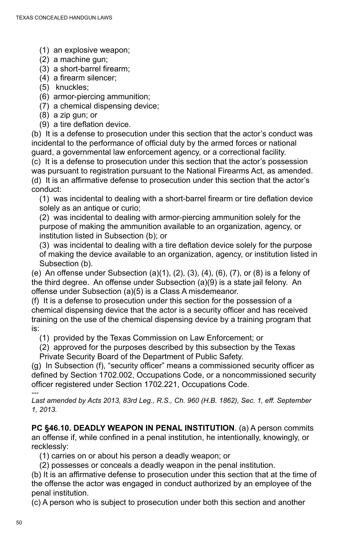- (1) an explosive weapon;
- (2) a machine gun;
- (3) a short-barrel firearm;
- (4) a firearm silencer;
- (5) knuckles;
- (6) armor-piercing ammunition;
- (7) a chemical dispensing device;
- $(8)$  a zip gun; or
- (9) a tire deflation device.

(b) It is a defense to prosecution under this section that the actor's conduct was incidental to the performance of official duty by the armed forces or national guard, a governmental law enforcement agency, or a correctional facility.

(c) It is a defense to prosecution under this section that the actor's possession was pursuant to registration pursuant to the National Firearms Act, as amended. (d) It is an affirmative defense to prosecution under this section that the actor's conduct:

(1) was incidental to dealing with a short-barrel firearm or tire deflation device solely as an antique or curio:

(2) was incidental to dealing with armor-piercing ammunition solely for the purpose of making the ammunition available to an organization, agency, or institution listed in Subsection (b); or

(3) was incidental to dealing with a tire deflation device solely for the purpose of making the device available to an organization, agency, or institution listed in Subsection (b).

(e) An offense under Subsection (a)(1), (2), (3), (4), (6), (7), or (8) is a felony of the third degree. An offense under Subsection (a)(9) is a state jail felony. An offense under Subsection (a)(5) is a Class A misdemeanor.

(f) It is a defense to prosecution under this section for the possession of a chemical dispensing device that the actor is a security officer and has received training on the use of the chemical dispensing device by a training program that is:

(1) provided by the Texas Commission on Law Enforcement; or

(2) approved for the purposes described by this subsection by the Texas Private Security Board of the Department of Public Safety.

(g) In Subsection (f), "security officer" means a commissioned security officer as defined by Section 1702.002, Occupations Code, or a noncommissioned security officer registered under Section 1702.221, Occupations Code.

# *---*

*Last amended by Acts 2013, 83rd Leg., R.S., Ch. 960 (H.B. 1862), Sec. 1, eff. September 1, 2013.*

**PC §46.10. DEADLY WEAPON IN PENAL INSTITUTION**. (a) A person commits an offense if, while confined in a penal institution, he intentionally, knowingly, or recklessly:

(1) carries on or about his person a deadly weapon; or

(2) possesses or conceals a deadly weapon in the penal institution.

(b) It is an affirmative defense to prosecution under this section that at the time of the offense the actor was engaged in conduct authorized by an employee of the penal institution.

(c) A person who is subject to prosecution under both this section and another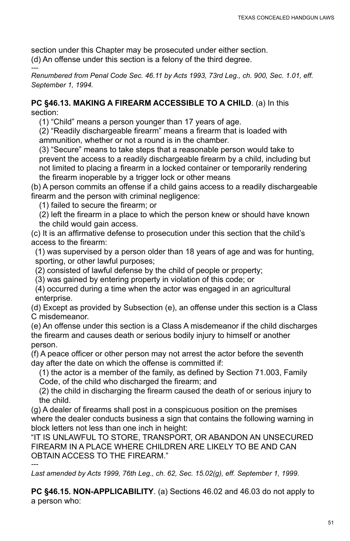section under this Chapter may be prosecuted under either section.

(d) An offense under this section is a felony of the third degree.

*--- Renumbered from Penal Code Sec. 46.11 by Acts 1993, 73rd Leg., ch. 900, Sec. 1.01, eff. September 1, 1994.*

### **PC §46.13. MAKING A FIREARM ACCESSIBLE TO A CHILD**. (a) In this section:

(1) "Child" means a person younger than 17 years of age.

(2) "Readily dischargeable firearm" means a firearm that is loaded with ammunition, whether or not a round is in the chamber.

(3) "Secure" means to take steps that a reasonable person would take to prevent the access to a readily dischargeable firearm by a child, including but not limited to placing a firearm in a locked container or temporarily rendering the firearm inoperable by a trigger lock or other means

(b) A person commits an offense if a child gains access to a readily dischargeable firearm and the person with criminal negligence:

(1) failed to secure the firearm; or

(2) left the firearm in a place to which the person knew or should have known the child would gain access.

(c) It is an affirmative defense to prosecution under this section that the child's access to the firearm:

(1) was supervised by a person older than 18 years of age and was for hunting, sporting, or other lawful purposes;

(2) consisted of lawful defense by the child of people or property;

(3) was gained by entering property in violation of this code; or

(4) occurred during a time when the actor was engaged in an agricultural enterprise.

(d) Except as provided by Subsection (e), an offense under this section is a Class C misdemeanor.

(e) An offense under this section is a Class A misdemeanor if the child discharges the firearm and causes death or serious bodily injury to himself or another person.

(f) A peace officer or other person may not arrest the actor before the seventh day after the date on which the offense is committed if:

(1) the actor is a member of the family, as defined by Section 71.003, Family Code, of the child who discharged the firearm; and

(2) the child in discharging the firearm caused the death of or serious injury to the child.

(g) A dealer of firearms shall post in a conspicuous position on the premises where the dealer conducts business a sign that contains the following warning in block letters not less than one inch in height:

"IT IS UNLAWFUL TO STORE, TRANSPORT, OR ABANDON AN UNSECURED FIREARM IN A PLACE WHERE CHILDREN ARE LIKELY TO BE AND CAN OBTAIN ACCESS TO THE FIREARM."

*---*

*Last amended by Acts 1999, 76th Leg., ch. 62, Sec. 15.02(g), eff. September 1, 1999.*

**PC §46.15. NON-APPLICABILITY**. (a) Sections 46.02 and 46.03 do not apply to a person who: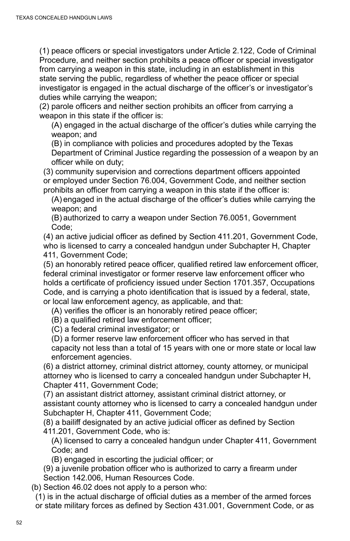(1) peace officers or special investigators under Article 2.122, Code of Criminal Procedure, and neither section prohibits a peace officer or special investigator from carrying a weapon in this state, including in an establishment in this state serving the public, regardless of whether the peace officer or special investigator is engaged in the actual discharge of the officer's or investigator's duties while carrying the weapon;

(2) parole officers and neither section prohibits an officer from carrying a weapon in this state if the officer is:

(A) engaged in the actual discharge of the officer's duties while carrying the weapon; and

(B) in compliance with policies and procedures adopted by the Texas Department of Criminal Justice regarding the possession of a weapon by an officer while on duty;

(3) community supervision and corrections department officers appointed or employed under Section 76.004, Government Code, and neither section prohibits an officer from carrying a weapon in this state if the officer is:

(A) engaged in the actual discharge of the officer's duties while carrying the weapon; and

(B) authorized to carry a weapon under Section 76.0051, Government Code;

(4) an active judicial officer as defined by Section 411.201, Government Code, who is licensed to carry a concealed handgun under Subchapter H, Chapter 411, Government Code;

(5) an honorably retired peace officer, qualified retired law enforcement officer, federal criminal investigator or former reserve law enforcement officer who holds a certificate of proficiency issued under Section 1701.357, Occupations Code, and is carrying a photo identification that is issued by a federal, state, or local law enforcement agency, as applicable, and that:

(A) verifies the officer is an honorably retired peace officer;

(B) a qualified retired law enforcement officer;

(C) a federal criminal investigator; or

(D) a former reserve law enforcement officer who has served in that

capacity not less than a total of 15 years with one or more state or local law enforcement agencies.

(6) a district attorney, criminal district attorney, county attorney, or municipal attorney who is licensed to carry a concealed handgun under Subchapter H, Chapter 411, Government Code;

(7) an assistant district attorney, assistant criminal district attorney, or assistant county attorney who is licensed to carry a concealed handgun under Subchapter H, Chapter 411, Government Code;

(8) a bailiff designated by an active judicial officer as defined by Section 411.201, Government Code, who is:

(A) licensed to carry a concealed handgun under Chapter 411, Government Code; and

(B) engaged in escorting the judicial officer; or

(9) a juvenile probation officer who is authorized to carry a firearm under Section 142.006, Human Resources Code.

(b) Section 46.02 does not apply to a person who:

(1) is in the actual discharge of official duties as a member of the armed forces or state military forces as defined by Section 431.001, Government Code, or as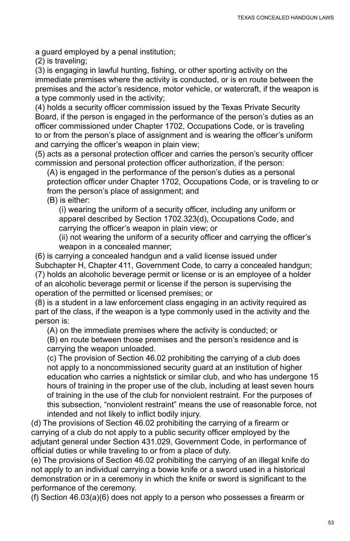a guard employed by a penal institution;

(2) is traveling;

(3) is engaging in lawful hunting, fishing, or other sporting activity on the immediate premises where the activity is conducted, or is en route between the premises and the actor's residence, motor vehicle, or watercraft, if the weapon is a type commonly used in the activity;

(4) holds a security officer commission issued by the Texas Private Security Board, if the person is engaged in the performance of the person's duties as an officer commissioned under Chapter 1702, Occupations Code, or is traveling to or from the person's place of assignment and is wearing the officer's uniform and carrying the officer's weapon in plain view;

(5) acts as a personal protection officer and carries the person's security officer commission and personal protection officer authorization, if the person:

(A) is engaged in the performance of the person's duties as a personal protection officer under Chapter 1702, Occupations Code, or is traveling to or from the person's place of assignment; and

(B) is either:

(i) wearing the uniform of a security officer, including any uniform or apparel described by Section 1702.323(d), Occupations Code, and carrying the officer's weapon in plain view; or

(ii) not wearing the uniform of a security officer and carrying the officer's weapon in a concealed manner;

(6) is carrying a concealed handgun and a valid license issued under Subchapter H, Chapter 411, Government Code, to carry a concealed handgun; (7) holds an alcoholic beverage permit or license or is an employee of a holder of an alcoholic beverage permit or license if the person is supervising the operation of the permitted or licensed premises; or

(8) is a student in a law enforcement class engaging in an activity required as part of the class, if the weapon is a type commonly used in the activity and the person is:

(A) on the immediate premises where the activity is conducted; or

(B) en route between those premises and the person's residence and is carrying the weapon unloaded.

(c) The provision of Section 46.02 prohibiting the carrying of a club does not apply to a noncommissioned security guard at an institution of higher education who carries a nightstick or similar club, and who has undergone 15 hours of training in the proper use of the club, including at least seven hours of training in the use of the club for nonviolent restraint. For the purposes of this subsection, "nonviolent restraint" means the use of reasonable force, not intended and not likely to inflict bodily injury.

(d) The provisions of Section 46.02 prohibiting the carrying of a firearm or carrying of a club do not apply to a public security officer employed by the adjutant general under Section 431.029, Government Code, in performance of official duties or while traveling to or from a place of duty.

(e) The provisions of Section 46.02 prohibiting the carrying of an illegal knife do not apply to an individual carrying a bowie knife or a sword used in a historical demonstration or in a ceremony in which the knife or sword is significant to the performance of the ceremony.

(f) Section 46.03(a)(6) does not apply to a person who possesses a firearm or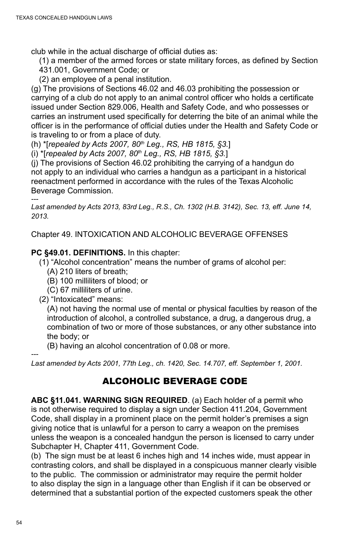club while in the actual discharge of official duties as:

(1) a member of the armed forces or state military forces, as defined by Section 431.001, Government Code; or

(2) an employee of a penal institution.

(g) The provisions of Sections 46.02 and 46.03 prohibiting the possession or carrying of a club do not apply to an animal control officer who holds a certificate issued under Section 829.006, Health and Safety Code, and who possesses or carries an instrument used specifically for deterring the bite of an animal while the officer is in the performance of official duties under the Health and Safety Code or is traveling to or from a place of duty.

(h) \*[*repealed by Acts 2007, 80th Leg., RS, HB 1815, §3.*]

(i) \*[*repealed by Acts 2007, 80th Leg., RS, HB 1815, §3.*]

(j) The provisions of Section 46.02 prohibiting the carrying of a handgun do not apply to an individual who carries a handgun as a participant in a historical reenactment performed in accordance with the rules of the Texas Alcoholic Beverage Commission.

*--- Last amended by Acts 2013, 83rd Leg., R.S., Ch. 1302 (H.B. 3142), Sec. 13, eff. June 14, 2013.*

Chapter 49. INTOXICATION AND ALCOHOLIC BEVERAGE OFFENSES

#### **PC §49.01. DEFINITIONS.** In this chapter:

- (1) "Alcohol concentration" means the number of grams of alcohol per:
	- (A) 210 liters of breath;
	- (B) 100 milliliters of blood; or
	- (C) 67 milliliters of urine.
- (2) "Intoxicated" means:

(A) not having the normal use of mental or physical faculties by reason of the introduction of alcohol, a controlled substance, a drug, a dangerous drug, a combination of two or more of those substances, or any other substance into the body; or

(B) having an alcohol concentration of 0.08 or more.

*Last amended by Acts 2001, 77th Leg., ch. 1420, Sec. 14.707, eff. September 1, 2001.*

### ALCOHOLIC BEVERAGE CODE

**ABC §11.041. WARNING SIGN REQUIRED**. (a) Each holder of a permit who is not otherwise required to display a sign under Section 411.204, Government Code, shall display in a prominent place on the permit holder's premises a sign giving notice that is unlawful for a person to carry a weapon on the premises unless the weapon is a concealed handgun the person is licensed to carry under Subchapter H, Chapter 411, Government Code.

(b) The sign must be at least 6 inches high and 14 inches wide, must appear in contrasting colors, and shall be displayed in a conspicuous manner clearly visible to the public. The commission or administrator may require the permit holder to also display the sign in a language other than English if it can be observed or determined that a substantial portion of the expected customers speak the other

*---*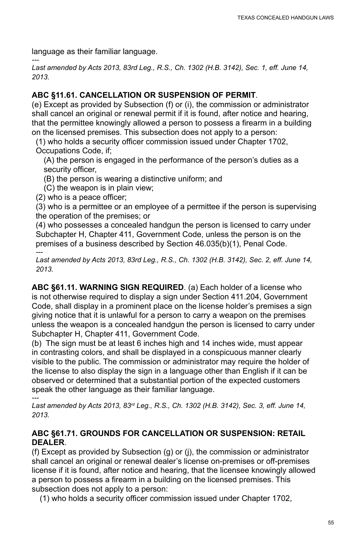language as their familiar language.

*--- Last amended by Acts 2013, 83rd Leg., R.S., Ch. 1302 (H.B. 3142), Sec. 1, eff. June 14, 2013.*

### **ABC §11.61. CANCELLATION OR SUSPENSION OF PERMIT**.

(e) Except as provided by Subsection (f) or (i), the commission or administrator shall cancel an original or renewal permit if it is found, after notice and hearing, that the permittee knowingly allowed a person to possess a firearm in a building on the licensed premises. This subsection does not apply to a person:

(1) who holds a security officer commission issued under Chapter 1702, Occupations Code, if;

(A) the person is engaged in the performance of the person's duties as a security officer,

(B) the person is wearing a distinctive uniform; and

(C) the weapon is in plain view;

(2) who is a peace officer;

(3) who is a permittee or an employee of a permittee if the person is supervising the operation of the premises; or

(4) who possesses a concealed handgun the person is licensed to carry under Subchapter H, Chapter 411, Government Code, unless the person is on the premises of a business described by Section 46.035(b)(1), Penal Code. *---*

*Last amended by Acts 2013, 83rd Leg., R.S., Ch. 1302 (H.B. 3142), Sec. 2, eff. June 14, 2013.*

**ABC §61.11. WARNING SIGN REQUIRED**. (a) Each holder of a license who is not otherwise required to display a sign under Section 411.204, Government Code, shall display in a prominent place on the license holder's premises a sign giving notice that it is unlawful for a person to carry a weapon on the premises unless the weapon is a concealed handgun the person is licensed to carry under Subchapter H, Chapter 411, Government Code.

(b) The sign must be at least 6 inches high and 14 inches wide, must appear in contrasting colors, and shall be displayed in a conspicuous manner clearly visible to the public. The commission or administrator may require the holder of the license to also display the sign in a language other than English if it can be observed or determined that a substantial portion of the expected customers speak the other language as their familiar language.

*---*

*Last amended by Acts 2013, 83rd Leg., R.S., Ch. 1302 (H.B. 3142), Sec. 3, eff. June 14, 2013.*

### **ABC §61.71. GROUNDS FOR CANCELLATION OR SUSPENSION: RETAIL DEALER**.

(f) Except as provided by Subsection (g) or (j), the commission or administrator shall cancel an original or renewal dealer's license on-premises or off-premises license if it is found, after notice and hearing, that the licensee knowingly allowed a person to possess a firearm in a building on the licensed premises. This subsection does not apply to a person:

(1) who holds a security officer commission issued under Chapter 1702,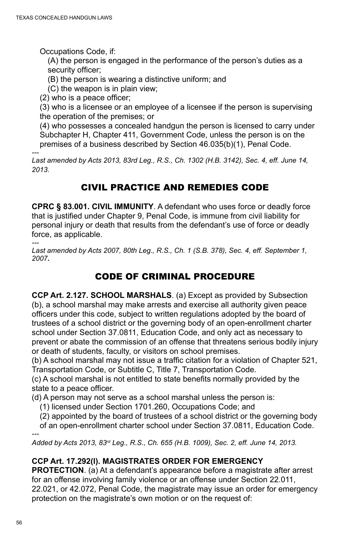Occupations Code, if:

(A) the person is engaged in the performance of the person's duties as a security officer;

(B) the person is wearing a distinctive uniform; and

(C) the weapon is in plain view;

(2) who is a peace officer;

(3) who is a licensee or an employee of a licensee if the person is supervising the operation of the premises; or

(4) who possesses a concealed handgun the person is licensed to carry under Subchapter H, Chapter 411, Government Code, unless the person is on the premises of a business described by Section 46.035(b)(1), Penal Code.

*--- Last amended by Acts 2013, 83rd Leg., R.S., Ch. 1302 (H.B. 3142), Sec. 4, eff. June 14, 2013.*

# CIVIL PRACTICE AND REMEDIES CODE

**CPRC § 83.001. CIVIL IMMUNITY**. A defendant who uses force or deadly force that is justified under Chapter 9, Penal Code, is immune from civil liability for personal injury or death that results from the defendant's use of force or deadly force, as applicable.

*--- Last amended by Acts 2007, 80th Leg., R.S., Ch. 1 (S.B. 378), Sec. 4, eff. September 1, 2007***.**

# CODE OF CRIMINAL PROCEDURE

**CCP Art. 2.127. SCHOOL MARSHALS**. (a) Except as provided by Subsection (b), a school marshal may make arrests and exercise all authority given peace officers under this code, subject to written regulations adopted by the board of trustees of a school district or the governing body of an open-enrollment charter school under Section 37.0811, Education Code, and only act as necessary to prevent or abate the commission of an offense that threatens serious bodily injury or death of students, faculty, or visitors on school premises.

(b) A school marshal may not issue a traffic citation for a violation of Chapter 521, Transportation Code, or Subtitle C, Title 7, Transportation Code.

(c) A school marshal is not entitled to state benefits normally provided by the state to a peace officer.

(d) A person may not serve as a school marshal unless the person is:

- (1) licensed under Section 1701.260, Occupations Code; and
- (2) appointed by the board of trustees of a school district or the governing body

of an open-enrollment charter school under Section 37.0811, Education Code. *---*

*Added by Acts 2013, 83rd Leg., R.S., Ch. 655 (H.B. 1009), Sec. 2, eff. June 14, 2013.* 

### **CCP Art. 17.292(l). MAGISTRATES ORDER FOR EMERGENCY**

**PROTECTION**. (a) At a defendant's appearance before a magistrate after arrest for an offense involving family violence or an offense under Section 22.011, 22.021, or 42.072, Penal Code, the magistrate may issue an order for emergency protection on the magistrate's own motion or on the request of: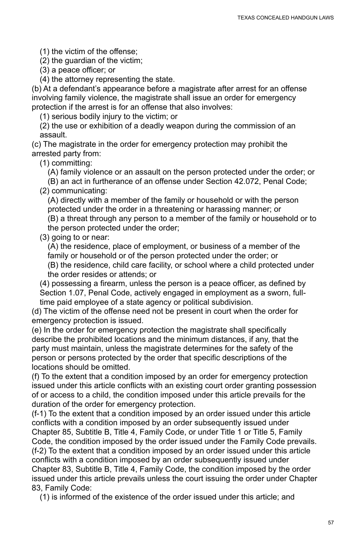(1) the victim of the offense;

(2) the guardian of the victim;

(3) a peace officer; or

(4) the attorney representing the state.

(b) At a defendant's appearance before a magistrate after arrest for an offense involving family violence, the magistrate shall issue an order for emergency protection if the arrest is for an offense that also involves:

(1) serious bodily injury to the victim; or

(2) the use or exhibition of a deadly weapon during the commission of an assault.

(c) The magistrate in the order for emergency protection may prohibit the arrested party from:

(1) committing:

(A) family violence or an assault on the person protected under the order; or

(B) an act in furtherance of an offense under Section 42.072, Penal Code; (2) communicating:

(A) directly with a member of the family or household or with the person protected under the order in a threatening or harassing manner; or (B) a threat through any person to a member of the family or household or to the person protected under the order;

(3) going to or near:

(A) the residence, place of employment, or business of a member of the family or household or of the person protected under the order; or

(B) the residence, child care facility, or school where a child protected under the order resides or attends; or

(4) possessing a firearm, unless the person is a peace officer, as defined by Section 1.07, Penal Code, actively engaged in employment as a sworn, fulltime paid employee of a state agency or political subdivision.

(d) The victim of the offense need not be present in court when the order for emergency protection is issued.

(e) In the order for emergency protection the magistrate shall specifically describe the prohibited locations and the minimum distances, if any, that the party must maintain, unless the magistrate determines for the safety of the person or persons protected by the order that specific descriptions of the locations should be omitted.

(f) To the extent that a condition imposed by an order for emergency protection issued under this article conflicts with an existing court order granting possession of or access to a child, the condition imposed under this article prevails for the duration of the order for emergency protection.

(f-1) To the extent that a condition imposed by an order issued under this article conflicts with a condition imposed by an order subsequently issued under Chapter 85, Subtitle B, Title 4, Family Code, or under Title 1 or Title 5, Family Code, the condition imposed by the order issued under the Family Code prevails. (f-2) To the extent that a condition imposed by an order issued under this article conflicts with a condition imposed by an order subsequently issued under Chapter 83, Subtitle B, Title 4, Family Code, the condition imposed by the order issued under this article prevails unless the court issuing the order under Chapter 83, Family Code:

(1) is informed of the existence of the order issued under this article; and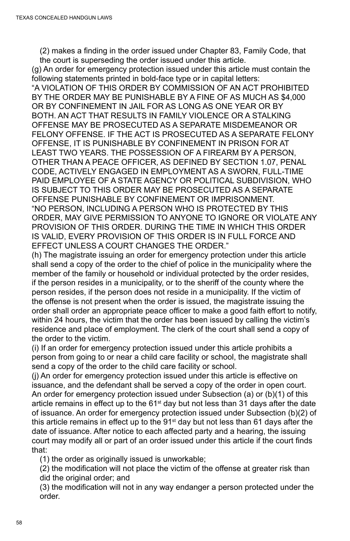(2) makes a finding in the order issued under Chapter 83, Family Code, that the court is superseding the order issued under this article.

(g) An order for emergency protection issued under this article must contain the following statements printed in bold-face type or in capital letters:

"A VIOLATION OF THIS ORDER BY COMMISSION OF AN ACT PROHIBITED BY THE ORDER MAY BE PUNISHABLE BY A FINE OF AS MUCH AS \$4,000 OR BY CONFINEMENT IN JAIL FOR AS LONG AS ONE YEAR OR BY BOTH. AN ACT THAT RESULTS IN FAMILY VIOLENCE OR A STALKING OFFENSE MAY BE PROSECUTED AS A SEPARATE MISDEMEANOR OR FELONY OFFENSE. IF THE ACT IS PROSECUTED AS A SEPARATE FELONY OFFENSE, IT IS PUNISHABLE BY CONFINEMENT IN PRISON FOR AT LEAST TWO YEARS. THE POSSESSION OF A FIREARM BY A PERSON, OTHER THAN A PEACE OFFICER, AS DEFINED BY SECTION 1.07, PENAL CODE, ACTIVELY ENGAGED IN EMPLOYMENT AS A SWORN, FULL-TIME PAID EMPLOYEE OF A STATE AGENCY OR POLITICAL SUBDIVISION, WHO IS SUBJECT TO THIS ORDER MAY BE PROSECUTED AS A SEPARATE OFFENSE PUNISHABLE BY CONFINEMENT OR IMPRISONMENT. "NO PERSON, INCLUDING A PERSON WHO IS PROTECTED BY THIS ORDER, MAY GIVE PERMISSION TO ANYONE TO IGNORE OR VIOLATE ANY PROVISION OF THIS ORDER. DURING THE TIME IN WHICH THIS ORDER IS VALID, EVERY PROVISION OF THIS ORDER IS IN FULL FORCE AND EFFECT UNLESS A COURT CHANGES THE ORDER."

(h) The magistrate issuing an order for emergency protection under this article shall send a copy of the order to the chief of police in the municipality where the member of the family or household or individual protected by the order resides, if the person resides in a municipality, or to the sheriff of the county where the person resides, if the person does not reside in a municipality. If the victim of the offense is not present when the order is issued, the magistrate issuing the order shall order an appropriate peace officer to make a good faith effort to notify, within 24 hours, the victim that the order has been issued by calling the victim's residence and place of employment. The clerk of the court shall send a copy of the order to the victim.

(i) If an order for emergency protection issued under this article prohibits a person from going to or near a child care facility or school, the magistrate shall send a copy of the order to the child care facility or school.

(j) An order for emergency protection issued under this article is effective on issuance, and the defendant shall be served a copy of the order in open court. An order for emergency protection issued under Subsection (a) or (b)(1) of this article remains in effect up to the  $61<sup>st</sup>$  day but not less than  $31$  days after the date of issuance. An order for emergency protection issued under Subsection (b)(2) of this article remains in effect up to the  $91<sup>st</sup>$  day but not less than 61 days after the date of issuance. After notice to each affected party and a hearing, the issuing court may modify all or part of an order issued under this article if the court finds that:

(1) the order as originally issued is unworkable;

(2) the modification will not place the victim of the offense at greater risk than did the original order; and

(3) the modification will not in any way endanger a person protected under the order.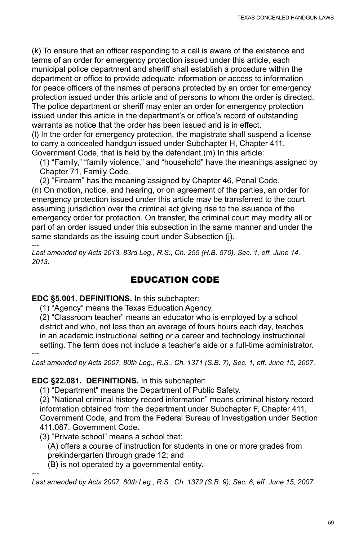(k) To ensure that an officer responding to a call is aware of the existence and terms of an order for emergency protection issued under this article, each municipal police department and sheriff shall establish a procedure within the department or office to provide adequate information or access to information for peace officers of the names of persons protected by an order for emergency protection issued under this article and of persons to whom the order is directed. The police department or sheriff may enter an order for emergency protection issued under this article in the department's or office's record of outstanding warrants as notice that the order has been issued and is in effect.

(l) In the order for emergency protection, the magistrate shall suspend a license to carry a concealed handgun issued under Subchapter H, Chapter 411, Government Code, that is held by the defendant.(m) In this article:

(1) "Family," "family violence," and "household" have the meanings assigned by Chapter 71, Family Code.

(2) "Firearm" has the meaning assigned by Chapter 46, Penal Code. (n) On motion, notice, and hearing, or on agreement of the parties, an order for emergency protection issued under this article may be transferred to the court assuming jurisdiction over the criminal act giving rise to the issuance of the emergency order for protection. On transfer, the criminal court may modify all or part of an order issued under this subsection in the same manner and under the same standards as the issuing court under Subsection (j). *---*

*Last amended by Acts 2013, 83rd Leg., R.S., Ch. 255 (H.B. 570), Sec. 1, eff. June 14, 2013.*

# EDUCATION CODE

### **EDC §5.001. DEFINITIONS.** In this subchapter:

(1) "Agency" means the Texas Education Agency.

(2) "Classroom teacher" means an educator who is employed by a school district and who, not less than an average of fours hours each day, teaches in an academic instructional setting or a career and technology instructional setting. The term does not include a teacher's aide or a full-time administrator.

*Last amended by Acts 2007, 80th Leg., R.S., Ch. 1371 (S.B. 7), Sec. 1, eff. June 15, 2007.*

**EDC §22.081. DEFINITIONS.** In this subchapter:

*---*

*---*

(1) "Department" means the Department of Public Safety.

(2) "National criminal history record information" means criminal history record information obtained from the department under Subchapter F, Chapter 411, Government Code, and from the Federal Bureau of Investigation under Section 411.087, Government Code.

(3) "Private school" means a school that:

(A) offers a course of instruction for students in one or more grades from prekindergarten through grade 12; and

(B) is not operated by a governmental entity.

*Last amended by Acts 2007, 80th Leg., R.S., Ch. 1372 (S.B. 9), Sec. 6, eff. June 15, 2007.*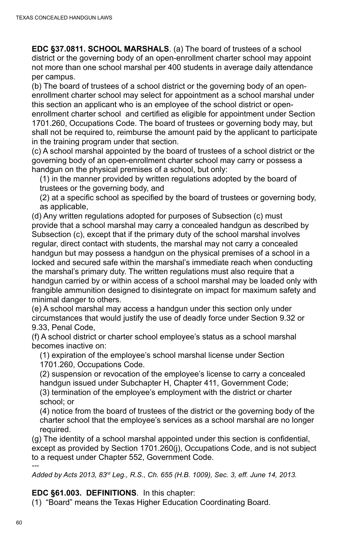**EDC §37.0811. SCHOOL MARSHALS**. (a) The board of trustees of a school district or the governing body of an open-enrollment charter school may appoint not more than one school marshal per 400 students in average daily attendance per campus.

(b) The board of trustees of a school district or the governing body of an openenrollment charter school may select for appointment as a school marshal under this section an applicant who is an employee of the school district or openenrollment charter school and certified as eligible for appointment under Section 1701.260, Occupations Code. The board of trustees or governing body may, but shall not be required to, reimburse the amount paid by the applicant to participate in the training program under that section.

(c) A school marshal appointed by the board of trustees of a school district or the governing body of an open-enrollment charter school may carry or possess a handgun on the physical premises of a school, but only:

(1) in the manner provided by written regulations adopted by the board of trustees or the governing body, and

(2) at a specific school as specified by the board of trustees or governing body, as applicable,

(d) Any written regulations adopted for purposes of Subsection (c) must provide that a school marshal may carry a concealed handgun as described by Subsection (c), except that if the primary duty of the school marshal involves regular, direct contact with students, the marshal may not carry a concealed handgun but may possess a handgun on the physical premises of a school in a locked and secured safe within the marshal's immediate reach when conducting the marshal's primary duty. The written regulations must also require that a handgun carried by or within access of a school marshal may be loaded only with frangible ammunition designed to disintegrate on impact for maximum safety and minimal danger to others.

(e) A school marshal may access a handgun under this section only under circumstances that would justify the use of deadly force under Section 9.32 or 9.33, Penal Code,

(f) A school district or charter school employee's status as a school marshal becomes inactive on:

(1) expiration of the employee's school marshal license under Section 1701.260, Occupations Code.

(2) suspension or revocation of the employee's license to carry a concealed handgun issued under Subchapter H, Chapter 411, Government Code;

(3) termination of the employee's employment with the district or charter school; or

(4) notice from the board of trustees of the district or the governing body of the charter school that the employee's services as a school marshal are no longer required.

(g) The identity of a school marshal appointed under this section is confidential, except as provided by Section 1701.260(j), Occupations Code, and is not subject to a request under Chapter 552, Government Code.

*---*

*Added by Acts 2013, 83rd Leg., R.S., Ch. 655 (H.B. 1009), Sec. 3, eff. June 14, 2013.*

### **EDC §61.003. DEFINITIONS**. In this chapter:

(1) "Board" means the Texas Higher Education Coordinating Board.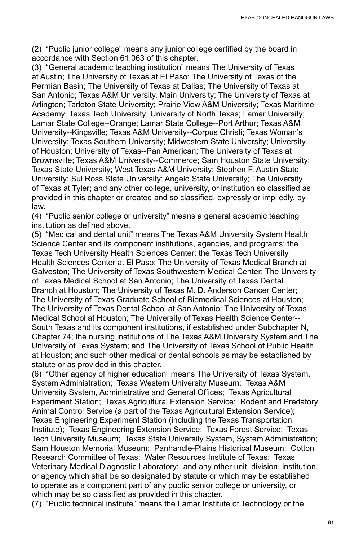(2) "Public junior college" means any junior college certified by the board in accordance with Section 61.063 of this chapter.

(3) "General academic teaching institution" means The University of Texas at Austin; The University of Texas at El Paso; The University of Texas of the Permian Basin; The University of Texas at Dallas; The University of Texas at San Antonio; Texas A&M University, Main University; The University of Texas at Arlington; Tarleton State University; Prairie View A&M University; Texas Maritime Academy; Texas Tech University; University of North Texas; Lamar University; Lamar State College--Orange; Lamar State College--Port Arthur; Texas A&M University--Kingsville; Texas A&M University--Corpus Christi; Texas Woman's University; Texas Southern University; Midwestern State University; University of Houston; University of Texas--Pan American; The University of Texas at Brownsville; Texas A&M University--Commerce; Sam Houston State University; Texas State University; West Texas A&M University; Stephen F. Austin State University; Sul Ross State University; Angelo State University; The University of Texas at Tyler; and any other college, university, or institution so classified as provided in this chapter or created and so classified, expressly or impliedly, by law.

(4) "Public senior college or university" means a general academic teaching institution as defined above.

(5) "Medical and dental unit" means The Texas A&M University System Health Science Center and its component institutions, agencies, and programs; the Texas Tech University Health Sciences Center; the Texas Tech University Health Sciences Center at El Paso; The University of Texas Medical Branch at Galveston; The University of Texas Southwestern Medical Center; The University of Texas Medical School at San Antonio; The University of Texas Dental Branch at Houston; The University of Texas M. D. Anderson Cancer Center; The University of Texas Graduate School of Biomedical Sciences at Houston; The University of Texas Dental School at San Antonio; The University of Texas Medical School at Houston; The University of Texas Health Science Center-- South Texas and its component institutions, if established under Subchapter N, Chapter 74; the nursing institutions of The Texas A&M University System and The University of Texas System; and The University of Texas School of Public Health at Houston; and such other medical or dental schools as may be established by statute or as provided in this chapter.

(6) "Other agency of higher education" means The University of Texas System, System Administration; Texas Western University Museum; Texas A&M University System, Administrative and General Offices; Texas Agricultural Experiment Station; Texas Agricultural Extension Service; Rodent and Predatory Animal Control Service (a part of the Texas Agricultural Extension Service); Texas Engineering Experiment Station (including the Texas Transportation Institute); Texas Engineering Extension Service; Texas Forest Service; Texas Tech University Museum; Texas State University System, System Administration; Sam Houston Memorial Museum; Panhandle-Plains Historical Museum; Cotton Research Committee of Texas; Water Resources Institute of Texas; Texas Veterinary Medical Diagnostic Laboratory; and any other unit, division, institution, or agency which shall be so designated by statute or which may be established to operate as a component part of any public senior college or university, or which may be so classified as provided in this chapter.

(7) "Public technical institute" means the Lamar Institute of Technology or the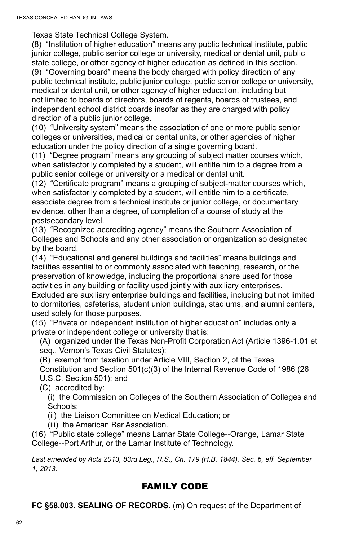Texas State Technical College System.

(8) "Institution of higher education" means any public technical institute, public junior college, public senior college or university, medical or dental unit, public state college, or other agency of higher education as defined in this section. (9) "Governing board" means the body charged with policy direction of any public technical institute, public junior college, public senior college or university, medical or dental unit, or other agency of higher education, including but not limited to boards of directors, boards of regents, boards of trustees, and independent school district boards insofar as they are charged with policy direction of a public junior college.

(10) "University system" means the association of one or more public senior colleges or universities, medical or dental units, or other agencies of higher education under the policy direction of a single governing board.

(11) "Degree program" means any grouping of subject matter courses which, when satisfactorily completed by a student, will entitle him to a degree from a public senior college or university or a medical or dental unit.

(12) "Certificate program" means a grouping of subject-matter courses which, when satisfactorily completed by a student, will entitle him to a certificate. associate degree from a technical institute or junior college, or documentary evidence, other than a degree, of completion of a course of study at the postsecondary level.

(13) "Recognized accrediting agency" means the Southern Association of Colleges and Schools and any other association or organization so designated by the board.

(14) "Educational and general buildings and facilities" means buildings and facilities essential to or commonly associated with teaching, research, or the preservation of knowledge, including the proportional share used for those activities in any building or facility used jointly with auxiliary enterprises. Excluded are auxiliary enterprise buildings and facilities, including but not limited to dormitories, cafeterias, student union buildings, stadiums, and alumni centers, used solely for those purposes.

(15) "Private or independent institution of higher education" includes only a private or independent college or university that is:

(A) organized under the Texas Non-Profit Corporation Act (Article 1396-1.01 et seq., Vernon's Texas Civil Statutes):

(B) exempt from taxation under Article VIII, Section 2, of the Texas Constitution and Section 501(c)(3) of the Internal Revenue Code of 1986 (26 U.S.C. Section 501); and

(C) accredited by:

(i) the Commission on Colleges of the Southern Association of Colleges and Schools;

(ii) the Liaison Committee on Medical Education; or

(iii) the American Bar Association.

(16) "Public state college" means Lamar State College--Orange, Lamar State College--Port Arthur, or the Lamar Institute of Technology.

*--- Last amended by Acts 2013, 83rd Leg., R.S., Ch. 179 (H.B. 1844), Sec. 6, eff. September 1, 2013.*

# FAMILY CODE

**FC §58.003. SEALING OF RECORDS**. (m) On request of the Department of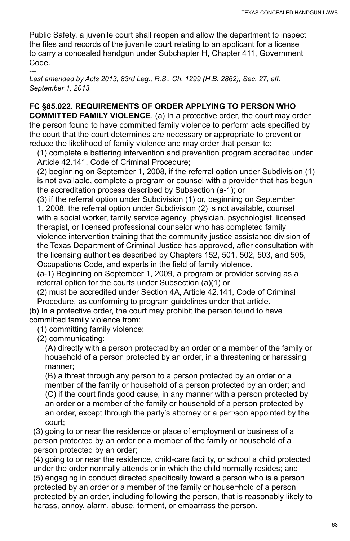Public Safety, a juvenile court shall reopen and allow the department to inspect the files and records of the juvenile court relating to an applicant for a license to carry a concealed handgun under Subchapter H, Chapter 411, Government Code.

*---*

*Last amended by Acts 2013, 83rd Leg., R.S., Ch. 1299 (H.B. 2862), Sec. 27, eff. September 1, 2013.*

**FC §85.022. REQUIREMENTS OF ORDER APPLYING TO PERSON WHO** 

**COMMITTED FAMILY VIOLENCE**. (a) In a protective order, the court may order the person found to have committed family violence to perform acts specified by the court that the court determines are necessary or appropriate to prevent or reduce the likelihood of family violence and may order that person to:

(1) complete a battering intervention and prevention program accredited under Article 42.141, Code of Criminal Procedure;

(2) beginning on September 1, 2008, if the referral option under Subdivision (1) is not available, complete a program or counsel with a provider that has begun the accreditation process described by Subsection (a-1); or

(3) if the referral option under Subdivision (1) or, beginning on September 1, 2008, the referral option under Subdivision (2) is not available, counsel with a social worker, family service agency, physician, psychologist, licensed therapist, or licensed professional counselor who has completed family violence intervention training that the community justice assistance division of the Texas Department of Criminal Justice has approved, after consultation with the licensing authorities described by Chapters 152, 501, 502, 503, and 505, Occupations Code, and experts in the field of family violence.

(a-1) Beginning on September 1, 2009, a program or provider serving as a referral option for the courts under Subsection (a)(1) or

(2) must be accredited under Section 4A, Article 42.141, Code of Criminal Procedure, as conforming to program guidelines under that article.

(b) In a protective order, the court may prohibit the person found to have committed family violence from:

(1) committing family violence;

(2) communicating:

(A) directly with a person protected by an order or a member of the family or household of a person protected by an order, in a threatening or harassing manner;

(B) a threat through any person to a person protected by an order or a member of the family or household of a person protected by an order; and (C) if the court finds good cause, in any manner with a person protected by an order or a member of the family or household of a person protected by an order, except through the party's attorney or a per¬son appointed by the court;

(3) going to or near the residence or place of employment or business of a person protected by an order or a member of the family or household of a person protected by an order;

(4) going to or near the residence, child-care facility, or school a child protected under the order normally attends or in which the child normally resides; and (5) engaging in conduct directed specifically toward a person who is a person protected by an order or a member of the family or house¬hold of a person protected by an order, including following the person, that is reasonably likely to harass, annoy, alarm, abuse, torment, or embarrass the person.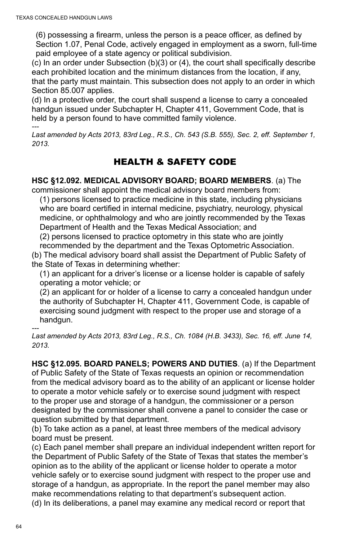(6) possessing a firearm, unless the person is a peace officer, as defined by Section 1.07, Penal Code, actively engaged in employment as a sworn, full-time paid employee of a state agency or political subdivision.

(c) In an order under Subsection (b)(3) or (4), the court shall specifically describe each prohibited location and the minimum distances from the location, if any, that the party must maintain. This subsection does not apply to an order in which Section 85.007 applies.

(d) In a protective order, the court shall suspend a license to carry a concealed handgun issued under Subchapter H, Chapter 411, Government Code, that is held by a person found to have committed family violence.

*--- Last amended by Acts 2013, 83rd Leg., R.S., Ch. 543 (S.B. 555), Sec. 2, eff. September 1, 2013.*

# HEALTH & SAFETY CODE

**HSC §12.092. MEDICAL ADVISORY BOARD; BOARD MEMBERS**. (a) The

commissioner shall appoint the medical advisory board members from: (1) persons licensed to practice medicine in this state, including physicians who are board certified in internal medicine, psychiatry, neurology, physical medicine, or ophthalmology and who are jointly recommended by the Texas Department of Health and the Texas Medical Association; and

(2) persons licensed to practice optometry in this state who are jointly recommended by the department and the Texas Optometric Association.

(b) The medical advisory board shall assist the Department of Public Safety of the State of Texas in determining whether:

(1) an applicant for a driver's license or a license holder is capable of safely operating a motor vehicle; or

(2) an applicant for or holder of a license to carry a concealed handgun under the authority of Subchapter H, Chapter 411, Government Code, is capable of exercising sound judgment with respect to the proper use and storage of a handgun.

*--- Last amended by Acts 2013, 83rd Leg., R.S., Ch. 1084 (H.B. 3433), Sec. 16, eff. June 14, 2013.*

**HSC §12.095. BOARD PANELS; POWERS AND DUTIES**. (a) If the Department of Public Safety of the State of Texas requests an opinion or recommendation from the medical advisory board as to the ability of an applicant or license holder to operate a motor vehicle safely or to exercise sound judgment with respect to the proper use and storage of a handgun, the commissioner or a person designated by the commissioner shall convene a panel to consider the case or question submitted by that department.

(b) To take action as a panel, at least three members of the medical advisory board must be present.

(c) Each panel member shall prepare an individual independent written report for the Department of Public Safety of the State of Texas that states the member's opinion as to the ability of the applicant or license holder to operate a motor vehicle safely or to exercise sound judgment with respect to the proper use and storage of a handgun, as appropriate. In the report the panel member may also make recommendations relating to that department's subsequent action. (d) In its deliberations, a panel may examine any medical record or report that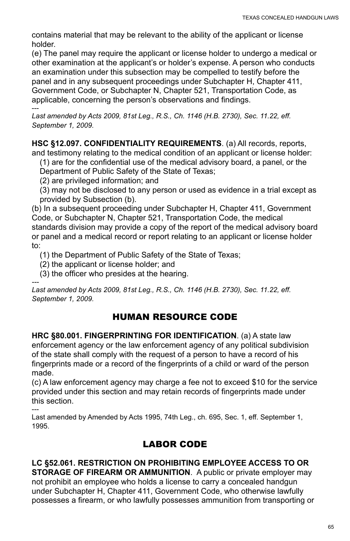contains material that may be relevant to the ability of the applicant or license holder.

(e) The panel may require the applicant or license holder to undergo a medical or other examination at the applicant's or holder's expense. A person who conducts an examination under this subsection may be compelled to testify before the panel and in any subsequent proceedings under Subchapter H, Chapter 411, Government Code, or Subchapter N, Chapter 521, Transportation Code, as applicable, concerning the person's observations and findings.

--- Last amended by Acts 2009, 81st Leg., R.S., Ch. 1146 (H.B. 2730), Sec. 11.22, eff. *September 1, 2009.*

**HSC §12.097. CONFIDENTIALITY REQUIREMENTS**. (a) All records, reports,

and testimony relating to the medical condition of an applicant or license holder:

(1) are for the confidential use of the medical advisory board, a panel, or the Department of Public Safety of the State of Texas;

(2) are privileged information; and

(3) may not be disclosed to any person or used as evidence in a trial except as provided by Subsection (b).

(b) In a subsequent proceeding under Subchapter H, Chapter 411, Government Code, or Subchapter N, Chapter 521, Transportation Code, the medical standards division may provide a copy of the report of the medical advisory board or panel and a medical record or report relating to an applicant or license holder to:

(1) the Department of Public Safety of the State of Texas;

(2) the applicant or license holder; and

(3) the officer who presides at the hearing.

*--- Last amended by Acts 2009, 81st Leg., R.S., Ch. 1146 (H.B. 2730), Sec. 11.22, eff. September 1, 2009.*

# HUMAN RESOURCE CODE

**HRC §80.001. FINGERPRINTING FOR IDENTIFICATION**. (a) A state law enforcement agency or the law enforcement agency of any political subdivision of the state shall comply with the request of a person to have a record of his fingerprints made or a record of the fingerprints of a child or ward of the person made.

(c) A law enforcement agency may charge a fee not to exceed \$10 for the service provided under this section and may retain records of fingerprints made under this section.

---

Last amended by Amended by Acts 1995, 74th Leg., ch. 695, Sec. 1, eff. September 1, 1995.

# LABOR CODE

### **LC §52.061. RESTRICTION ON PROHIBITING EMPLOYEE ACCESS TO OR**

**STORAGE OF FIREARM OR AMMUNITION**. A public or private employer may not prohibit an employee who holds a license to carry a concealed handgun under Subchapter H, Chapter 411, Government Code, who otherwise lawfully possesses a firearm, or who lawfully possesses ammunition from transporting or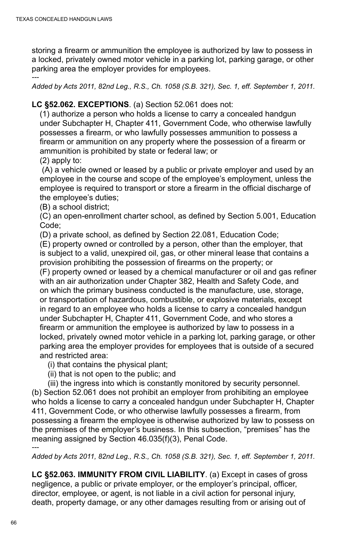*---*

storing a firearm or ammunition the employee is authorized by law to possess in a locked, privately owned motor vehicle in a parking lot, parking garage, or other parking area the employer provides for employees.

*Added by Acts 2011, 82nd Leg., R.S., Ch. 1058 (S.B. 321), Sec. 1, eff. September 1, 2011.*

#### **LC §52.062. EXCEPTIONS**. (a) Section 52.061 does not:

(1) authorize a person who holds a license to carry a concealed handgun under Subchapter H, Chapter 411, Government Code, who otherwise lawfully possesses a firearm, or who lawfully possesses ammunition to possess a firearm or ammunition on any property where the possession of a firearm or ammunition is prohibited by state or federal law; or

(2) apply to:

 (A) a vehicle owned or leased by a public or private employer and used by an employee in the course and scope of the employee's employment, unless the employee is required to transport or store a firearm in the official discharge of the employee's duties;

(B) a school district;

(C) an open-enrollment charter school, as defined by Section 5.001, Education Code;

(D) a private school, as defined by Section 22.081, Education Code;

(E) property owned or controlled by a person, other than the employer, that is subject to a valid, unexpired oil, gas, or other mineral lease that contains a provision prohibiting the possession of firearms on the property; or (F) property owned or leased by a chemical manufacturer or oil and gas refiner with an air authorization under Chapter 382, Health and Safety Code, and on which the primary business conducted is the manufacture, use, storage, or transportation of hazardous, combustible, or explosive materials, except in regard to an employee who holds a license to carry a concealed handgun under Subchapter H, Chapter 411, Government Code, and who stores a firearm or ammunition the employee is authorized by law to possess in a locked, privately owned motor vehicle in a parking lot, parking garage, or other parking area the employer provides for employees that is outside of a secured and restricted area:

(i) that contains the physical plant;

(ii) that is not open to the public; and

(iii) the ingress into which is constantly monitored by security personnel. (b) Section 52.061 does not prohibit an employer from prohibiting an employee who holds a license to carry a concealed handgun under Subchapter H, Chapter 411, Government Code, or who otherwise lawfully possesses a firearm, from possessing a firearm the employee is otherwise authorized by law to possess on the premises of the employer's business. In this subsection, "premises" has the meaning assigned by Section 46.035(f)(3), Penal Code. *---*

*Added by Acts 2011, 82nd Leg., R.S., Ch. 1058 (S.B. 321), Sec. 1, eff. September 1, 2011.*

**LC §52.063. IMMUNITY FROM CIVIL LIABILITY**. (a) Except in cases of gross negligence, a public or private employer, or the employer's principal, officer, director, employee, or agent, is not liable in a civil action for personal injury, death, property damage, or any other damages resulting from or arising out of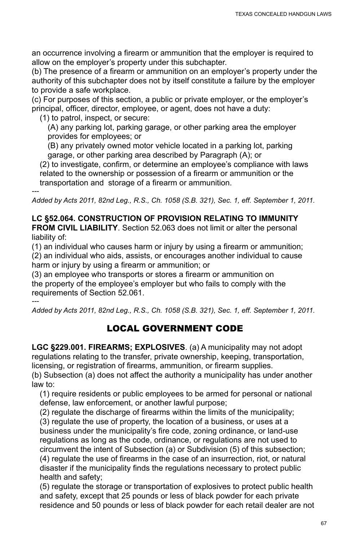an occurrence involving a firearm or ammunition that the employer is required to allow on the employer's property under this subchapter.

(b) The presence of a firearm or ammunition on an employer's property under the authority of this subchapter does not by itself constitute a failure by the employer to provide a safe workplace.

(c) For purposes of this section, a public or private employer, or the employer's principal, officer, director, employee, or agent, does not have a duty:

(1) to patrol, inspect, or secure:

(A) any parking lot, parking garage, or other parking area the employer provides for employees; or

(B) any privately owned motor vehicle located in a parking lot, parking garage, or other parking area described by Paragraph (A); or

(2) to investigate, confirm, or determine an employee's compliance with laws related to the ownership or possession of a firearm or ammunition or the transportation and storage of a firearm or ammunition.

*--- Added by Acts 2011, 82nd Leg., R.S., Ch. 1058 (S.B. 321), Sec. 1, eff. September 1, 2011.*

**LC §52.064. CONSTRUCTION OF PROVISION RELATING TO IMMUNITY FROM CIVIL LIABILITY**. Section 52.063 does not limit or alter the personal liability of:

(1) an individual who causes harm or injury by using a firearm or ammunition; (2) an individual who aids, assists, or encourages another individual to cause harm or injury by using a firearm or ammunition; or

(3) an employee who transports or stores a firearm or ammunition on the property of the employee's employer but who fails to comply with the requirements of Section 52.061.

*--- Added by Acts 2011, 82nd Leg., R.S., Ch. 1058 (S.B. 321), Sec. 1, eff. September 1, 2011.*

# LOCAL GOVERNMENT CODE

**LGC §229.001. FIREARMS; EXPLOSIVES**. (a) A municipality may not adopt regulations relating to the transfer, private ownership, keeping, transportation, licensing, or registration of firearms, ammunition, or firearm supplies.

(b) Subsection (a) does not affect the authority a municipality has under another law to:

(1) require residents or public employees to be armed for personal or national defense, law enforcement, or another lawful purpose;

(2) regulate the discharge of firearms within the limits of the municipality;

(3) regulate the use of property, the location of a business, or uses at a business under the municipality's fire code, zoning ordinance, or land-use regulations as long as the code, ordinance, or regulations are not used to circumvent the intent of Subsection (a) or Subdivision (5) of this subsection; (4) regulate the use of firearms in the case of an insurrection, riot, or natural disaster if the municipality finds the regulations necessary to protect public health and safety;

(5) regulate the storage or transportation of explosives to protect public health and safety, except that 25 pounds or less of black powder for each private residence and 50 pounds or less of black powder for each retail dealer are not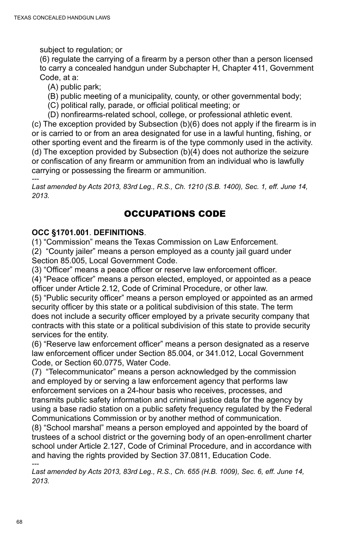subject to regulation; or

(6) regulate the carrying of a firearm by a person other than a person licensed to carry a concealed handgun under Subchapter H, Chapter 411, Government Code, at a:

(A) public park;

- (B) public meeting of a municipality, county, or other governmental body;
- (C) political rally, parade, or official political meeting; or
- (D) nonfirearms-related school, college, or professional athletic event.

(c) The exception provided by Subsection (b)(6) does not apply if the firearm is in or is carried to or from an area designated for use in a lawful hunting, fishing, or other sporting event and the firearm is of the type commonly used in the activity. (d) The exception provided by Subsection (b)(4) does not authorize the seizure or confiscation of any firearm or ammunition from an individual who is lawfully carrying or possessing the firearm or ammunition.

*--- Last amended by Acts 2013, 83rd Leg., R.S., Ch. 1210 (S.B. 1400), Sec. 1, eff. June 14, 2013.*

# OCCUPATIONS CODE

### **OCC §1701.001**. **DEFINITIONS**.

(1) "Commission" means the Texas Commission on Law Enforcement.

(2) "County jailer" means a person employed as a county jail guard under Section 85.005, Local Government Code.

(3) "Officer" means a peace officer or reserve law enforcement officer.

(4) "Peace officer" means a person elected, employed, or appointed as a peace officer under Article 2.12, Code of Criminal Procedure, or other law.

(5) "Public security officer" means a person employed or appointed as an armed security officer by this state or a political subdivision of this state. The term does not include a security officer employed by a private security company that contracts with this state or a political subdivision of this state to provide security services for the entity.

(6) "Reserve law enforcement officer" means a person designated as a reserve law enforcement officer under Section 85.004, or 341.012, Local Government Code, or Section 60.0775, Water Code.

(7) "Telecommunicator" means a person acknowledged by the commission and employed by or serving a law enforcement agency that performs law enforcement services on a 24-hour basis who receives, processes, and transmits public safety information and criminal justice data for the agency by using a base radio station on a public safety frequency regulated by the Federal Communications Commission or by another method of communication.

(8) "School marshal" means a person employed and appointed by the board of trustees of a school district or the governing body of an open-enrollment charter school under Article 2.127, Code of Criminal Procedure, and in accordance with and having the rights provided by Section 37.0811, Education Code.

*--- Last amended by Acts 2013, 83rd Leg., R.S., Ch. 655 (H.B. 1009), Sec. 6, eff. June 14, 2013.*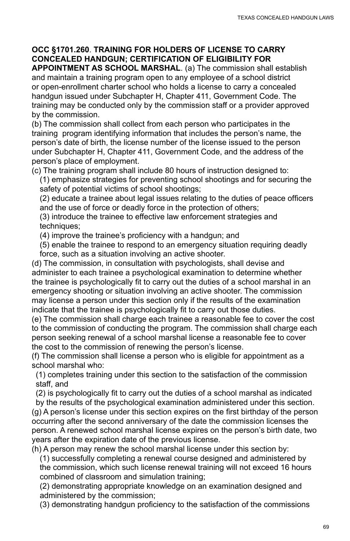### **OCC §1701.260**. **TRAINING FOR HOLDERS OF LICENSE TO CARRY CONCEALED HANDGUN; CERTIFICATION OF ELIGIBILITY FOR**

**APPOINTMENT AS SCHOOL MARSHAL**. (a) The commission shall establish and maintain a training program open to any employee of a school district or open-enrollment charter school who holds a license to carry a concealed handgun issued under Subchapter H, Chapter 411, Government Code. The training may be conducted only by the commission staff or a provider approved by the commission.

(b) The commission shall collect from each person who participates in the training program identifying information that includes the person's name, the person's date of birth, the license number of the license issued to the person under Subchapter H, Chapter 411, Government Code, and the address of the person's place of employment.

(c) The training program shall include 80 hours of instruction designed to:

(1) emphasize strategies for preventing school shootings and for securing the safety of potential victims of school shootings:

(2) educate a trainee about legal issues relating to the duties of peace officers and the use of force or deadly force in the protection of others;

(3) introduce the trainee to effective law enforcement strategies and techniques:

(4) improve the trainee's proficiency with a handgun; and

(5) enable the trainee to respond to an emergency situation requiring deadly force, such as a situation involving an active shooter.

(d) The commission, in consultation with psychologists, shall devise and administer to each trainee a psychological examination to determine whether the trainee is psychologically fit to carry out the duties of a school marshal in an emergency shooting or situation involving an active shooter. The commission may license a person under this section only if the results of the examination indicate that the trainee is psychologically fit to carry out those duties.

(e) The commission shall charge each trainee a reasonable fee to cover the cost to the commission of conducting the program. The commission shall charge each person seeking renewal of a school marshal license a reasonable fee to cover the cost to the commission of renewing the person's license.

(f) The commission shall license a person who is eligible for appointment as a school marshal who:

(1) completes training under this section to the satisfaction of the commission staff, and

(2) is psychologically fit to carry out the duties of a school marshal as indicated by the results of the psychological examination administered under this section.

(g) A person's license under this section expires on the first birthday of the person occurring after the second anniversary of the date the commission licenses the person. A renewed school marshal license expires on the person's birth date, two years after the expiration date of the previous license.

(h) A person may renew the school marshal license under this section by: (1) successfully completing a renewal course designed and administered by the commission, which such license renewal training will not exceed 16 hours combined of classroom and simulation training;

(2) demonstrating appropriate knowledge on an examination designed and administered by the commission;

(3) demonstrating handgun proficiency to the satisfaction of the commissions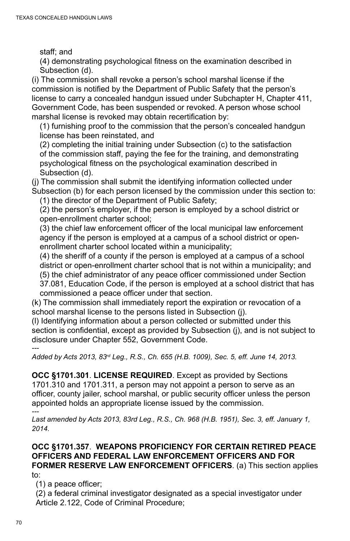staff; and

(4) demonstrating psychological fitness on the examination described in Subsection (d).

(i) The commission shall revoke a person's school marshal license if the commission is notified by the Department of Public Safety that the person's license to carry a concealed handgun issued under Subchapter H, Chapter 411, Government Code, has been suspended or revoked. A person whose school marshal license is revoked may obtain recertification by:

(1) furnishing proof to the commission that the person's concealed handgun license has been reinstated, and

(2) completing the initial training under Subsection (c) to the satisfaction of the commission staff, paying the fee for the training, and demonstrating psychological fitness on the psychological examination described in Subsection (d).

(j) The commission shall submit the identifying information collected under Subsection (b) for each person licensed by the commission under this section to:

(1) the director of the Department of Public Safety;

(2) the person's employer, if the person is employed by a school district or open-enrollment charter school;

(3) the chief law enforcement officer of the local municipal law enforcement agency if the person is employed at a campus of a school district or openenrollment charter school located within a municipality;

(4) the sheriff of a county if the person is employed at a campus of a school district or open-enrollment charter school that is not within a municipality; and (5) the chief administrator of any peace officer commissioned under Section

37.081, Education Code, if the person is employed at a school district that has commissioned a peace officer under that section.

(k) The commission shall immediately report the expiration or revocation of a school marshal license to the persons listed in Subsection (j).

(l) Identifying information about a person collected or submitted under this section is confidential, except as provided by Subsection (j), and is not subject to disclosure under Chapter 552, Government Code.

*--- Added by Acts 2013, 83rd Leg., R.S., Ch. 655 (H.B. 1009), Sec. 5, eff. June 14, 2013.*

**OCC §1701.301**. **LICENSE REQUIRED**. Except as provided by Sections 1701.310 and 1701.311, a person may not appoint a person to serve as an officer, county jailer, school marshal, or public security officer unless the person appointed holds an appropriate license issued by the commission. *---*

*Last amended by Acts 2013, 83rd Leg., R.S., Ch. 968 (H.B. 1951), Sec. 3, eff. January 1, 2014.*

#### **OCC §1701.357**. **WEAPONS PROFICIENCY FOR CERTAIN RETIRED PEACE OFFICERS AND FEDERAL LAW ENFORCEMENT OFFICERS AND FOR FORMER RESERVE LAW ENFORCEMENT OFFICERS**. (a) This section applies to:

(1) a peace officer;

(2) a federal criminal investigator designated as a special investigator under Article 2.122, Code of Criminal Procedure;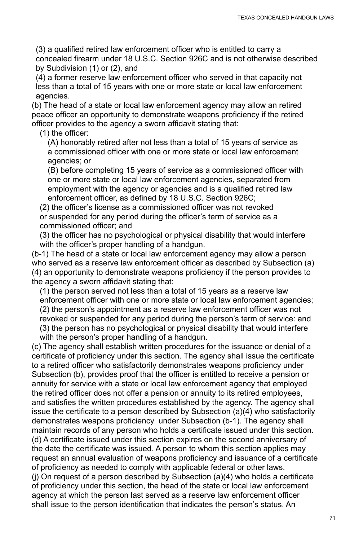(3) a qualified retired law enforcement officer who is entitled to carry a concealed firearm under 18 U.S.C. Section 926C and is not otherwise described by Subdivision (1) or (2), and

(4) a former reserve law enforcement officer who served in that capacity not less than a total of 15 years with one or more state or local law enforcement agencies.

(b) The head of a state or local law enforcement agency may allow an retired peace officer an opportunity to demonstrate weapons proficiency if the retired officer provides to the agency a sworn affidavit stating that:

### (1) the officer:

(A) honorably retired after not less than a total of 15 years of service as a commissioned officer with one or more state or local law enforcement agencies; or

(B) before completing 15 years of service as a commissioned officer with one or more state or local law enforcement agencies, separated from employment with the agency or agencies and is a qualified retired law enforcement officer, as defined by 18 U.S.C. Section 926C;

(2) the officer's license as a commissioned officer was not revoked or suspended for any period during the officer's term of service as a commissioned officer; and

(3) the officer has no psychological or physical disability that would interfere with the officer's proper handling of a handgun.

(b-1) The head of a state or local law enforcement agency may allow a person who served as a reserve law enforcement officer as described by Subsection (a) (4) an opportunity to demonstrate weapons proficiency if the person provides to the agency a sworn affidavit stating that:

(1) the person served not less than a total of 15 years as a reserve law enforcement officer with one or more state or local law enforcement agencies; (2) the person's appointment as a reserve law enforcement officer was not revoked or suspended for any period during the person's term of service: and (3) the person has no psychological or physical disability that would interfere

with the person's proper handling of a handgun.

(c) The agency shall establish written procedures for the issuance or denial of a certificate of proficiency under this section. The agency shall issue the certificate to a retired officer who satisfactorily demonstrates weapons proficiency under Subsection (b), provides proof that the officer is entitled to receive a pension or annuity for service with a state or local law enforcement agency that employed the retired officer does not offer a pension or annuity to its retired employees, and satisfies the written procedures established by the agency. The agency shall issue the certificate to a person described by Subsection  $(a)(4)$  who satisfactorily demonstrates weapons proficiency under Subsection (b-1). The agency shall maintain records of any person who holds a certificate issued under this section. (d) A certificate issued under this section expires on the second anniversary of the date the certificate was issued. A person to whom this section applies may request an annual evaluation of weapons proficiency and issuance of a certificate of proficiency as needed to comply with applicable federal or other laws.

(j) On request of a person described by Subsection (a)(4) who holds a certificate of proficiency under this section, the head of the state or local law enforcement agency at which the person last served as a reserve law enforcement officer shall issue to the person identification that indicates the person's status. An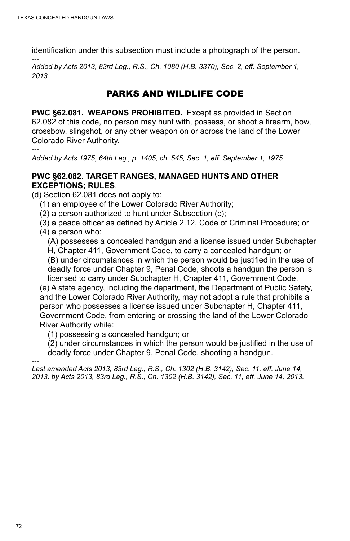identification under this subsection must include a photograph of the person. *---*

*Added by Acts 2013, 83rd Leg., R.S., Ch. 1080 (H.B. 3370), Sec. 2, eff. September 1, 2013.*

### PARKS AND WILDLIFE CODE

**PWC §62.081. WEAPONS PROHIBITED.** Except as provided in Section 62.082 of this code, no person may hunt with, possess, or shoot a firearm, bow, crossbow, slingshot, or any other weapon on or across the land of the Lower Colorado River Authority.

*---*

*Added by Acts 1975, 64th Leg., p. 1405, ch. 545, Sec. 1, eff. September 1, 1975.*

#### **PWC §62.082**. **TARGET RANGES, MANAGED HUNTS AND OTHER EXCEPTIONS; RULES**.

(d) Section 62.081 does not apply to:

(1) an employee of the Lower Colorado River Authority;

- (2) a person authorized to hunt under Subsection (c);
- (3) a peace officer as defined by Article 2.12, Code of Criminal Procedure; or

(4) a person who:

(A) possesses a concealed handgun and a license issued under Subchapter H, Chapter 411, Government Code, to carry a concealed handgun; or (B) under circumstances in which the person would be justified in the use of deadly force under Chapter 9, Penal Code, shoots a handgun the person is licensed to carry under Subchapter H, Chapter 411, Government Code.

(e) A state agency, including the department, the Department of Public Safety, and the Lower Colorado River Authority, may not adopt a rule that prohibits a person who possesses a license issued under Subchapter H, Chapter 411, Government Code, from entering or crossing the land of the Lower Colorado River Authority while:

(1) possessing a concealed handgun; or

(2) under circumstances in which the person would be justified in the use of deadly force under Chapter 9, Penal Code, shooting a handgun.

*--- Last amended Acts 2013, 83rd Leg., R.S., Ch. 1302 (H.B. 3142), Sec. 11, eff. June 14, 2013. by Acts 2013, 83rd Leg., R.S., Ch. 1302 (H.B. 3142), Sec. 11, eff. June 14, 2013.*